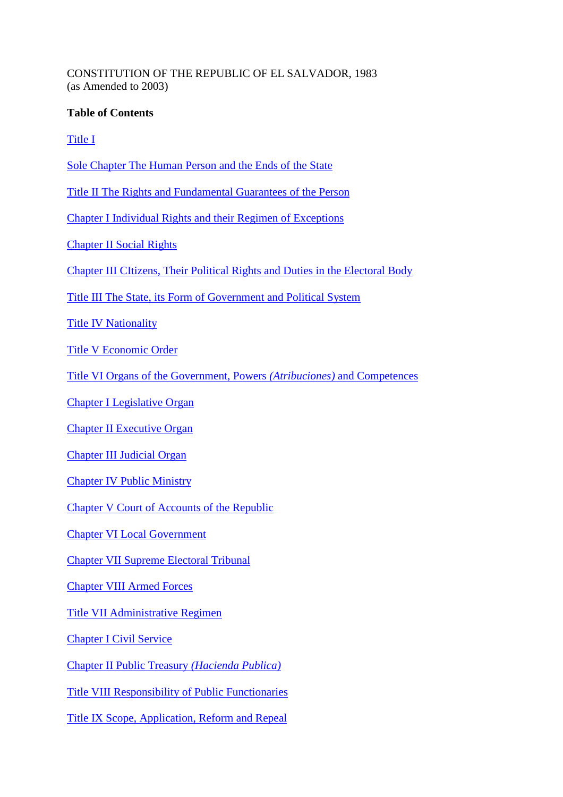CONSTITUTION OF THE REPUBLIC OF EL SALVADOR, 1983 (as Amended to 2003)

# **Table of Contents**

Title I

Sole Chapter The Human Person and the Ends of the State

Title II The Rights and Fundamental Guarantees of the Person

Chapter I Individual Rights and their Regimen of Exceptions

Chapter II Social Rights

Chapter III CItizens, Their Political Rights and Duties in the Electoral Body

Title III The State, its Form of Government and Political System

**Title IV Nationality** 

Title V Economic Order

Title VI Organs of the Government, Powers *(Atribuciones)* and Competences

Chapter I Legislative Organ

Chapter II Executive Organ

Chapter III Judicial Organ

Chapter IV Public Ministry

Chapter V Court of Accounts of the Republic

Chapter VI Local Government

Chapter VII Supreme Electoral Tribunal

Chapter VIII Armed Forces

Title VII Administrative Regimen

Chapter I Civil Service

Chapter II Public Treasury *(Hacienda Publica)*

Title VIII Responsibility of Public Functionaries

Title IX Scope, Application, Reform and Repeal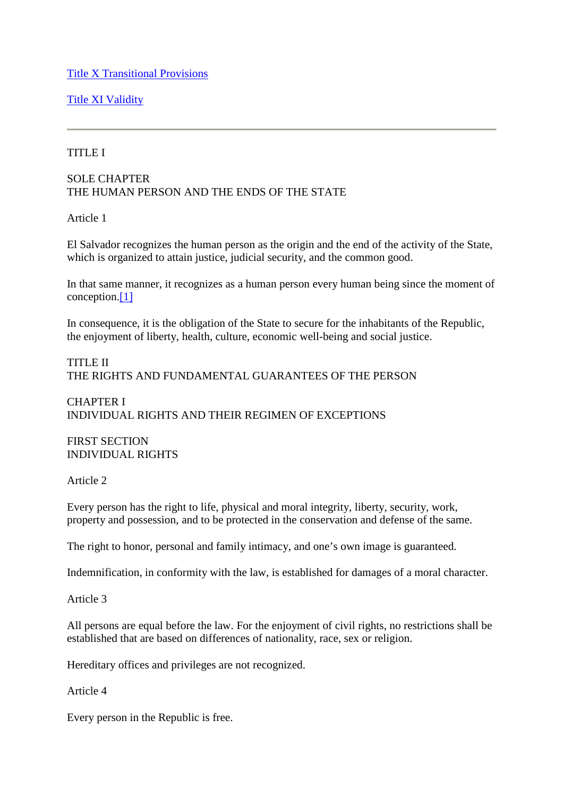### Title X Transitional Provisions

## Title XI Validity

## TITLE I

## SOLE CHAPTER THE HUMAN PERSON AND THE ENDS OF THE STATE

Article 1

El Salvador recognizes the human person as the origin and the end of the activity of the State, which is organized to attain justice, judicial security, and the common good.

In that same manner, it recognizes as a human person every human being since the moment of conception.[1]

In consequence, it is the obligation of the State to secure for the inhabitants of the Republic, the enjoyment of liberty, health, culture, economic well-being and social justice.

# TITLE II THE RIGHTS AND FUNDAMENTAL GUARANTEES OF THE PERSON

CHAPTER I INDIVIDUAL RIGHTS AND THEIR REGIMEN OF EXCEPTIONS

FIRST SECTION INDIVIDUAL RIGHTS

Article 2

Every person has the right to life, physical and moral integrity, liberty, security, work, property and possession, and to be protected in the conservation and defense of the same.

The right to honor, personal and family intimacy, and one's own image is guaranteed.

Indemnification, in conformity with the law, is established for damages of a moral character.

Article 3

All persons are equal before the law. For the enjoyment of civil rights, no restrictions shall be established that are based on differences of nationality, race, sex or religion.

Hereditary offices and privileges are not recognized.

Article 4

Every person in the Republic is free.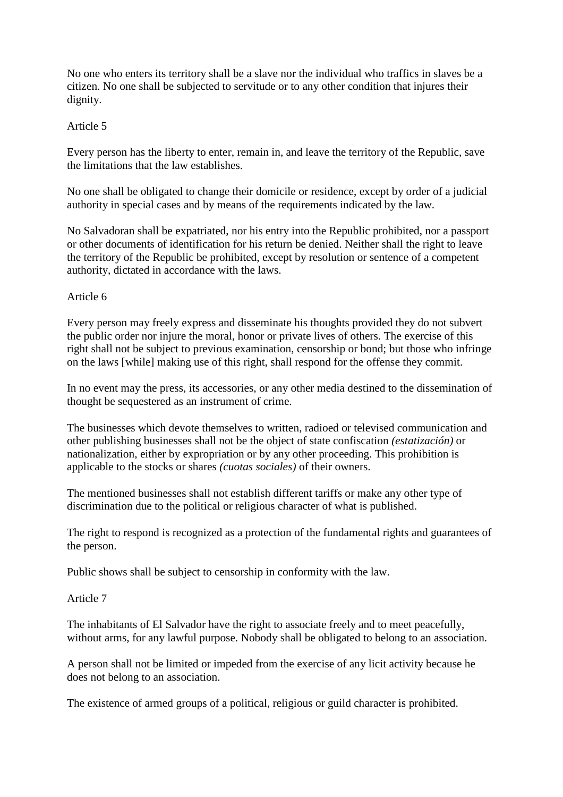No one who enters its territory shall be a slave nor the individual who traffics in slaves be a citizen. No one shall be subjected to servitude or to any other condition that injures their dignity.

## Article 5

Every person has the liberty to enter, remain in, and leave the territory of the Republic, save the limitations that the law establishes.

No one shall be obligated to change their domicile or residence, except by order of a judicial authority in special cases and by means of the requirements indicated by the law.

No Salvadoran shall be expatriated, nor his entry into the Republic prohibited, nor a passport or other documents of identification for his return be denied. Neither shall the right to leave the territory of the Republic be prohibited, except by resolution or sentence of a competent authority, dictated in accordance with the laws.

## Article 6

Every person may freely express and disseminate his thoughts provided they do not subvert the public order nor injure the moral, honor or private lives of others. The exercise of this right shall not be subject to previous examination, censorship or bond; but those who infringe on the laws [while] making use of this right, shall respond for the offense they commit.

In no event may the press, its accessories, or any other media destined to the dissemination of thought be sequestered as an instrument of crime.

The businesses which devote themselves to written, radioed or televised communication and other publishing businesses shall not be the object of state confiscation *(estatización)* or nationalization, either by expropriation or by any other proceeding. This prohibition is applicable to the stocks or shares *(cuotas sociales)* of their owners.

The mentioned businesses shall not establish different tariffs or make any other type of discrimination due to the political or religious character of what is published.

The right to respond is recognized as a protection of the fundamental rights and guarantees of the person.

Public shows shall be subject to censorship in conformity with the law.

## Article 7

The inhabitants of El Salvador have the right to associate freely and to meet peacefully, without arms, for any lawful purpose. Nobody shall be obligated to belong to an association.

A person shall not be limited or impeded from the exercise of any licit activity because he does not belong to an association.

The existence of armed groups of a political, religious or guild character is prohibited.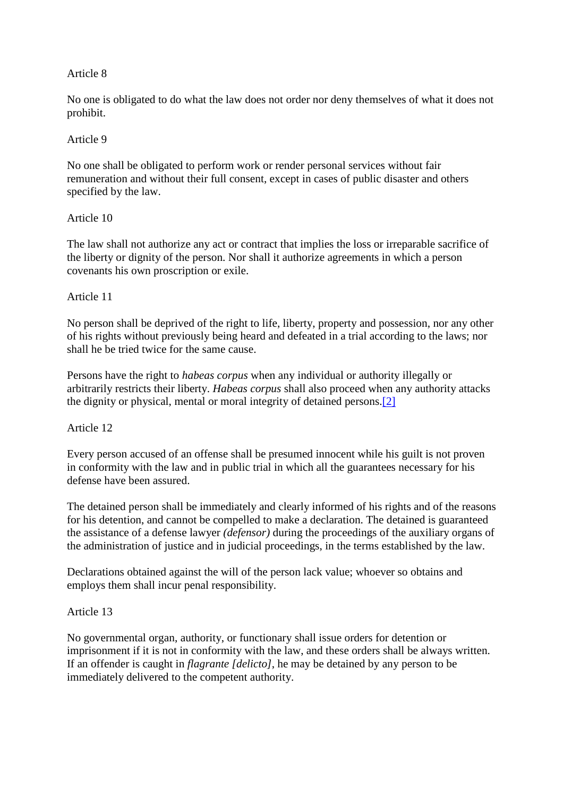## Article 8

No one is obligated to do what the law does not order nor deny themselves of what it does not prohibit.

## Article 9

No one shall be obligated to perform work or render personal services without fair remuneration and without their full consent, except in cases of public disaster and others specified by the law.

## Article 10

The law shall not authorize any act or contract that implies the loss or irreparable sacrifice of the liberty or dignity of the person. Nor shall it authorize agreements in which a person covenants his own proscription or exile.

## Article 11

No person shall be deprived of the right to life, liberty, property and possession, nor any other of his rights without previously being heard and defeated in a trial according to the laws; nor shall he be tried twice for the same cause.

Persons have the right to *habeas corpus* when any individual or authority illegally or arbitrarily restricts their liberty. *Habeas corpus* shall also proceed when any authority attacks the dignity or physical, mental or moral integrity of detained persons.[2]

## Article 12

Every person accused of an offense shall be presumed innocent while his guilt is not proven in conformity with the law and in public trial in which all the guarantees necessary for his defense have been assured.

The detained person shall be immediately and clearly informed of his rights and of the reasons for his detention, and cannot be compelled to make a declaration. The detained is guaranteed the assistance of a defense lawyer *(defensor)* during the proceedings of the auxiliary organs of the administration of justice and in judicial proceedings, in the terms established by the law.

Declarations obtained against the will of the person lack value; whoever so obtains and employs them shall incur penal responsibility.

## Article 13

No governmental organ, authority, or functionary shall issue orders for detention or imprisonment if it is not in conformity with the law, and these orders shall be always written. If an offender is caught in *flagrante [delicto]*, he may be detained by any person to be immediately delivered to the competent authority.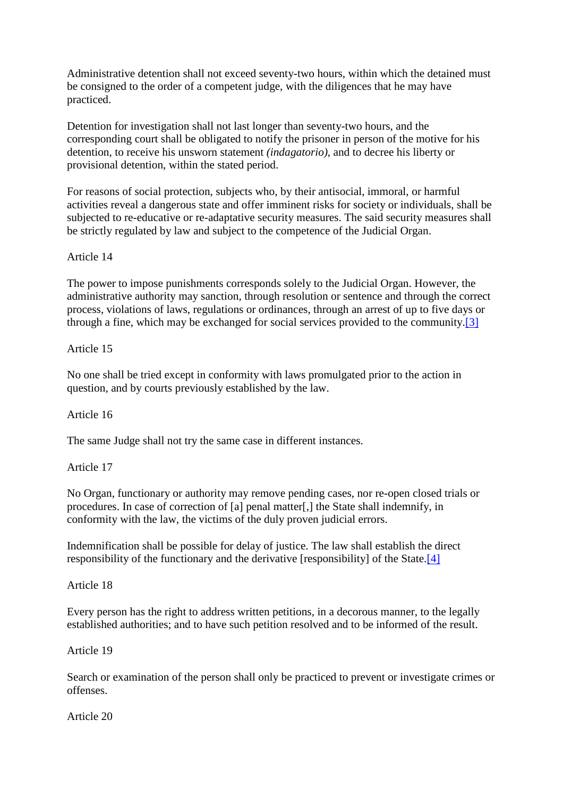Administrative detention shall not exceed seventy-two hours, within which the detained must be consigned to the order of a competent judge, with the diligences that he may have practiced.

Detention for investigation shall not last longer than seventy-two hours, and the corresponding court shall be obligated to notify the prisoner in person of the motive for his detention, to receive his unsworn statement *(indagatorio)*, and to decree his liberty or provisional detention, within the stated period.

For reasons of social protection, subjects who, by their antisocial, immoral, or harmful activities reveal a dangerous state and offer imminent risks for society or individuals, shall be subjected to re-educative or re-adaptative security measures. The said security measures shall be strictly regulated by law and subject to the competence of the Judicial Organ.

## Article 14

The power to impose punishments corresponds solely to the Judicial Organ. However, the administrative authority may sanction, through resolution or sentence and through the correct process, violations of laws, regulations or ordinances, through an arrest of up to five days or through a fine, which may be exchanged for social services provided to the community.[3]

## Article 15

No one shall be tried except in conformity with laws promulgated prior to the action in question, and by courts previously established by the law.

## Article 16

The same Judge shall not try the same case in different instances.

#### Article 17

No Organ, functionary or authority may remove pending cases, nor re-open closed trials or procedures. In case of correction of [a] penal matter[,] the State shall indemnify, in conformity with the law, the victims of the duly proven judicial errors.

Indemnification shall be possible for delay of justice. The law shall establish the direct responsibility of the functionary and the derivative [responsibility] of the State.[4]

#### Article 18

Every person has the right to address written petitions, in a decorous manner, to the legally established authorities; and to have such petition resolved and to be informed of the result.

#### Article 19

Search or examination of the person shall only be practiced to prevent or investigate crimes or offenses.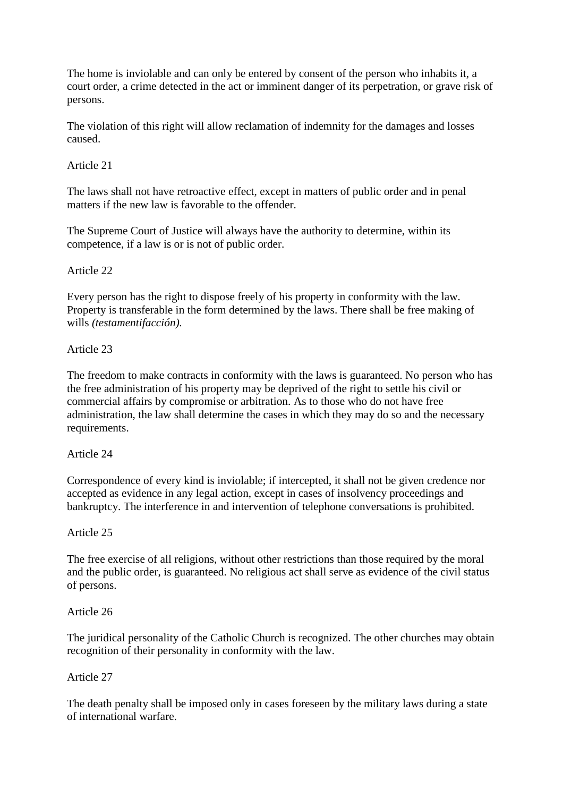The home is inviolable and can only be entered by consent of the person who inhabits it, a court order, a crime detected in the act or imminent danger of its perpetration, or grave risk of persons.

The violation of this right will allow reclamation of indemnity for the damages and losses caused.

# Article 21

The laws shall not have retroactive effect, except in matters of public order and in penal matters if the new law is favorable to the offender.

The Supreme Court of Justice will always have the authority to determine, within its competence, if a law is or is not of public order.

## Article 22

Every person has the right to dispose freely of his property in conformity with the law. Property is transferable in the form determined by the laws. There shall be free making of wills *(testamentifacción).*

# Article 23

The freedom to make contracts in conformity with the laws is guaranteed. No person who has the free administration of his property may be deprived of the right to settle his civil or commercial affairs by compromise or arbitration. As to those who do not have free administration, the law shall determine the cases in which they may do so and the necessary requirements.

## Article 24

Correspondence of every kind is inviolable; if intercepted, it shall not be given credence nor accepted as evidence in any legal action, except in cases of insolvency proceedings and bankruptcy. The interference in and intervention of telephone conversations is prohibited.

## Article 25

The free exercise of all religions, without other restrictions than those required by the moral and the public order, is guaranteed. No religious act shall serve as evidence of the civil status of persons.

## Article 26

The juridical personality of the Catholic Church is recognized. The other churches may obtain recognition of their personality in conformity with the law.

## Article 27

The death penalty shall be imposed only in cases foreseen by the military laws during a state of international warfare.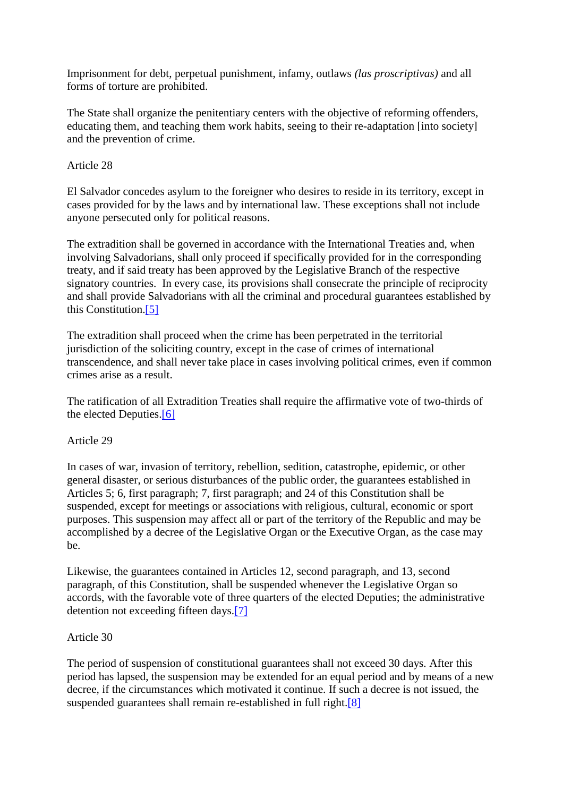Imprisonment for debt, perpetual punishment, infamy, outlaws *(las proscriptivas)* and all forms of torture are prohibited.

The State shall organize the penitentiary centers with the objective of reforming offenders, educating them, and teaching them work habits, seeing to their re-adaptation [into society] and the prevention of crime.

Article 28

El Salvador concedes asylum to the foreigner who desires to reside in its territory, except in cases provided for by the laws and by international law. These exceptions shall not include anyone persecuted only for political reasons.

The extradition shall be governed in accordance with the International Treaties and, when involving Salvadorians, shall only proceed if specifically provided for in the corresponding treaty, and if said treaty has been approved by the Legislative Branch of the respective signatory countries. In every case, its provisions shall consecrate the principle of reciprocity and shall provide Salvadorians with all the criminal and procedural guarantees established by this Constitution.[5]

The extradition shall proceed when the crime has been perpetrated in the territorial jurisdiction of the soliciting country, except in the case of crimes of international transcendence, and shall never take place in cases involving political crimes, even if common crimes arise as a result.

The ratification of all Extradition Treaties shall require the affirmative vote of two-thirds of the elected Deputies.[6]

## Article 29

In cases of war, invasion of territory, rebellion, sedition, catastrophe, epidemic, or other general disaster, or serious disturbances of the public order, the guarantees established in Articles 5; 6, first paragraph; 7, first paragraph; and 24 of this Constitution shall be suspended, except for meetings or associations with religious, cultural, economic or sport purposes. This suspension may affect all or part of the territory of the Republic and may be accomplished by a decree of the Legislative Organ or the Executive Organ, as the case may be.

Likewise, the guarantees contained in Articles 12, second paragraph, and 13, second paragraph, of this Constitution, shall be suspended whenever the Legislative Organ so accords, with the favorable vote of three quarters of the elected Deputies; the administrative detention not exceeding fifteen days.[7]

## Article 30

The period of suspension of constitutional guarantees shall not exceed 30 days. After this period has lapsed, the suspension may be extended for an equal period and by means of a new decree, if the circumstances which motivated it continue. If such a decree is not issued, the suspended guarantees shall remain re-established in full right.<sup>[8]</sup>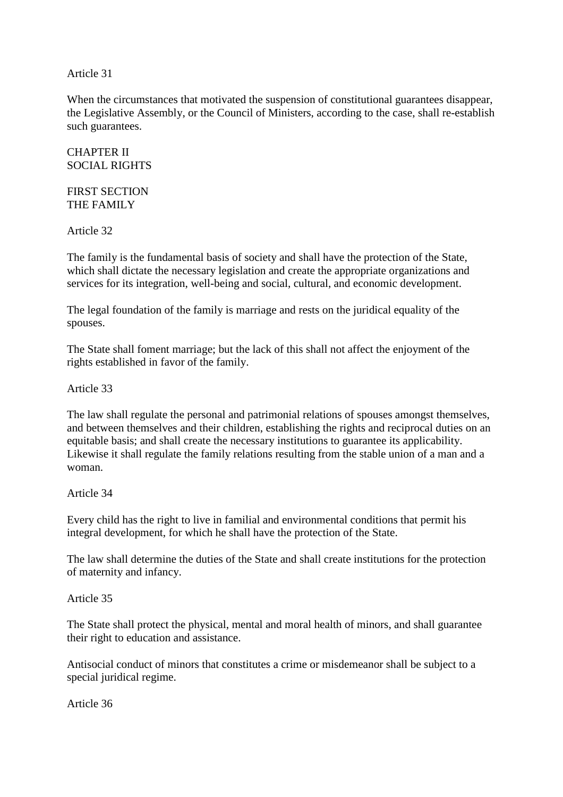Article 31

When the circumstances that motivated the suspension of constitutional guarantees disappear, the Legislative Assembly, or the Council of Ministers, according to the case, shall re-establish such guarantees.

#### CHAPTER II SOCIAL RIGHTS

## FIRST SECTION THE FAMILY

Article 32

The family is the fundamental basis of society and shall have the protection of the State, which shall dictate the necessary legislation and create the appropriate organizations and services for its integration, well-being and social, cultural, and economic development.

The legal foundation of the family is marriage and rests on the juridical equality of the spouses.

The State shall foment marriage; but the lack of this shall not affect the enjoyment of the rights established in favor of the family.

Article 33

The law shall regulate the personal and patrimonial relations of spouses amongst themselves, and between themselves and their children, establishing the rights and reciprocal duties on an equitable basis; and shall create the necessary institutions to guarantee its applicability. Likewise it shall regulate the family relations resulting from the stable union of a man and a woman.

## Article 34

Every child has the right to live in familial and environmental conditions that permit his integral development, for which he shall have the protection of the State.

The law shall determine the duties of the State and shall create institutions for the protection of maternity and infancy.

Article 35

The State shall protect the physical, mental and moral health of minors, and shall guarantee their right to education and assistance.

Antisocial conduct of minors that constitutes a crime or misdemeanor shall be subject to a special juridical regime.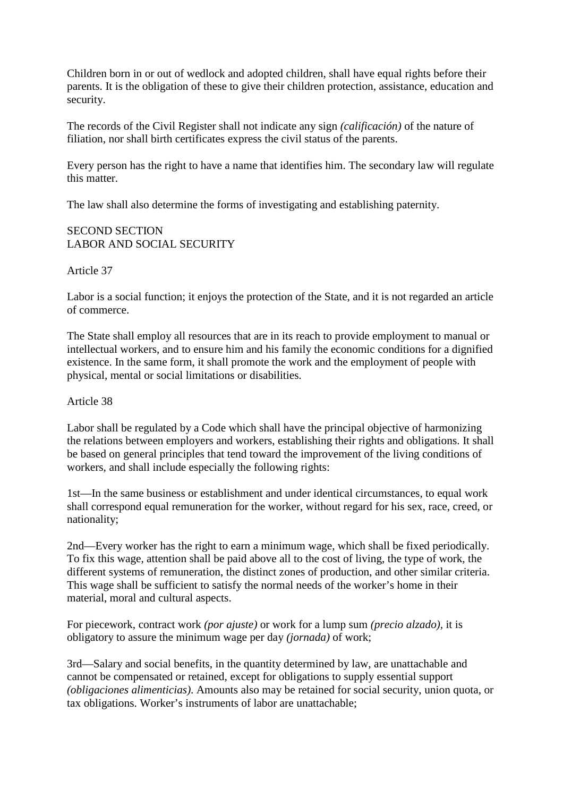Children born in or out of wedlock and adopted children, shall have equal rights before their parents. It is the obligation of these to give their children protection, assistance, education and security.

The records of the Civil Register shall not indicate any sign *(calificación)* of the nature of filiation, nor shall birth certificates express the civil status of the parents.

Every person has the right to have a name that identifies him. The secondary law will regulate this matter.

The law shall also determine the forms of investigating and establishing paternity.

## SECOND SECTION LABOR AND SOCIAL SECURITY

## Article 37

Labor is a social function; it enjoys the protection of the State, and it is not regarded an article of commerce.

The State shall employ all resources that are in its reach to provide employment to manual or intellectual workers, and to ensure him and his family the economic conditions for a dignified existence. In the same form, it shall promote the work and the employment of people with physical, mental or social limitations or disabilities.

## Article 38

Labor shall be regulated by a Code which shall have the principal objective of harmonizing the relations between employers and workers, establishing their rights and obligations. It shall be based on general principles that tend toward the improvement of the living conditions of workers, and shall include especially the following rights:

1st—In the same business or establishment and under identical circumstances, to equal work shall correspond equal remuneration for the worker, without regard for his sex, race, creed, or nationality;

2nd—Every worker has the right to earn a minimum wage, which shall be fixed periodically. To fix this wage, attention shall be paid above all to the cost of living, the type of work, the different systems of remuneration, the distinct zones of production, and other similar criteria. This wage shall be sufficient to satisfy the normal needs of the worker's home in their material, moral and cultural aspects.

For piecework, contract work *(por ajuste)* or work for a lump sum *(precio alzado),* it is obligatory to assure the minimum wage per day *(jornada)* of work;

3rd—Salary and social benefits, in the quantity determined by law, are unattachable and cannot be compensated or retained, except for obligations to supply essential support *(obligaciones alimenticias)*. Amounts also may be retained for social security, union quota, or tax obligations. Worker's instruments of labor are unattachable;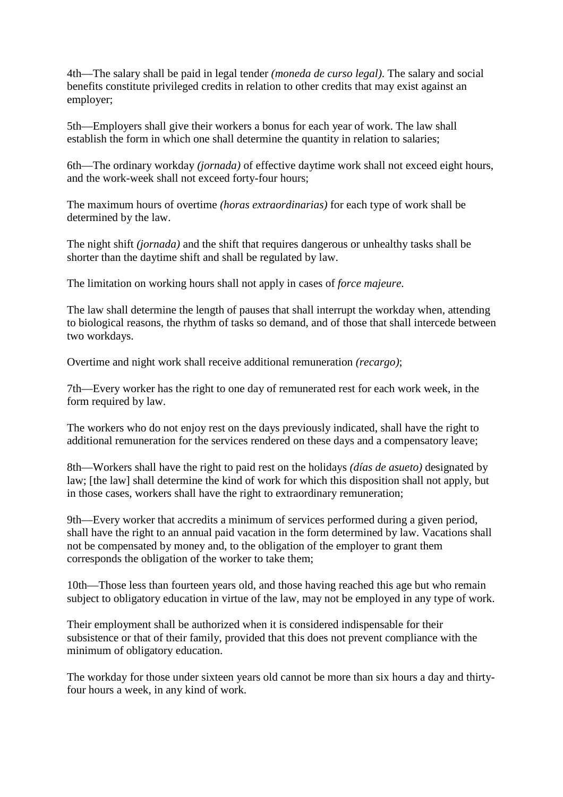4th—The salary shall be paid in legal tender *(moneda de curso legal)*. The salary and social benefits constitute privileged credits in relation to other credits that may exist against an employer;

5th—Employers shall give their workers a bonus for each year of work. The law shall establish the form in which one shall determine the quantity in relation to salaries;

6th—The ordinary workday *(jornada)* of effective daytime work shall not exceed eight hours, and the work-week shall not exceed forty-four hours;

The maximum hours of overtime *(horas extraordinarias)* for each type of work shall be determined by the law.

The night shift *(jornada)* and the shift that requires dangerous or unhealthy tasks shall be shorter than the daytime shift and shall be regulated by law.

The limitation on working hours shall not apply in cases of *force majeure*.

The law shall determine the length of pauses that shall interrupt the workday when, attending to biological reasons, the rhythm of tasks so demand, and of those that shall intercede between two workdays.

Overtime and night work shall receive additional remuneration *(recargo)*;

7th—Every worker has the right to one day of remunerated rest for each work week, in the form required by law.

The workers who do not enjoy rest on the days previously indicated, shall have the right to additional remuneration for the services rendered on these days and a compensatory leave;

8th—Workers shall have the right to paid rest on the holidays *(días de asueto)* designated by law; [the law] shall determine the kind of work for which this disposition shall not apply, but in those cases, workers shall have the right to extraordinary remuneration;

9th—Every worker that accredits a minimum of services performed during a given period, shall have the right to an annual paid vacation in the form determined by law. Vacations shall not be compensated by money and, to the obligation of the employer to grant them corresponds the obligation of the worker to take them;

10th—Those less than fourteen years old, and those having reached this age but who remain subject to obligatory education in virtue of the law, may not be employed in any type of work.

Their employment shall be authorized when it is considered indispensable for their subsistence or that of their family, provided that this does not prevent compliance with the minimum of obligatory education.

The workday for those under sixteen years old cannot be more than six hours a day and thirtyfour hours a week, in any kind of work.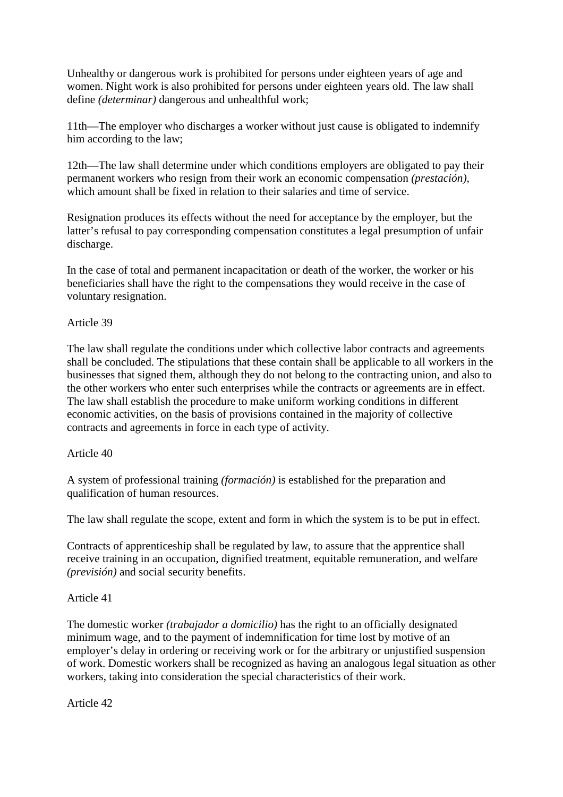Unhealthy or dangerous work is prohibited for persons under eighteen years of age and women. Night work is also prohibited for persons under eighteen years old. The law shall define *(determinar)* dangerous and unhealthful work;

11th—The employer who discharges a worker without just cause is obligated to indemnify him according to the law;

12th—The law shall determine under which conditions employers are obligated to pay their permanent workers who resign from their work an economic compensation *(prestación)*, which amount shall be fixed in relation to their salaries and time of service.

Resignation produces its effects without the need for acceptance by the employer, but the latter's refusal to pay corresponding compensation constitutes a legal presumption of unfair discharge.

In the case of total and permanent incapacitation or death of the worker, the worker or his beneficiaries shall have the right to the compensations they would receive in the case of voluntary resignation.

## Article 39

The law shall regulate the conditions under which collective labor contracts and agreements shall be concluded. The stipulations that these contain shall be applicable to all workers in the businesses that signed them, although they do not belong to the contracting union, and also to the other workers who enter such enterprises while the contracts or agreements are in effect. The law shall establish the procedure to make uniform working conditions in different economic activities, on the basis of provisions contained in the majority of collective contracts and agreements in force in each type of activity.

#### Article 40

A system of professional training *(formación)* is established for the preparation and qualification of human resources.

The law shall regulate the scope, extent and form in which the system is to be put in effect.

Contracts of apprenticeship shall be regulated by law, to assure that the apprentice shall receive training in an occupation, dignified treatment, equitable remuneration, and welfare *(previsión)* and social security benefits.

#### Article 41

The domestic worker *(trabajador a domicilio)* has the right to an officially designated minimum wage, and to the payment of indemnification for time lost by motive of an employer's delay in ordering or receiving work or for the arbitrary or unjustified suspension of work. Domestic workers shall be recognized as having an analogous legal situation as other workers, taking into consideration the special characteristics of their work.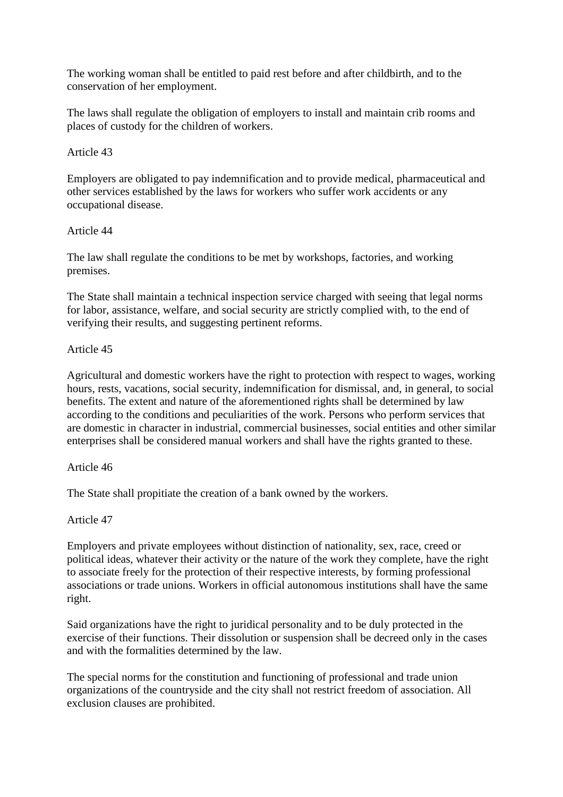The working woman shall be entitled to paid rest before and after childbirth, and to the conservation of her employment.

The laws shall regulate the obligation of employers to install and maintain crib rooms and places of custody for the children of workers.

## Article 43

Employers are obligated to pay indemnification and to provide medical, pharmaceutical and other services established by the laws for workers who suffer work accidents or any occupational disease.

## Article 44

The law shall regulate the conditions to be met by workshops, factories, and working premises.

The State shall maintain a technical inspection service charged with seeing that legal norms for labor, assistance, welfare, and social security are strictly complied with, to the end of verifying their results, and suggesting pertinent reforms.

## Article 45

Agricultural and domestic workers have the right to protection with respect to wages, working hours, rests, vacations, social security, indemnification for dismissal, and, in general, to social benefits. The extent and nature of the aforementioned rights shall be determined by law according to the conditions and peculiarities of the work. Persons who perform services that are domestic in character in industrial, commercial businesses, social entities and other similar enterprises shall be considered manual workers and shall have the rights granted to these.

#### Article 46

The State shall propitiate the creation of a bank owned by the workers.

## Article 47

Employers and private employees without distinction of nationality, sex, race, creed or political ideas, whatever their activity or the nature of the work they complete, have the right to associate freely for the protection of their respective interests, by forming professional associations or trade unions. Workers in official autonomous institutions shall have the same right.

Said organizations have the right to juridical personality and to be duly protected in the exercise of their functions. Their dissolution or suspension shall be decreed only in the cases and with the formalities determined by the law.

The special norms for the constitution and functioning of professional and trade union organizations of the countryside and the city shall not restrict freedom of association. All exclusion clauses are prohibited.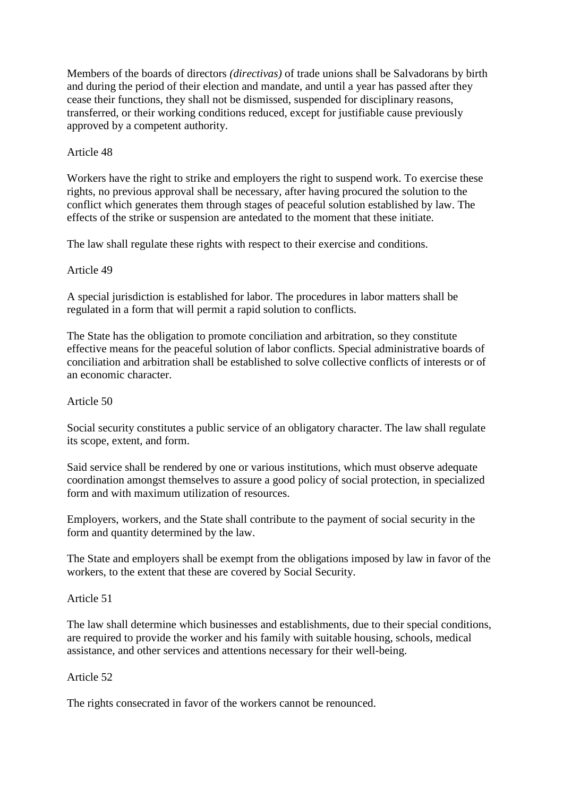Members of the boards of directors *(directivas)* of trade unions shall be Salvadorans by birth and during the period of their election and mandate, and until a year has passed after they cease their functions, they shall not be dismissed, suspended for disciplinary reasons, transferred, or their working conditions reduced, except for justifiable cause previously approved by a competent authority.

## Article 48

Workers have the right to strike and employers the right to suspend work. To exercise these rights, no previous approval shall be necessary, after having procured the solution to the conflict which generates them through stages of peaceful solution established by law. The effects of the strike or suspension are antedated to the moment that these initiate.

The law shall regulate these rights with respect to their exercise and conditions.

## Article 49

A special jurisdiction is established for labor. The procedures in labor matters shall be regulated in a form that will permit a rapid solution to conflicts.

The State has the obligation to promote conciliation and arbitration, so they constitute effective means for the peaceful solution of labor conflicts. Special administrative boards of conciliation and arbitration shall be established to solve collective conflicts of interests or of an economic character.

#### Article 50

Social security constitutes a public service of an obligatory character. The law shall regulate its scope, extent, and form.

Said service shall be rendered by one or various institutions, which must observe adequate coordination amongst themselves to assure a good policy of social protection, in specialized form and with maximum utilization of resources.

Employers, workers, and the State shall contribute to the payment of social security in the form and quantity determined by the law.

The State and employers shall be exempt from the obligations imposed by law in favor of the workers, to the extent that these are covered by Social Security.

#### Article 51

The law shall determine which businesses and establishments, due to their special conditions, are required to provide the worker and his family with suitable housing, schools, medical assistance, and other services and attentions necessary for their well-being.

#### Article 52

The rights consecrated in favor of the workers cannot be renounced.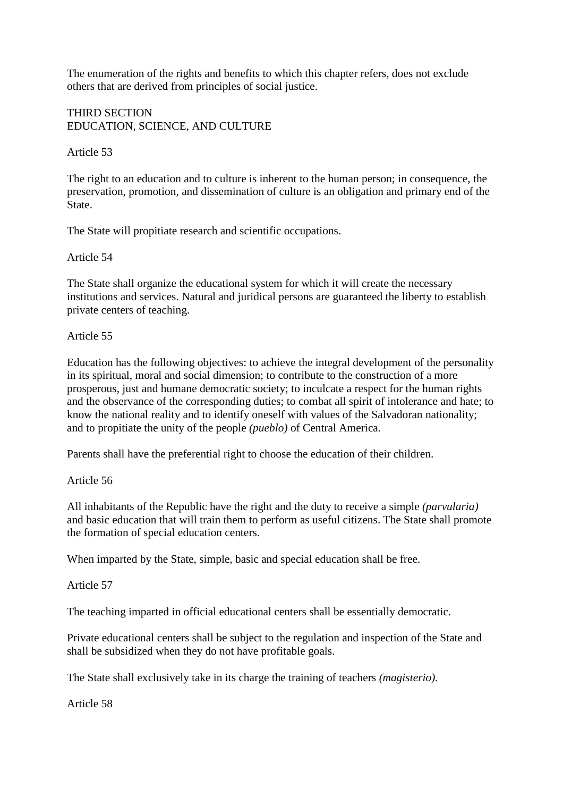The enumeration of the rights and benefits to which this chapter refers, does not exclude others that are derived from principles of social justice.

THIRD SECTION EDUCATION, SCIENCE, AND CULTURE

Article 53

The right to an education and to culture is inherent to the human person; in consequence, the preservation, promotion, and dissemination of culture is an obligation and primary end of the State.

The State will propitiate research and scientific occupations.

Article 54

The State shall organize the educational system for which it will create the necessary institutions and services. Natural and juridical persons are guaranteed the liberty to establish private centers of teaching.

Article 55

Education has the following objectives: to achieve the integral development of the personality in its spiritual, moral and social dimension; to contribute to the construction of a more prosperous, just and humane democratic society; to inculcate a respect for the human rights and the observance of the corresponding duties; to combat all spirit of intolerance and hate; to know the national reality and to identify oneself with values of the Salvadoran nationality; and to propitiate the unity of the people *(pueblo)* of Central America.

Parents shall have the preferential right to choose the education of their children.

Article 56

All inhabitants of the Republic have the right and the duty to receive a simple *(parvularia)* and basic education that will train them to perform as useful citizens. The State shall promote the formation of special education centers.

When imparted by the State, simple, basic and special education shall be free.

Article 57

The teaching imparted in official educational centers shall be essentially democratic.

Private educational centers shall be subject to the regulation and inspection of the State and shall be subsidized when they do not have profitable goals.

The State shall exclusively take in its charge the training of teachers *(magisterio)*.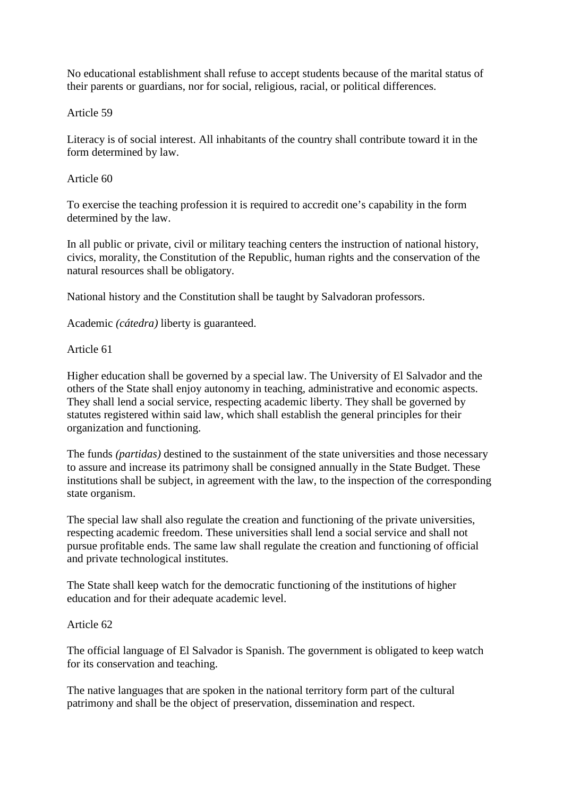No educational establishment shall refuse to accept students because of the marital status of their parents or guardians, nor for social, religious, racial, or political differences.

#### Article 59

Literacy is of social interest. All inhabitants of the country shall contribute toward it in the form determined by law.

## Article 60

To exercise the teaching profession it is required to accredit one's capability in the form determined by the law.

In all public or private, civil or military teaching centers the instruction of national history, civics, morality, the Constitution of the Republic, human rights and the conservation of the natural resources shall be obligatory.

National history and the Constitution shall be taught by Salvadoran professors.

Academic *(cátedra)* liberty is guaranteed.

## Article 61

Higher education shall be governed by a special law. The University of El Salvador and the others of the State shall enjoy autonomy in teaching, administrative and economic aspects. They shall lend a social service, respecting academic liberty. They shall be governed by statutes registered within said law, which shall establish the general principles for their organization and functioning.

The funds *(partidas)* destined to the sustainment of the state universities and those necessary to assure and increase its patrimony shall be consigned annually in the State Budget. These institutions shall be subject, in agreement with the law, to the inspection of the corresponding state organism.

The special law shall also regulate the creation and functioning of the private universities, respecting academic freedom. These universities shall lend a social service and shall not pursue profitable ends. The same law shall regulate the creation and functioning of official and private technological institutes.

The State shall keep watch for the democratic functioning of the institutions of higher education and for their adequate academic level.

#### Article 62

The official language of El Salvador is Spanish. The government is obligated to keep watch for its conservation and teaching.

The native languages that are spoken in the national territory form part of the cultural patrimony and shall be the object of preservation, dissemination and respect.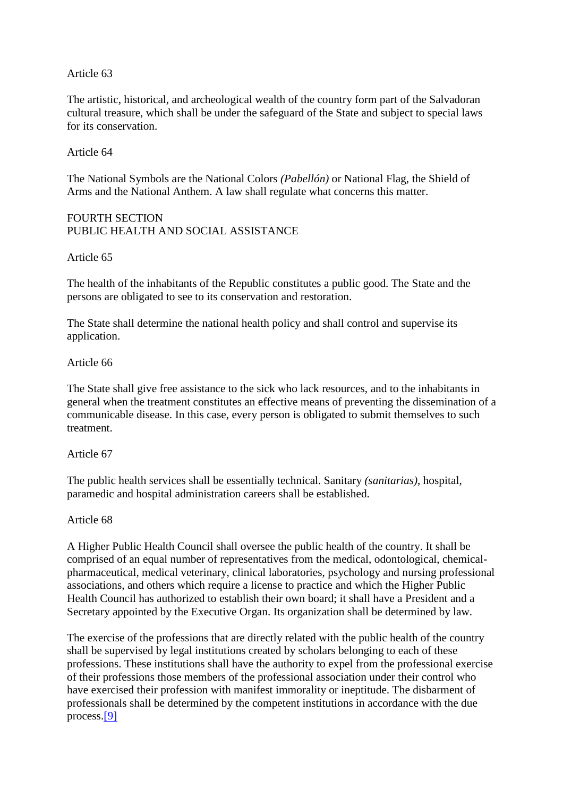Article 63

The artistic, historical, and archeological wealth of the country form part of the Salvadoran cultural treasure, which shall be under the safeguard of the State and subject to special laws for its conservation.

## Article 64

The National Symbols are the National Colors *(Pabellón)* or National Flag, the Shield of Arms and the National Anthem. A law shall regulate what concerns this matter.

## FOURTH SECTION PUBLIC HEALTH AND SOCIAL ASSISTANCE

#### Article 65

The health of the inhabitants of the Republic constitutes a public good. The State and the persons are obligated to see to its conservation and restoration.

The State shall determine the national health policy and shall control and supervise its application.

## Article 66

The State shall give free assistance to the sick who lack resources, and to the inhabitants in general when the treatment constitutes an effective means of preventing the dissemination of a communicable disease. In this case, every person is obligated to submit themselves to such treatment.

#### Article 67

The public health services shall be essentially technical. Sanitary *(sanitarias)*, hospital, paramedic and hospital administration careers shall be established.

#### Article 68

A Higher Public Health Council shall oversee the public health of the country. It shall be comprised of an equal number of representatives from the medical, odontological, chemicalpharmaceutical, medical veterinary, clinical laboratories, psychology and nursing professional associations, and others which require a license to practice and which the Higher Public Health Council has authorized to establish their own board; it shall have a President and a Secretary appointed by the Executive Organ. Its organization shall be determined by law.

The exercise of the professions that are directly related with the public health of the country shall be supervised by legal institutions created by scholars belonging to each of these professions. These institutions shall have the authority to expel from the professional exercise of their professions those members of the professional association under their control who have exercised their profession with manifest immorality or ineptitude. The disbarment of professionals shall be determined by the competent institutions in accordance with the due process.[9]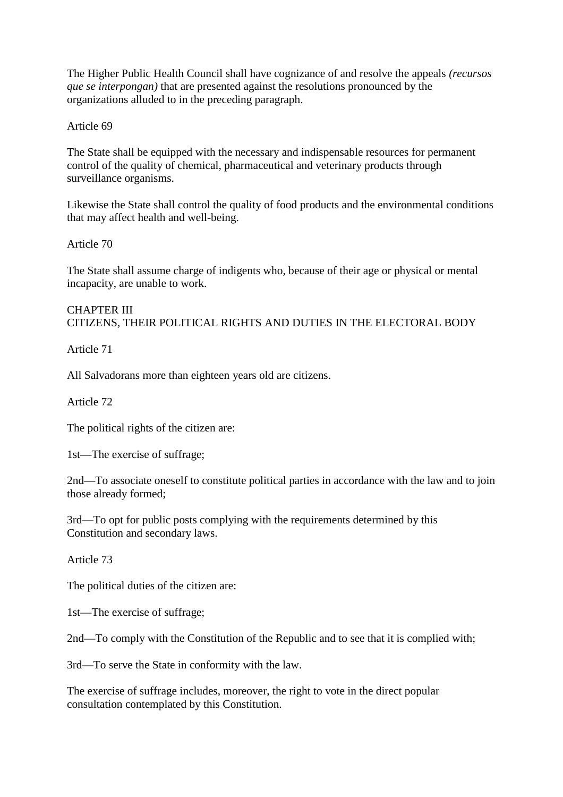The Higher Public Health Council shall have cognizance of and resolve the appeals *(recursos que se interpongan)* that are presented against the resolutions pronounced by the organizations alluded to in the preceding paragraph.

## Article 69

The State shall be equipped with the necessary and indispensable resources for permanent control of the quality of chemical, pharmaceutical and veterinary products through surveillance organisms.

Likewise the State shall control the quality of food products and the environmental conditions that may affect health and well-being.

## Article 70

The State shall assume charge of indigents who, because of their age or physical or mental incapacity, are unable to work.

# CHAPTER III CITIZENS, THEIR POLITICAL RIGHTS AND DUTIES IN THE ELECTORAL BODY

Article 71

All Salvadorans more than eighteen years old are citizens.

Article 72

The political rights of the citizen are:

1st—The exercise of suffrage;

2nd—To associate oneself to constitute political parties in accordance with the law and to join those already formed;

3rd—To opt for public posts complying with the requirements determined by this Constitution and secondary laws.

Article 73

The political duties of the citizen are:

1st—The exercise of suffrage;

2nd—To comply with the Constitution of the Republic and to see that it is complied with;

3rd—To serve the State in conformity with the law.

The exercise of suffrage includes, moreover, the right to vote in the direct popular consultation contemplated by this Constitution.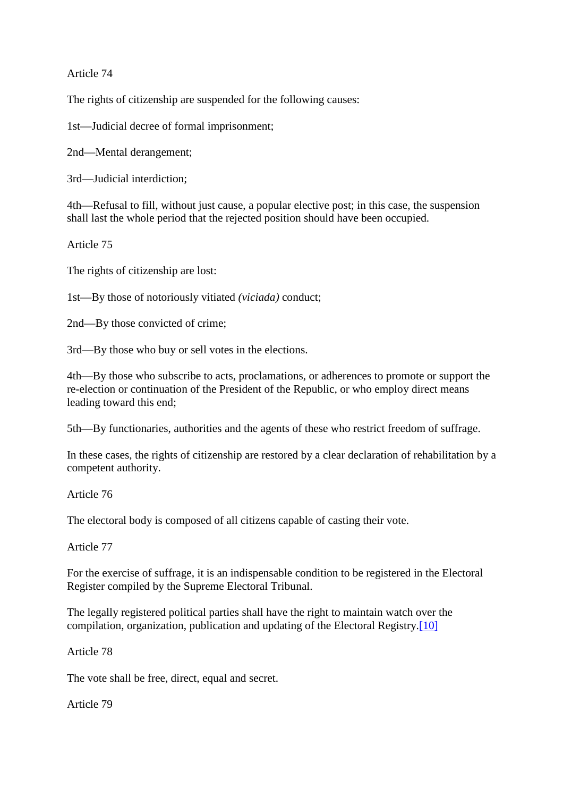Article 74

The rights of citizenship are suspended for the following causes:

1st—Judicial decree of formal imprisonment;

2nd—Mental derangement;

3rd—Judicial interdiction;

4th—Refusal to fill, without just cause, a popular elective post; in this case, the suspension shall last the whole period that the rejected position should have been occupied.

Article 75

The rights of citizenship are lost:

1st—By those of notoriously vitiated *(viciada)* conduct;

2nd—By those convicted of crime;

3rd—By those who buy or sell votes in the elections.

4th—By those who subscribe to acts, proclamations, or adherences to promote or support the re-election or continuation of the President of the Republic, or who employ direct means leading toward this end;

5th—By functionaries, authorities and the agents of these who restrict freedom of suffrage.

In these cases, the rights of citizenship are restored by a clear declaration of rehabilitation by a competent authority.

Article 76

The electoral body is composed of all citizens capable of casting their vote.

Article 77

For the exercise of suffrage, it is an indispensable condition to be registered in the Electoral Register compiled by the Supreme Electoral Tribunal.

The legally registered political parties shall have the right to maintain watch over the compilation, organization, publication and updating of the Electoral Registry.[10]

Article 78

The vote shall be free, direct, equal and secret.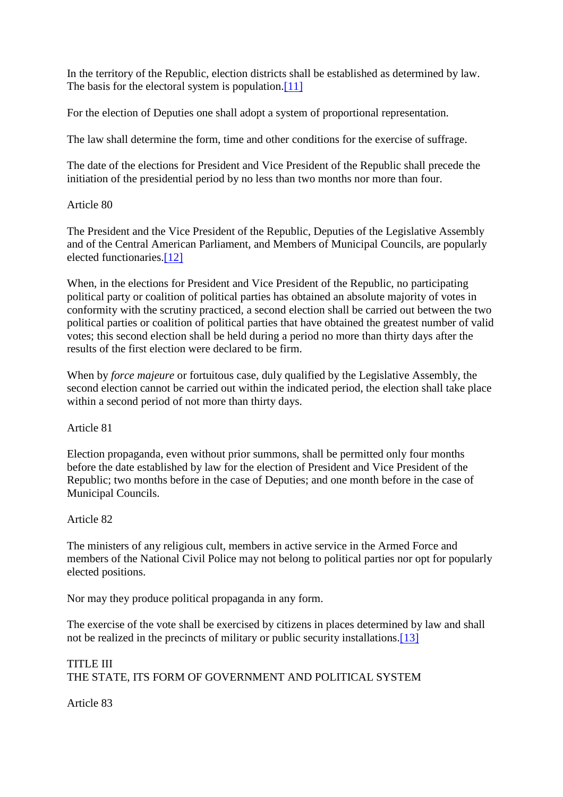In the territory of the Republic, election districts shall be established as determined by law. The basis for the electoral system is population.<sup>[11]</sup>

For the election of Deputies one shall adopt a system of proportional representation.

The law shall determine the form, time and other conditions for the exercise of suffrage.

The date of the elections for President and Vice President of the Republic shall precede the initiation of the presidential period by no less than two months nor more than four.

## Article 80

The President and the Vice President of the Republic, Deputies of the Legislative Assembly and of the Central American Parliament, and Members of Municipal Councils, are popularly elected functionaries.[12]

When, in the elections for President and Vice President of the Republic, no participating political party or coalition of political parties has obtained an absolute majority of votes in conformity with the scrutiny practiced, a second election shall be carried out between the two political parties or coalition of political parties that have obtained the greatest number of valid votes; this second election shall be held during a period no more than thirty days after the results of the first election were declared to be firm.

When by *force majeure* or fortuitous case, duly qualified by the Legislative Assembly, the second election cannot be carried out within the indicated period, the election shall take place within a second period of not more than thirty days.

#### Article 81

Election propaganda, even without prior summons, shall be permitted only four months before the date established by law for the election of President and Vice President of the Republic; two months before in the case of Deputies; and one month before in the case of Municipal Councils.

#### Article 82

The ministers of any religious cult, members in active service in the Armed Force and members of the National Civil Police may not belong to political parties nor opt for popularly elected positions.

Nor may they produce political propaganda in any form.

The exercise of the vote shall be exercised by citizens in places determined by law and shall not be realized in the precincts of military or public security installations.<sup>[13]</sup>

# TITLE III THE STATE, ITS FORM OF GOVERNMENT AND POLITICAL SYSTEM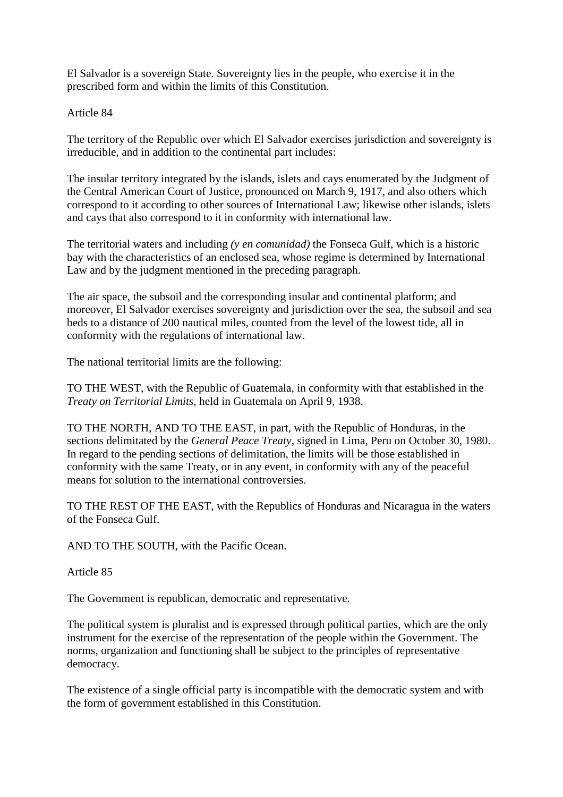El Salvador is a sovereign State. Sovereignty lies in the people, who exercise it in the prescribed form and within the limits of this Constitution.

Article 84

The territory of the Republic over which El Salvador exercises jurisdiction and sovereignty is irreducible, and in addition to the continental part includes:

The insular territory integrated by the islands, islets and cays enumerated by the Judgment of the Central American Court of Justice, pronounced on March 9, 1917, and also others which correspond to it according to other sources of International Law; likewise other islands, islets and cays that also correspond to it in conformity with international law.

The territorial waters and including *(y en comunidad)* the Fonseca Gulf, which is a historic bay with the characteristics of an enclosed sea, whose regime is determined by International Law and by the judgment mentioned in the preceding paragraph.

The air space, the subsoil and the corresponding insular and continental platform; and moreover, El Salvador exercises sovereignty and jurisdiction over the sea, the subsoil and sea beds to a distance of 200 nautical miles, counted from the level of the lowest tide, all in conformity with the regulations of international law.

The national territorial limits are the following:

TO THE WEST, with the Republic of Guatemala, in conformity with that established in the *Treaty on Territorial Limits*, held in Guatemala on April 9, 1938.

TO THE NORTH, AND TO THE EAST, in part, with the Republic of Honduras, in the sections delimitated by the *General Peace Treaty*, signed in Lima, Peru on October 30, 1980. In regard to the pending sections of delimitation, the limits will be those established in conformity with the same Treaty, or in any event, in conformity with any of the peaceful means for solution to the international controversies.

TO THE REST OF THE EAST, with the Republics of Honduras and Nicaragua in the waters of the Fonseca Gulf.

AND TO THE SOUTH, with the Pacific Ocean.

Article 85

The Government is republican, democratic and representative.

The political system is pluralist and is expressed through political parties, which are the only instrument for the exercise of the representation of the people within the Government. The norms, organization and functioning shall be subject to the principles of representative democracy.

The existence of a single official party is incompatible with the democratic system and with the form of government established in this Constitution.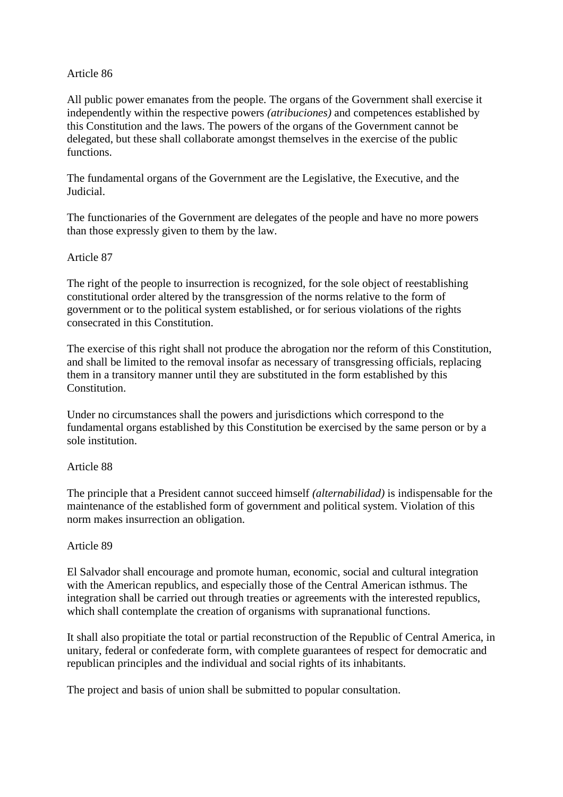## Article 86

All public power emanates from the people. The organs of the Government shall exercise it independently within the respective powers *(atribuciones)* and competences established by this Constitution and the laws. The powers of the organs of the Government cannot be delegated, but these shall collaborate amongst themselves in the exercise of the public functions.

The fundamental organs of the Government are the Legislative, the Executive, and the Judicial.

The functionaries of the Government are delegates of the people and have no more powers than those expressly given to them by the law.

## Article 87

The right of the people to insurrection is recognized, for the sole object of reestablishing constitutional order altered by the transgression of the norms relative to the form of government or to the political system established, or for serious violations of the rights consecrated in this Constitution.

The exercise of this right shall not produce the abrogation nor the reform of this Constitution, and shall be limited to the removal insofar as necessary of transgressing officials, replacing them in a transitory manner until they are substituted in the form established by this Constitution.

Under no circumstances shall the powers and jurisdictions which correspond to the fundamental organs established by this Constitution be exercised by the same person or by a sole institution.

## Article 88

The principle that a President cannot succeed himself *(alternabilidad)* is indispensable for the maintenance of the established form of government and political system. Violation of this norm makes insurrection an obligation.

#### Article 89

El Salvador shall encourage and promote human, economic, social and cultural integration with the American republics, and especially those of the Central American isthmus. The integration shall be carried out through treaties or agreements with the interested republics, which shall contemplate the creation of organisms with supranational functions.

It shall also propitiate the total or partial reconstruction of the Republic of Central America, in unitary, federal or confederate form, with complete guarantees of respect for democratic and republican principles and the individual and social rights of its inhabitants.

The project and basis of union shall be submitted to popular consultation.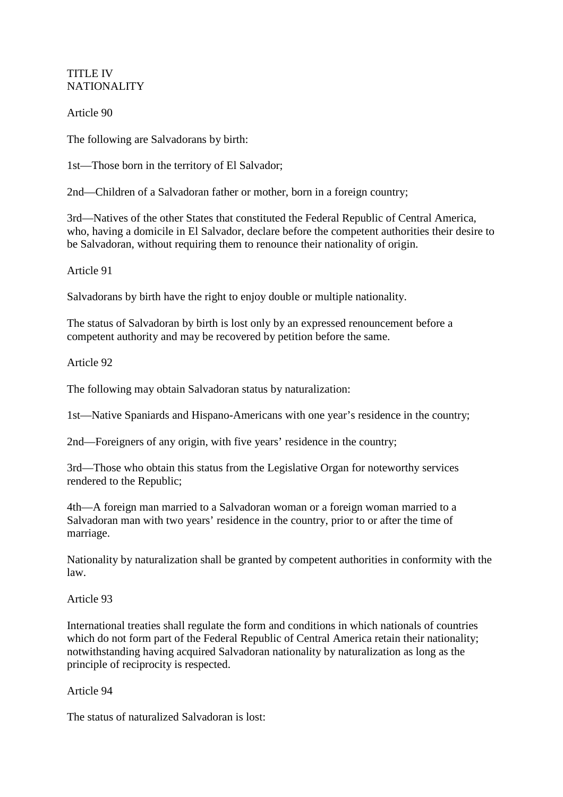#### TITLE IV NATIONALITY

## Article 90

The following are Salvadorans by birth:

1st—Those born in the territory of El Salvador;

2nd—Children of a Salvadoran father or mother, born in a foreign country;

3rd—Natives of the other States that constituted the Federal Republic of Central America, who, having a domicile in El Salvador, declare before the competent authorities their desire to be Salvadoran, without requiring them to renounce their nationality of origin.

Article 91

Salvadorans by birth have the right to enjoy double or multiple nationality.

The status of Salvadoran by birth is lost only by an expressed renouncement before a competent authority and may be recovered by petition before the same.

## Article 92

The following may obtain Salvadoran status by naturalization:

1st—Native Spaniards and Hispano-Americans with one year's residence in the country;

2nd—Foreigners of any origin, with five years' residence in the country;

3rd—Those who obtain this status from the Legislative Organ for noteworthy services rendered to the Republic;

4th—A foreign man married to a Salvadoran woman or a foreign woman married to a Salvadoran man with two years' residence in the country, prior to or after the time of marriage.

Nationality by naturalization shall be granted by competent authorities in conformity with the law.

## Article 93

International treaties shall regulate the form and conditions in which nationals of countries which do not form part of the Federal Republic of Central America retain their nationality; notwithstanding having acquired Salvadoran nationality by naturalization as long as the principle of reciprocity is respected.

Article 94

The status of naturalized Salvadoran is lost: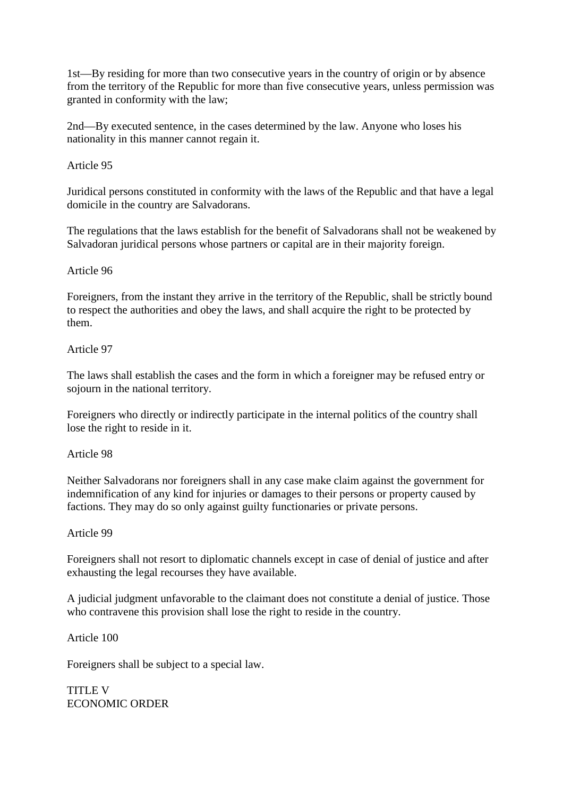1st—By residing for more than two consecutive years in the country of origin or by absence from the territory of the Republic for more than five consecutive years, unless permission was granted in conformity with the law;

2nd—By executed sentence, in the cases determined by the law. Anyone who loses his nationality in this manner cannot regain it.

## Article 95

Juridical persons constituted in conformity with the laws of the Republic and that have a legal domicile in the country are Salvadorans.

The regulations that the laws establish for the benefit of Salvadorans shall not be weakened by Salvadoran juridical persons whose partners or capital are in their majority foreign.

#### Article 96

Foreigners, from the instant they arrive in the territory of the Republic, shall be strictly bound to respect the authorities and obey the laws, and shall acquire the right to be protected by them.

## Article 97

The laws shall establish the cases and the form in which a foreigner may be refused entry or sojourn in the national territory.

Foreigners who directly or indirectly participate in the internal politics of the country shall lose the right to reside in it.

#### Article 98

Neither Salvadorans nor foreigners shall in any case make claim against the government for indemnification of any kind for injuries or damages to their persons or property caused by factions. They may do so only against guilty functionaries or private persons.

#### Article 99

Foreigners shall not resort to diplomatic channels except in case of denial of justice and after exhausting the legal recourses they have available.

A judicial judgment unfavorable to the claimant does not constitute a denial of justice. Those who contravene this provision shall lose the right to reside in the country.

Article 100

Foreigners shall be subject to a special law.

TITLE V ECONOMIC ORDER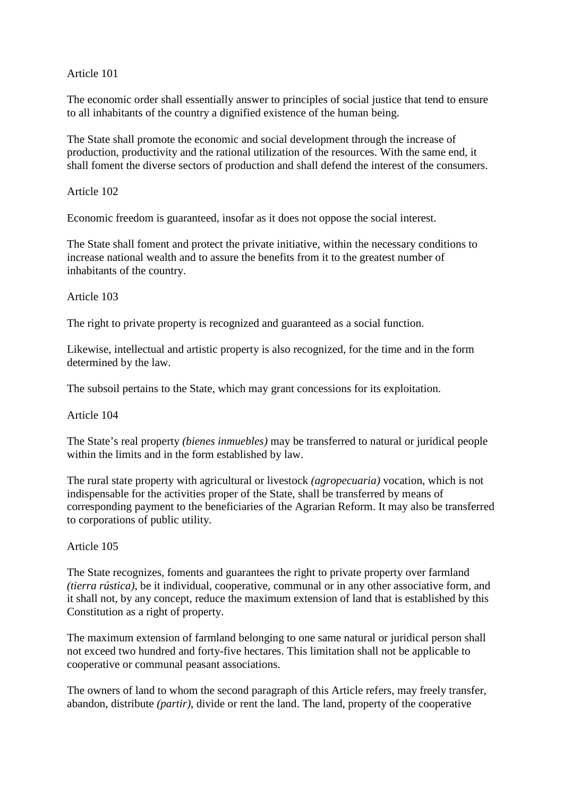Article 101

The economic order shall essentially answer to principles of social justice that tend to ensure to all inhabitants of the country a dignified existence of the human being.

The State shall promote the economic and social development through the increase of production, productivity and the rational utilization of the resources. With the same end, it shall foment the diverse sectors of production and shall defend the interest of the consumers.

Article 102

Economic freedom is guaranteed, insofar as it does not oppose the social interest.

The State shall foment and protect the private initiative, within the necessary conditions to increase national wealth and to assure the benefits from it to the greatest number of inhabitants of the country.

Article 103

The right to private property is recognized and guaranteed as a social function.

Likewise, intellectual and artistic property is also recognized, for the time and in the form determined by the law.

The subsoil pertains to the State, which may grant concessions for its exploitation.

Article 104

The State's real property *(bienes inmuebles)* may be transferred to natural or juridical people within the limits and in the form established by law.

The rural state property with agricultural or livestock *(agropecuaria)* vocation, which is not indispensable for the activities proper of the State, shall be transferred by means of corresponding payment to the beneficiaries of the Agrarian Reform. It may also be transferred to corporations of public utility.

Article 105

The State recognizes, foments and guarantees the right to private property over farmland *(tierra rústica)*, be it individual, cooperative, communal or in any other associative form, and it shall not, by any concept, reduce the maximum extension of land that is established by this Constitution as a right of property.

The maximum extension of farmland belonging to one same natural or juridical person shall not exceed two hundred and forty-five hectares. This limitation shall not be applicable to cooperative or communal peasant associations.

The owners of land to whom the second paragraph of this Article refers, may freely transfer, abandon, distribute *(partir)*, divide or rent the land. The land, property of the cooperative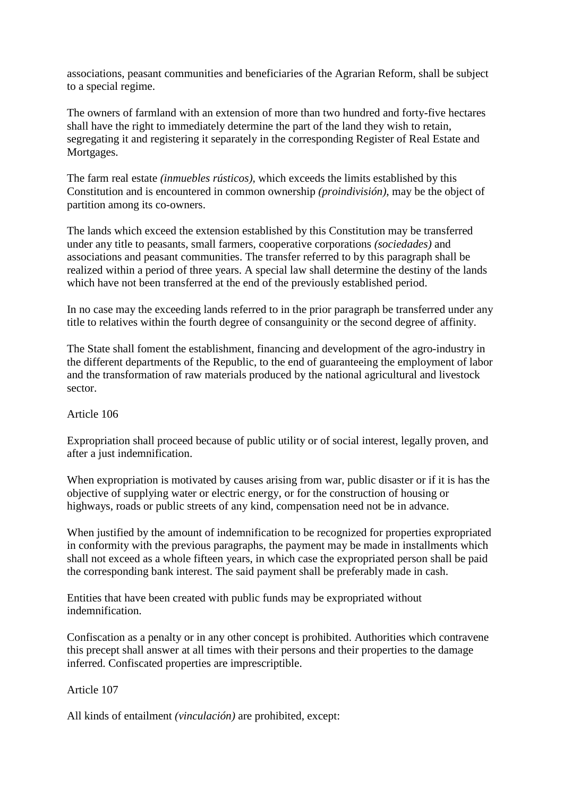associations, peasant communities and beneficiaries of the Agrarian Reform, shall be subject to a special regime.

The owners of farmland with an extension of more than two hundred and forty-five hectares shall have the right to immediately determine the part of the land they wish to retain, segregating it and registering it separately in the corresponding Register of Real Estate and Mortgages.

The farm real estate *(inmuebles rústicos),* which exceeds the limits established by this Constitution and is encountered in common ownership *(proindivisión)*, may be the object of partition among its co-owners.

The lands which exceed the extension established by this Constitution may be transferred under any title to peasants, small farmers, cooperative corporations *(sociedades)* and associations and peasant communities. The transfer referred to by this paragraph shall be realized within a period of three years. A special law shall determine the destiny of the lands which have not been transferred at the end of the previously established period.

In no case may the exceeding lands referred to in the prior paragraph be transferred under any title to relatives within the fourth degree of consanguinity or the second degree of affinity.

The State shall foment the establishment, financing and development of the agro-industry in the different departments of the Republic, to the end of guaranteeing the employment of labor and the transformation of raw materials produced by the national agricultural and livestock sector.

#### Article 106

Expropriation shall proceed because of public utility or of social interest, legally proven, and after a just indemnification.

When expropriation is motivated by causes arising from war, public disaster or if it is has the objective of supplying water or electric energy, or for the construction of housing or highways, roads or public streets of any kind, compensation need not be in advance.

When justified by the amount of indemnification to be recognized for properties expropriated in conformity with the previous paragraphs, the payment may be made in installments which shall not exceed as a whole fifteen years, in which case the expropriated person shall be paid the corresponding bank interest. The said payment shall be preferably made in cash.

Entities that have been created with public funds may be expropriated without indemnification.

Confiscation as a penalty or in any other concept is prohibited. Authorities which contravene this precept shall answer at all times with their persons and their properties to the damage inferred. Confiscated properties are imprescriptible.

Article 107

All kinds of entailment *(vinculación)* are prohibited, except: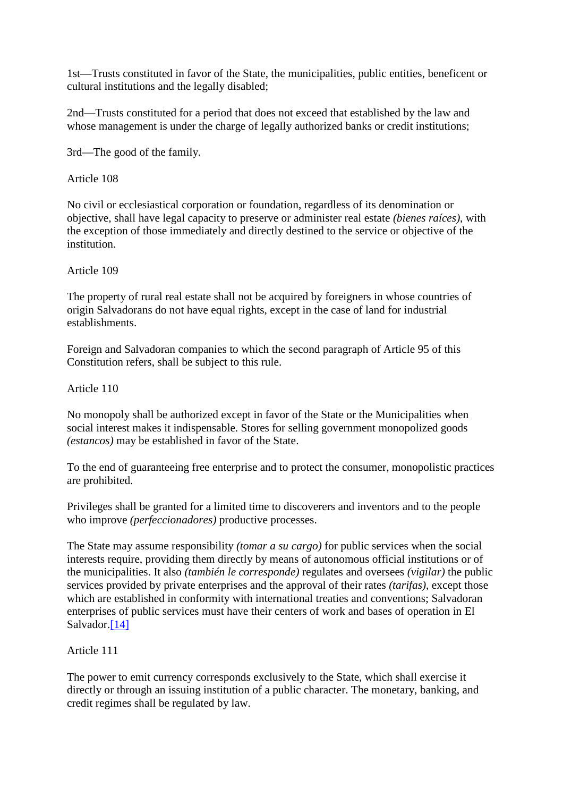1st—Trusts constituted in favor of the State, the municipalities, public entities, beneficent or cultural institutions and the legally disabled;

2nd—Trusts constituted for a period that does not exceed that established by the law and whose management is under the charge of legally authorized banks or credit institutions;

3rd—The good of the family.

Article 108

No civil or ecclesiastical corporation or foundation, regardless of its denomination or objective, shall have legal capacity to preserve or administer real estate *(bienes raíces)*, with the exception of those immediately and directly destined to the service or objective of the institution.

Article 109

The property of rural real estate shall not be acquired by foreigners in whose countries of origin Salvadorans do not have equal rights, except in the case of land for industrial establishments.

Foreign and Salvadoran companies to which the second paragraph of Article 95 of this Constitution refers, shall be subject to this rule.

Article 110

No monopoly shall be authorized except in favor of the State or the Municipalities when social interest makes it indispensable. Stores for selling government monopolized goods *(estancos)* may be established in favor of the State.

To the end of guaranteeing free enterprise and to protect the consumer, monopolistic practices are prohibited.

Privileges shall be granted for a limited time to discoverers and inventors and to the people who improve *(perfeccionadores)* productive processes.

The State may assume responsibility *(tomar a su cargo)* for public services when the social interests require, providing them directly by means of autonomous official institutions or of the municipalities. It also *(también le corresponde)* regulates and oversees *(vigilar)* the public services provided by private enterprises and the approval of their rates *(tarifas)*, except those which are established in conformity with international treaties and conventions; Salvadoran enterprises of public services must have their centers of work and bases of operation in El Salvador.<sup>[14]</sup>

## Article 111

The power to emit currency corresponds exclusively to the State, which shall exercise it directly or through an issuing institution of a public character. The monetary, banking, and credit regimes shall be regulated by law.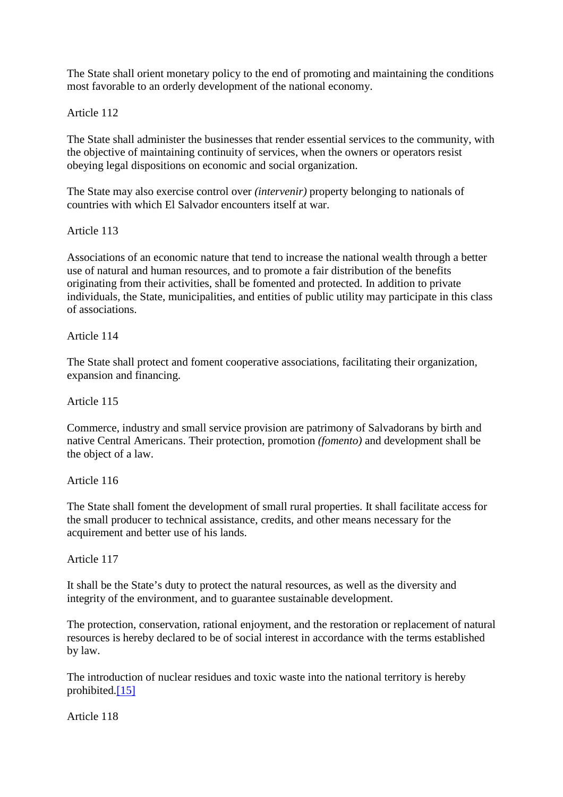The State shall orient monetary policy to the end of promoting and maintaining the conditions most favorable to an orderly development of the national economy.

### Article 112

The State shall administer the businesses that render essential services to the community, with the objective of maintaining continuity of services, when the owners or operators resist obeying legal dispositions on economic and social organization.

The State may also exercise control over *(intervenir)* property belonging to nationals of countries with which El Salvador encounters itself at war.

#### Article 113

Associations of an economic nature that tend to increase the national wealth through a better use of natural and human resources, and to promote a fair distribution of the benefits originating from their activities, shall be fomented and protected. In addition to private individuals, the State, municipalities, and entities of public utility may participate in this class of associations.

## Article 114

The State shall protect and foment cooperative associations, facilitating their organization, expansion and financing.

## Article 115

Commerce, industry and small service provision are patrimony of Salvadorans by birth and native Central Americans. Their protection, promotion *(fomento)* and development shall be the object of a law.

## Article 116

The State shall foment the development of small rural properties. It shall facilitate access for the small producer to technical assistance, credits, and other means necessary for the acquirement and better use of his lands.

#### Article 117

It shall be the State's duty to protect the natural resources, as well as the diversity and integrity of the environment, and to guarantee sustainable development.

The protection, conservation, rational enjoyment, and the restoration or replacement of natural resources is hereby declared to be of social interest in accordance with the terms established by law.

The introduction of nuclear residues and toxic waste into the national territory is hereby prohibited.[15]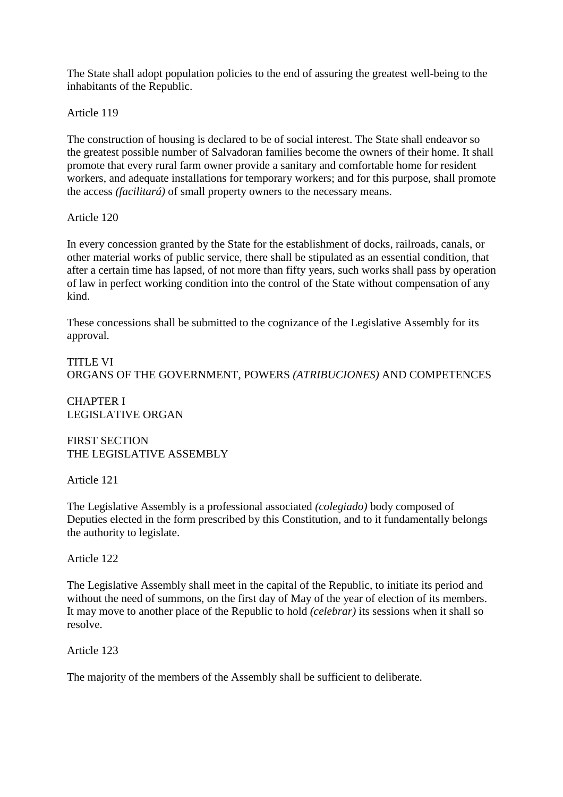The State shall adopt population policies to the end of assuring the greatest well-being to the inhabitants of the Republic.

Article 119

The construction of housing is declared to be of social interest. The State shall endeavor so the greatest possible number of Salvadoran families become the owners of their home. It shall promote that every rural farm owner provide a sanitary and comfortable home for resident workers, and adequate installations for temporary workers; and for this purpose, shall promote the access *(facilitará)* of small property owners to the necessary means.

Article 120

In every concession granted by the State for the establishment of docks, railroads, canals, or other material works of public service, there shall be stipulated as an essential condition, that after a certain time has lapsed, of not more than fifty years, such works shall pass by operation of law in perfect working condition into the control of the State without compensation of any kind.

These concessions shall be submitted to the cognizance of the Legislative Assembly for its approval.

TITLE VI

ORGANS OF THE GOVERNMENT, POWERS *(ATRIBUCIONES)* AND COMPETENCES

CHAPTER I LEGISLATIVE ORGAN

FIRST SECTION THE LEGISLATIVE ASSEMBLY

Article 121

The Legislative Assembly is a professional associated *(colegiado)* body composed of Deputies elected in the form prescribed by this Constitution, and to it fundamentally belongs the authority to legislate.

Article 122

The Legislative Assembly shall meet in the capital of the Republic, to initiate its period and without the need of summons, on the first day of May of the year of election of its members. It may move to another place of the Republic to hold *(celebrar)* its sessions when it shall so resolve.

Article 123

The majority of the members of the Assembly shall be sufficient to deliberate.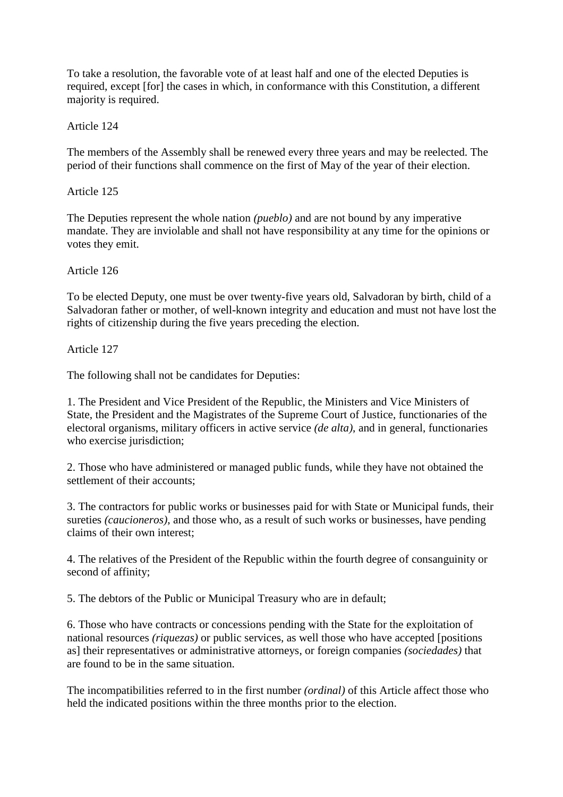To take a resolution, the favorable vote of at least half and one of the elected Deputies is required, except [for] the cases in which, in conformance with this Constitution, a different majority is required.

Article 124

The members of the Assembly shall be renewed every three years and may be reelected. The period of their functions shall commence on the first of May of the year of their election.

Article 125

The Deputies represent the whole nation *(pueblo)* and are not bound by any imperative mandate. They are inviolable and shall not have responsibility at any time for the opinions or votes they emit.

Article 126

To be elected Deputy, one must be over twenty-five years old, Salvadoran by birth, child of a Salvadoran father or mother, of well-known integrity and education and must not have lost the rights of citizenship during the five years preceding the election.

Article 127

The following shall not be candidates for Deputies:

1. The President and Vice President of the Republic, the Ministers and Vice Ministers of State, the President and the Magistrates of the Supreme Court of Justice, functionaries of the electoral organisms, military officers in active service *(de alta)*, and in general, functionaries who exercise jurisdiction;

2. Those who have administered or managed public funds, while they have not obtained the settlement of their accounts;

3. The contractors for public works or businesses paid for with State or Municipal funds, their sureties *(caucioneros)*, and those who, as a result of such works or businesses, have pending claims of their own interest;

4. The relatives of the President of the Republic within the fourth degree of consanguinity or second of affinity;

5. The debtors of the Public or Municipal Treasury who are in default;

6. Those who have contracts or concessions pending with the State for the exploitation of national resources *(riquezas)* or public services, as well those who have accepted [positions as] their representatives or administrative attorneys, or foreign companies *(sociedades)* that are found to be in the same situation.

The incompatibilities referred to in the first number *(ordinal)* of this Article affect those who held the indicated positions within the three months prior to the election.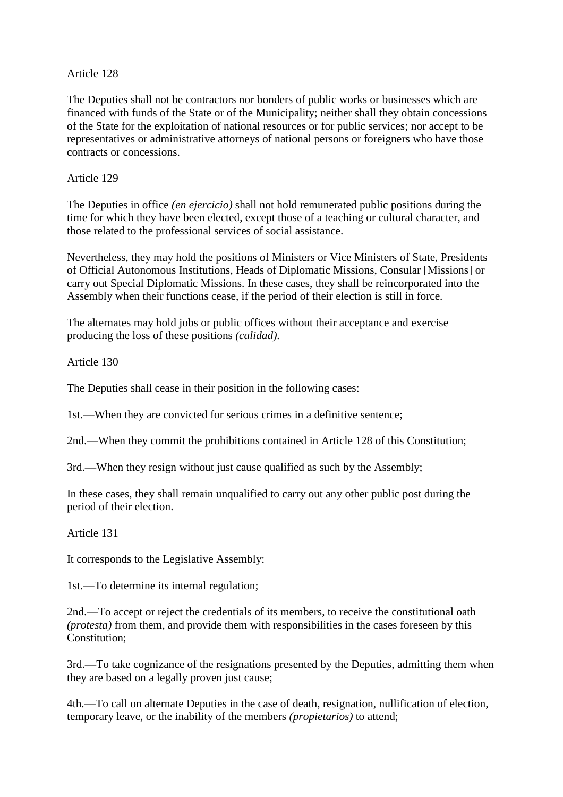## Article 128

The Deputies shall not be contractors nor bonders of public works or businesses which are financed with funds of the State or of the Municipality; neither shall they obtain concessions of the State for the exploitation of national resources or for public services; nor accept to be representatives or administrative attorneys of national persons or foreigners who have those contracts or concessions.

## Article 129

The Deputies in office *(en ejercicio)* shall not hold remunerated public positions during the time for which they have been elected, except those of a teaching or cultural character, and those related to the professional services of social assistance.

Nevertheless, they may hold the positions of Ministers or Vice Ministers of State, Presidents of Official Autonomous Institutions, Heads of Diplomatic Missions, Consular [Missions] or carry out Special Diplomatic Missions. In these cases, they shall be reincorporated into the Assembly when their functions cease, if the period of their election is still in force.

The alternates may hold jobs or public offices without their acceptance and exercise producing the loss of these positions *(calidad)*.

Article 130

The Deputies shall cease in their position in the following cases:

1st.—When they are convicted for serious crimes in a definitive sentence;

2nd.—When they commit the prohibitions contained in Article 128 of this Constitution;

3rd.—When they resign without just cause qualified as such by the Assembly;

In these cases, they shall remain unqualified to carry out any other public post during the period of their election.

Article 131

It corresponds to the Legislative Assembly:

1st.—To determine its internal regulation;

2nd.—To accept or reject the credentials of its members, to receive the constitutional oath *(protesta)* from them, and provide them with responsibilities in the cases foreseen by this Constitution;

3rd.—To take cognizance of the resignations presented by the Deputies, admitting them when they are based on a legally proven just cause;

4th.—To call on alternate Deputies in the case of death, resignation, nullification of election, temporary leave, or the inability of the members *(propietarios)* to attend;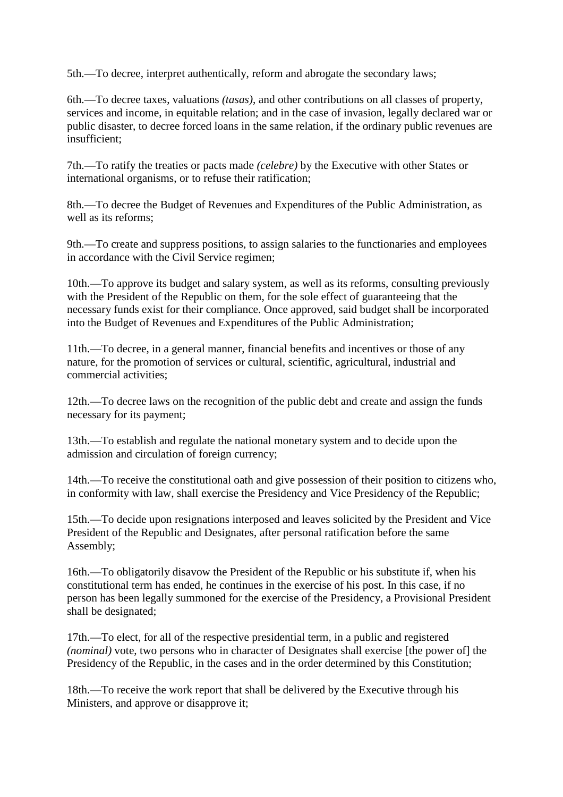5th.—To decree, interpret authentically, reform and abrogate the secondary laws;

6th.—To decree taxes, valuations *(tasas)*, and other contributions on all classes of property, services and income, in equitable relation; and in the case of invasion, legally declared war or public disaster, to decree forced loans in the same relation, if the ordinary public revenues are insufficient;

7th.—To ratify the treaties or pacts made *(celebre)* by the Executive with other States or international organisms, or to refuse their ratification;

8th.—To decree the Budget of Revenues and Expenditures of the Public Administration, as well as its reforms;

9th.—To create and suppress positions, to assign salaries to the functionaries and employees in accordance with the Civil Service regimen;

10th.—To approve its budget and salary system, as well as its reforms, consulting previously with the President of the Republic on them, for the sole effect of guaranteeing that the necessary funds exist for their compliance. Once approved, said budget shall be incorporated into the Budget of Revenues and Expenditures of the Public Administration;

11th.—To decree, in a general manner, financial benefits and incentives or those of any nature, for the promotion of services or cultural, scientific, agricultural, industrial and commercial activities;

12th.—To decree laws on the recognition of the public debt and create and assign the funds necessary for its payment;

13th.—To establish and regulate the national monetary system and to decide upon the admission and circulation of foreign currency;

14th.—To receive the constitutional oath and give possession of their position to citizens who, in conformity with law, shall exercise the Presidency and Vice Presidency of the Republic;

15th.—To decide upon resignations interposed and leaves solicited by the President and Vice President of the Republic and Designates, after personal ratification before the same Assembly;

16th.—To obligatorily disavow the President of the Republic or his substitute if, when his constitutional term has ended, he continues in the exercise of his post. In this case, if no person has been legally summoned for the exercise of the Presidency, a Provisional President shall be designated;

17th.—To elect, for all of the respective presidential term, in a public and registered *(nominal)* vote, two persons who in character of Designates shall exercise [the power of] the Presidency of the Republic, in the cases and in the order determined by this Constitution;

18th.—To receive the work report that shall be delivered by the Executive through his Ministers, and approve or disapprove it;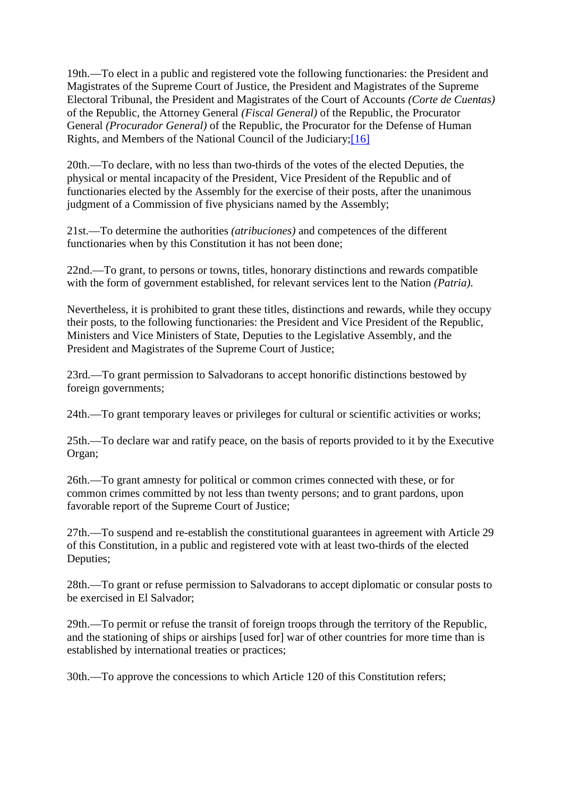19th.—To elect in a public and registered vote the following functionaries: the President and Magistrates of the Supreme Court of Justice, the President and Magistrates of the Supreme Electoral Tribunal, the President and Magistrates of the Court of Accounts *(Corte de Cuentas)* of the Republic, the Attorney General *(Fiscal General)* of the Republic, the Procurator General *(Procurador General)* of the Republic, the Procurator for the Defense of Human Rights, and Members of the National Council of the Judiciary;[16]

20th.—To declare, with no less than two-thirds of the votes of the elected Deputies, the physical or mental incapacity of the President, Vice President of the Republic and of functionaries elected by the Assembly for the exercise of their posts, after the unanimous judgment of a Commission of five physicians named by the Assembly;

21st.—To determine the authorities *(atribuciones)* and competences of the different functionaries when by this Constitution it has not been done;

22nd.—To grant, to persons or towns, titles, honorary distinctions and rewards compatible with the form of government established, for relevant services lent to the Nation *(Patria)*.

Nevertheless, it is prohibited to grant these titles, distinctions and rewards, while they occupy their posts, to the following functionaries: the President and Vice President of the Republic, Ministers and Vice Ministers of State, Deputies to the Legislative Assembly, and the President and Magistrates of the Supreme Court of Justice;

23rd.—To grant permission to Salvadorans to accept honorific distinctions bestowed by foreign governments;

24th.—To grant temporary leaves or privileges for cultural or scientific activities or works;

25th.—To declare war and ratify peace, on the basis of reports provided to it by the Executive Organ;

26th.—To grant amnesty for political or common crimes connected with these, or for common crimes committed by not less than twenty persons; and to grant pardons, upon favorable report of the Supreme Court of Justice;

27th.—To suspend and re-establish the constitutional guarantees in agreement with Article 29 of this Constitution, in a public and registered vote with at least two-thirds of the elected Deputies;

28th.—To grant or refuse permission to Salvadorans to accept diplomatic or consular posts to be exercised in El Salvador;

29th.—To permit or refuse the transit of foreign troops through the territory of the Republic, and the stationing of ships or airships [used for] war of other countries for more time than is established by international treaties or practices;

30th.—To approve the concessions to which Article 120 of this Constitution refers;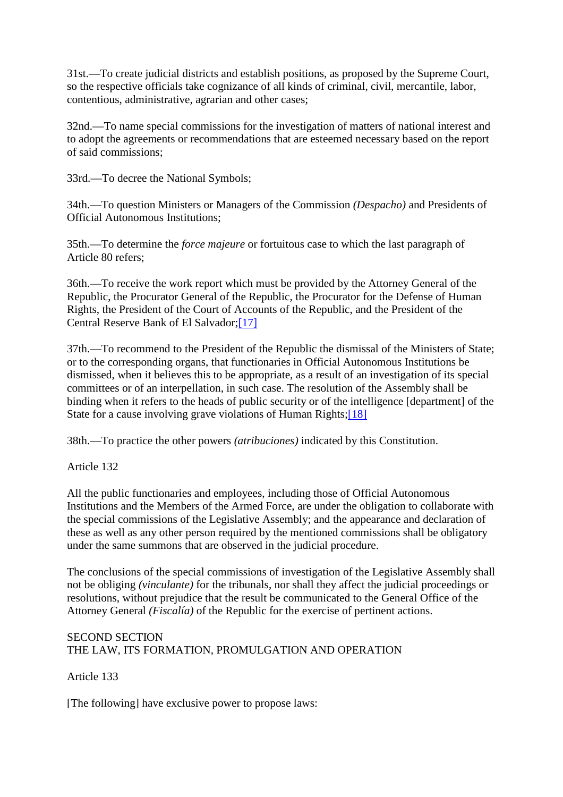31st.—To create judicial districts and establish positions, as proposed by the Supreme Court, so the respective officials take cognizance of all kinds of criminal, civil, mercantile, labor, contentious, administrative, agrarian and other cases;

32nd.—To name special commissions for the investigation of matters of national interest and to adopt the agreements or recommendations that are esteemed necessary based on the report of said commissions;

33rd.—To decree the National Symbols;

34th.—To question Ministers or Managers of the Commission *(Despacho)* and Presidents of Official Autonomous Institutions;

35th.—To determine the *force majeure* or fortuitous case to which the last paragraph of Article 80 refers;

36th.—To receive the work report which must be provided by the Attorney General of the Republic, the Procurator General of the Republic, the Procurator for the Defense of Human Rights, the President of the Court of Accounts of the Republic, and the President of the Central Reserve Bank of El Salvador;[17]

37th.—To recommend to the President of the Republic the dismissal of the Ministers of State; or to the corresponding organs, that functionaries in Official Autonomous Institutions be dismissed, when it believes this to be appropriate, as a result of an investigation of its special committees or of an interpellation, in such case. The resolution of the Assembly shall be binding when it refers to the heads of public security or of the intelligence [department] of the State for a cause involving grave violations of Human Rights;[18]

38th.—To practice the other powers *(atribuciones)* indicated by this Constitution.

Article 132

All the public functionaries and employees, including those of Official Autonomous Institutions and the Members of the Armed Force, are under the obligation to collaborate with the special commissions of the Legislative Assembly; and the appearance and declaration of these as well as any other person required by the mentioned commissions shall be obligatory under the same summons that are observed in the judicial procedure.

The conclusions of the special commissions of investigation of the Legislative Assembly shall not be obliging *(vinculante)* for the tribunals, nor shall they affect the judicial proceedings or resolutions, without prejudice that the result be communicated to the General Office of the Attorney General *(Fiscalía)* of the Republic for the exercise of pertinent actions.

# SECOND SECTION THE LAW, ITS FORMATION, PROMULGATION AND OPERATION

## Article 133

[The following] have exclusive power to propose laws: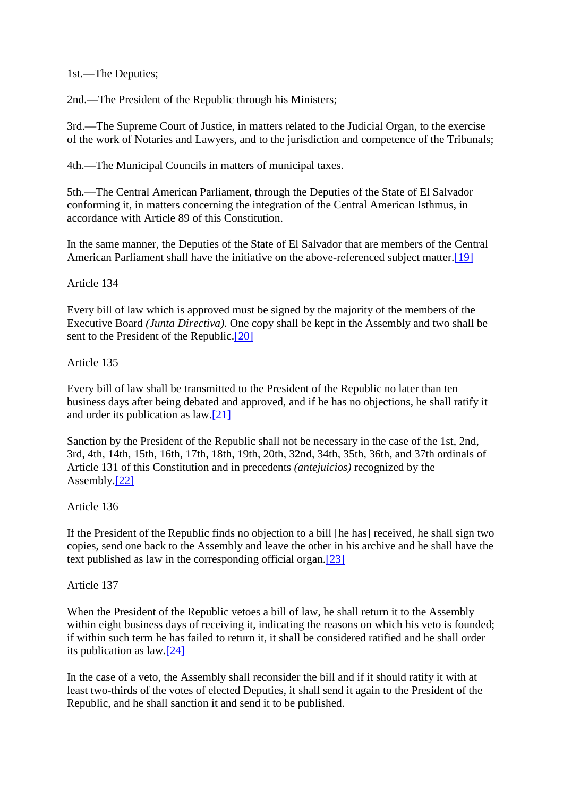1st.—The Deputies;

2nd.—The President of the Republic through his Ministers;

3rd.—The Supreme Court of Justice, in matters related to the Judicial Organ, to the exercise of the work of Notaries and Lawyers, and to the jurisdiction and competence of the Tribunals;

4th.—The Municipal Councils in matters of municipal taxes.

5th.—The Central American Parliament, through the Deputies of the State of El Salvador conforming it, in matters concerning the integration of the Central American Isthmus, in accordance with Article 89 of this Constitution.

In the same manner, the Deputies of the State of El Salvador that are members of the Central American Parliament shall have the initiative on the above-referenced subject matter.[19]

## Article 134

Every bill of law which is approved must be signed by the majority of the members of the Executive Board *(Junta Directiva)*. One copy shall be kept in the Assembly and two shall be sent to the President of the Republic.[20]

## Article 135

Every bill of law shall be transmitted to the President of the Republic no later than ten business days after being debated and approved, and if he has no objections, he shall ratify it and order its publication as law.[21]

Sanction by the President of the Republic shall not be necessary in the case of the 1st, 2nd, 3rd, 4th, 14th, 15th, 16th, 17th, 18th, 19th, 20th, 32nd, 34th, 35th, 36th, and 37th ordinals of Article 131 of this Constitution and in precedents *(antejuicios)* recognized by the Assembly.[22]

#### Article 136

If the President of the Republic finds no objection to a bill [he has] received, he shall sign two copies, send one back to the Assembly and leave the other in his archive and he shall have the text published as law in the corresponding official organ.[23]

#### Article 137

When the President of the Republic vetoes a bill of law, he shall return it to the Assembly within eight business days of receiving it, indicating the reasons on which his veto is founded; if within such term he has failed to return it, it shall be considered ratified and he shall order its publication as law.[24]

In the case of a veto, the Assembly shall reconsider the bill and if it should ratify it with at least two-thirds of the votes of elected Deputies, it shall send it again to the President of the Republic, and he shall sanction it and send it to be published.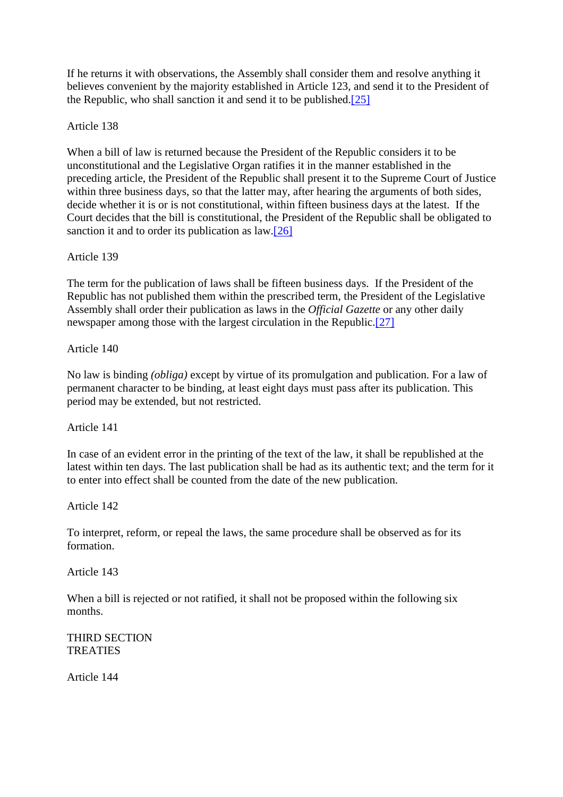If he returns it with observations, the Assembly shall consider them and resolve anything it believes convenient by the majority established in Article 123, and send it to the President of the Republic, who shall sanction it and send it to be published.[25]

## Article 138

When a bill of law is returned because the President of the Republic considers it to be unconstitutional and the Legislative Organ ratifies it in the manner established in the preceding article, the President of the Republic shall present it to the Supreme Court of Justice within three business days, so that the latter may, after hearing the arguments of both sides, decide whether it is or is not constitutional, within fifteen business days at the latest. If the Court decides that the bill is constitutional, the President of the Republic shall be obligated to sanction it and to order its publication as law.<sup>[26]</sup>

## Article 139

The term for the publication of laws shall be fifteen business days. If the President of the Republic has not published them within the prescribed term, the President of the Legislative Assembly shall order their publication as laws in the *Official Gazette* or any other daily newspaper among those with the largest circulation in the Republic.[27]

## Article 140

No law is binding *(obliga)* except by virtue of its promulgation and publication. For a law of permanent character to be binding, at least eight days must pass after its publication. This period may be extended, but not restricted.

#### Article 141

In case of an evident error in the printing of the text of the law, it shall be republished at the latest within ten days. The last publication shall be had as its authentic text; and the term for it to enter into effect shall be counted from the date of the new publication.

#### Article 142

To interpret, reform, or repeal the laws, the same procedure shall be observed as for its formation.

#### Article 143

When a bill is rejected or not ratified, it shall not be proposed within the following six months.

#### THIRD SECTION **TREATIES**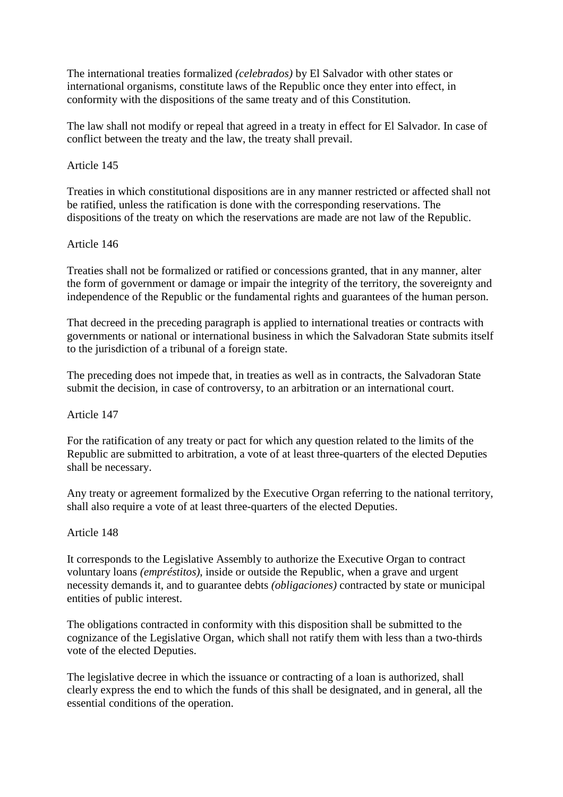The international treaties formalized *(celebrados)* by El Salvador with other states or international organisms, constitute laws of the Republic once they enter into effect, in conformity with the dispositions of the same treaty and of this Constitution.

The law shall not modify or repeal that agreed in a treaty in effect for El Salvador. In case of conflict between the treaty and the law, the treaty shall prevail.

## Article 145

Treaties in which constitutional dispositions are in any manner restricted or affected shall not be ratified, unless the ratification is done with the corresponding reservations. The dispositions of the treaty on which the reservations are made are not law of the Republic.

## Article 146

Treaties shall not be formalized or ratified or concessions granted, that in any manner, alter the form of government or damage or impair the integrity of the territory, the sovereignty and independence of the Republic or the fundamental rights and guarantees of the human person.

That decreed in the preceding paragraph is applied to international treaties or contracts with governments or national or international business in which the Salvadoran State submits itself to the jurisdiction of a tribunal of a foreign state.

The preceding does not impede that, in treaties as well as in contracts, the Salvadoran State submit the decision, in case of controversy, to an arbitration or an international court.

#### Article 147

For the ratification of any treaty or pact for which any question related to the limits of the Republic are submitted to arbitration, a vote of at least three-quarters of the elected Deputies shall be necessary.

Any treaty or agreement formalized by the Executive Organ referring to the national territory, shall also require a vote of at least three-quarters of the elected Deputies.

#### Article 148

It corresponds to the Legislative Assembly to authorize the Executive Organ to contract voluntary loans *(empréstitos)*, inside or outside the Republic, when a grave and urgent necessity demands it, and to guarantee debts *(obligaciones)* contracted by state or municipal entities of public interest.

The obligations contracted in conformity with this disposition shall be submitted to the cognizance of the Legislative Organ, which shall not ratify them with less than a two-thirds vote of the elected Deputies.

The legislative decree in which the issuance or contracting of a loan is authorized, shall clearly express the end to which the funds of this shall be designated, and in general, all the essential conditions of the operation.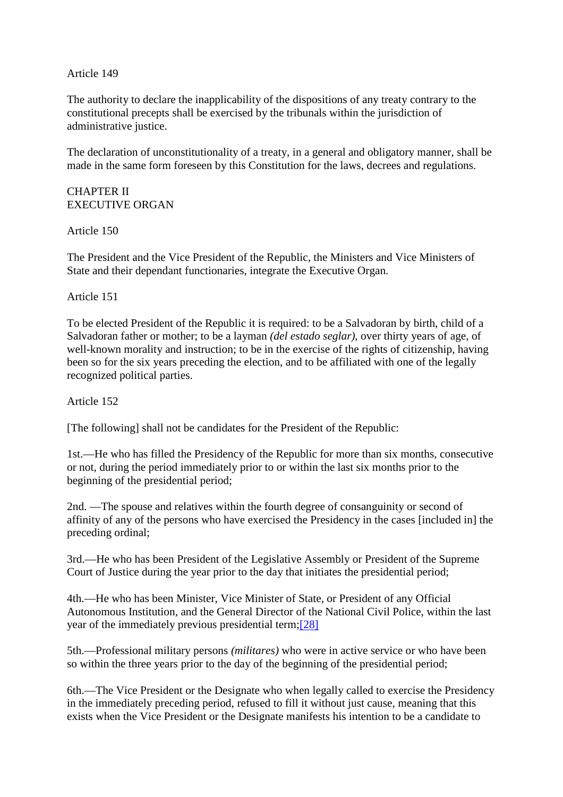The authority to declare the inapplicability of the dispositions of any treaty contrary to the constitutional precepts shall be exercised by the tribunals within the jurisdiction of administrative justice.

The declaration of unconstitutionality of a treaty, in a general and obligatory manner, shall be made in the same form foreseen by this Constitution for the laws, decrees and regulations.

# CHAPTER II EXECUTIVE ORGAN

# Article 150

The President and the Vice President of the Republic, the Ministers and Vice Ministers of State and their dependant functionaries, integrate the Executive Organ.

# Article 151

To be elected President of the Republic it is required: to be a Salvadoran by birth, child of a Salvadoran father or mother; to be a layman *(del estado seglar)*, over thirty years of age, of well-known morality and instruction; to be in the exercise of the rights of citizenship, having been so for the six years preceding the election, and to be affiliated with one of the legally recognized political parties.

Article 152

[The following] shall not be candidates for the President of the Republic:

1st.—He who has filled the Presidency of the Republic for more than six months, consecutive or not, during the period immediately prior to or within the last six months prior to the beginning of the presidential period;

2nd. —The spouse and relatives within the fourth degree of consanguinity or second of affinity of any of the persons who have exercised the Presidency in the cases [included in] the preceding ordinal;

3rd.—He who has been President of the Legislative Assembly or President of the Supreme Court of Justice during the year prior to the day that initiates the presidential period;

4th.—He who has been Minister, Vice Minister of State, or President of any Official Autonomous Institution, and the General Director of the National Civil Police, within the last year of the immediately previous presidential term;[28]

5th.—Professional military persons *(militares)* who were in active service or who have been so within the three years prior to the day of the beginning of the presidential period;

6th.—The Vice President or the Designate who when legally called to exercise the Presidency in the immediately preceding period, refused to fill it without just cause, meaning that this exists when the Vice President or the Designate manifests his intention to be a candidate to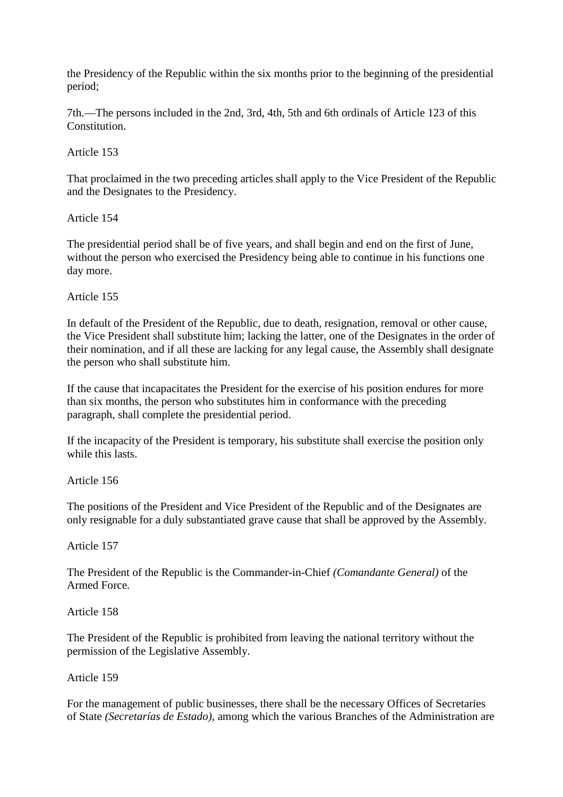the Presidency of the Republic within the six months prior to the beginning of the presidential period;

7th.—The persons included in the 2nd, 3rd, 4th, 5th and 6th ordinals of Article 123 of this Constitution.

Article 153

That proclaimed in the two preceding articles shall apply to the Vice President of the Republic and the Designates to the Presidency.

Article 154

The presidential period shall be of five years, and shall begin and end on the first of June, without the person who exercised the Presidency being able to continue in his functions one day more.

Article 155

In default of the President of the Republic, due to death, resignation, removal or other cause, the Vice President shall substitute him; lacking the latter, one of the Designates in the order of their nomination, and if all these are lacking for any legal cause, the Assembly shall designate the person who shall substitute him.

If the cause that incapacitates the President for the exercise of his position endures for more than six months, the person who substitutes him in conformance with the preceding paragraph, shall complete the presidential period.

If the incapacity of the President is temporary, his substitute shall exercise the position only while this lasts.

Article 156

The positions of the President and Vice President of the Republic and of the Designates are only resignable for a duly substantiated grave cause that shall be approved by the Assembly.

Article 157

The President of the Republic is the Commander-in-Chief *(Comandante General)* of the Armed Force.

Article 158

The President of the Republic is prohibited from leaving the national territory without the permission of the Legislative Assembly.

#### Article 159

For the management of public businesses, there shall be the necessary Offices of Secretaries of State *(Secretarías de Estado)*, among which the various Branches of the Administration are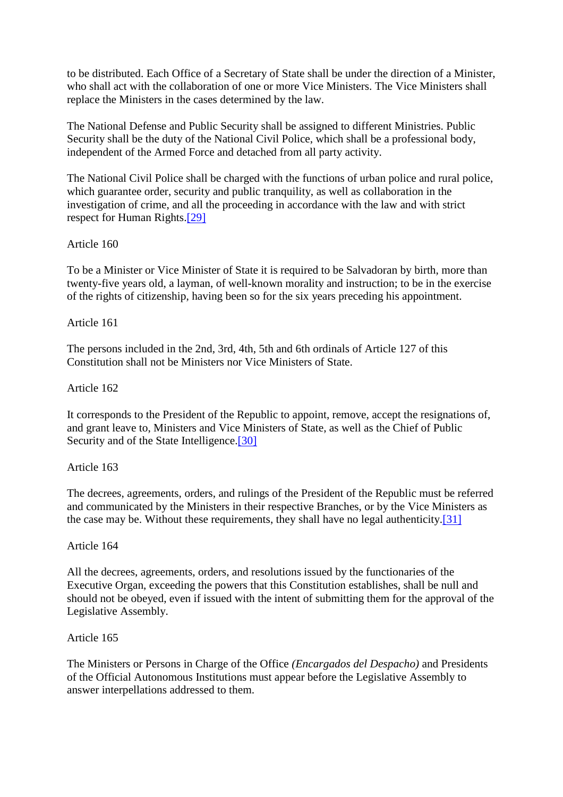to be distributed. Each Office of a Secretary of State shall be under the direction of a Minister, who shall act with the collaboration of one or more Vice Ministers. The Vice Ministers shall replace the Ministers in the cases determined by the law.

The National Defense and Public Security shall be assigned to different Ministries. Public Security shall be the duty of the National Civil Police, which shall be a professional body, independent of the Armed Force and detached from all party activity.

The National Civil Police shall be charged with the functions of urban police and rural police, which guarantee order, security and public tranquility, as well as collaboration in the investigation of crime, and all the proceeding in accordance with the law and with strict respect for Human Rights.[29]

# Article 160

To be a Minister or Vice Minister of State it is required to be Salvadoran by birth, more than twenty-five years old, a layman, of well-known morality and instruction; to be in the exercise of the rights of citizenship, having been so for the six years preceding his appointment.

# Article 161

The persons included in the 2nd, 3rd, 4th, 5th and 6th ordinals of Article 127 of this Constitution shall not be Ministers nor Vice Ministers of State.

# Article 162

It corresponds to the President of the Republic to appoint, remove, accept the resignations of, and grant leave to, Ministers and Vice Ministers of State, as well as the Chief of Public Security and of the State Intelligence.<sup>[30]</sup>

#### Article 163

The decrees, agreements, orders, and rulings of the President of the Republic must be referred and communicated by the Ministers in their respective Branches, or by the Vice Ministers as the case may be. Without these requirements, they shall have no legal authenticity.[31]

#### Article 164

All the decrees, agreements, orders, and resolutions issued by the functionaries of the Executive Organ, exceeding the powers that this Constitution establishes, shall be null and should not be obeyed, even if issued with the intent of submitting them for the approval of the Legislative Assembly.

#### Article 165

The Ministers or Persons in Charge of the Office *(Encargados del Despacho)* and Presidents of the Official Autonomous Institutions must appear before the Legislative Assembly to answer interpellations addressed to them.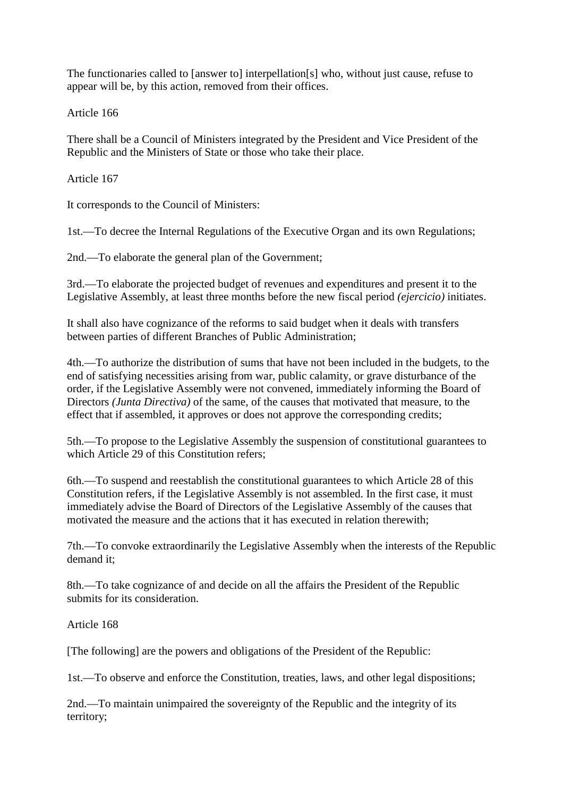The functionaries called to [answer to] interpellation[s] who, without just cause, refuse to appear will be, by this action, removed from their offices.

Article 166

There shall be a Council of Ministers integrated by the President and Vice President of the Republic and the Ministers of State or those who take their place.

Article 167

It corresponds to the Council of Ministers:

1st.—To decree the Internal Regulations of the Executive Organ and its own Regulations;

2nd.—To elaborate the general plan of the Government;

3rd.—To elaborate the projected budget of revenues and expenditures and present it to the Legislative Assembly, at least three months before the new fiscal period *(ejercicio)* initiates.

It shall also have cognizance of the reforms to said budget when it deals with transfers between parties of different Branches of Public Administration;

4th.—To authorize the distribution of sums that have not been included in the budgets, to the end of satisfying necessities arising from war, public calamity, or grave disturbance of the order, if the Legislative Assembly were not convened, immediately informing the Board of Directors *(Junta Directiva)* of the same, of the causes that motivated that measure, to the effect that if assembled, it approves or does not approve the corresponding credits;

5th.—To propose to the Legislative Assembly the suspension of constitutional guarantees to which Article 29 of this Constitution refers:

6th.—To suspend and reestablish the constitutional guarantees to which Article 28 of this Constitution refers, if the Legislative Assembly is not assembled. In the first case, it must immediately advise the Board of Directors of the Legislative Assembly of the causes that motivated the measure and the actions that it has executed in relation therewith;

7th.—To convoke extraordinarily the Legislative Assembly when the interests of the Republic demand it;

8th.—To take cognizance of and decide on all the affairs the President of the Republic submits for its consideration.

Article 168

[The following] are the powers and obligations of the President of the Republic:

1st.—To observe and enforce the Constitution, treaties, laws, and other legal dispositions;

2nd.—To maintain unimpaired the sovereignty of the Republic and the integrity of its territory;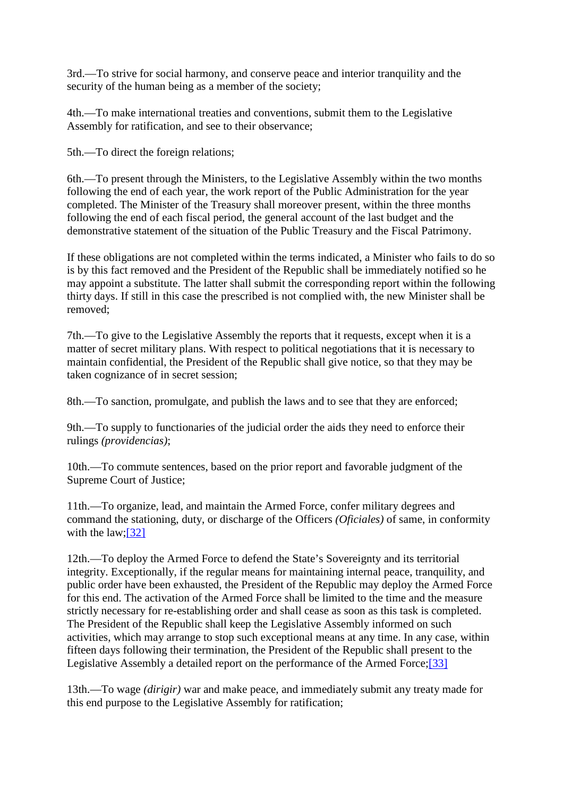3rd.—To strive for social harmony, and conserve peace and interior tranquility and the security of the human being as a member of the society;

4th.—To make international treaties and conventions, submit them to the Legislative Assembly for ratification, and see to their observance;

5th.—To direct the foreign relations;

6th.—To present through the Ministers, to the Legislative Assembly within the two months following the end of each year, the work report of the Public Administration for the year completed. The Minister of the Treasury shall moreover present, within the three months following the end of each fiscal period, the general account of the last budget and the demonstrative statement of the situation of the Public Treasury and the Fiscal Patrimony.

If these obligations are not completed within the terms indicated, a Minister who fails to do so is by this fact removed and the President of the Republic shall be immediately notified so he may appoint a substitute. The latter shall submit the corresponding report within the following thirty days. If still in this case the prescribed is not complied with, the new Minister shall be removed;

7th.—To give to the Legislative Assembly the reports that it requests, except when it is a matter of secret military plans. With respect to political negotiations that it is necessary to maintain confidential, the President of the Republic shall give notice, so that they may be taken cognizance of in secret session;

8th.—To sanction, promulgate, and publish the laws and to see that they are enforced;

9th.—To supply to functionaries of the judicial order the aids they need to enforce their rulings *(providencias)*;

10th.—To commute sentences, based on the prior report and favorable judgment of the Supreme Court of Justice;

11th.—To organize, lead, and maintain the Armed Force, confer military degrees and command the stationing, duty, or discharge of the Officers *(Oficiales)* of same, in conformity with the law; [32]

12th.—To deploy the Armed Force to defend the State's Sovereignty and its territorial integrity. Exceptionally, if the regular means for maintaining internal peace, tranquility, and public order have been exhausted, the President of the Republic may deploy the Armed Force for this end. The activation of the Armed Force shall be limited to the time and the measure strictly necessary for re-establishing order and shall cease as soon as this task is completed. The President of the Republic shall keep the Legislative Assembly informed on such activities, which may arrange to stop such exceptional means at any time. In any case, within fifteen days following their termination, the President of the Republic shall present to the Legislative Assembly a detailed report on the performance of the Armed Force;[33]

13th.—To wage *(dirigir)* war and make peace, and immediately submit any treaty made for this end purpose to the Legislative Assembly for ratification;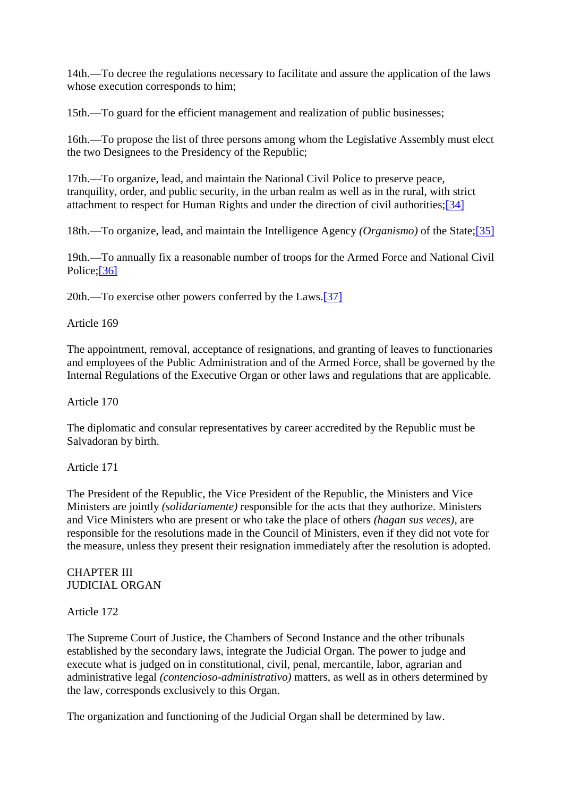14th.—To decree the regulations necessary to facilitate and assure the application of the laws whose execution corresponds to him;

15th.—To guard for the efficient management and realization of public businesses;

16th.—To propose the list of three persons among whom the Legislative Assembly must elect the two Designees to the Presidency of the Republic;

17th.—To organize, lead, and maintain the National Civil Police to preserve peace, tranquility, order, and public security, in the urban realm as well as in the rural, with strict attachment to respect for Human Rights and under the direction of civil authorities;[34]

18th.—To organize, lead, and maintain the Intelligence Agency *(Organismo)* of the State;[35]

19th.—To annually fix a reasonable number of troops for the Armed Force and National Civil Police:<sup>[36]</sup>

20th.—To exercise other powers conferred by the Laws.[37]

Article 169

The appointment, removal, acceptance of resignations, and granting of leaves to functionaries and employees of the Public Administration and of the Armed Force, shall be governed by the Internal Regulations of the Executive Organ or other laws and regulations that are applicable.

Article 170

The diplomatic and consular representatives by career accredited by the Republic must be Salvadoran by birth.

Article 171

The President of the Republic, the Vice President of the Republic, the Ministers and Vice Ministers are jointly *(solidariamente)* responsible for the acts that they authorize. Ministers and Vice Ministers who are present or who take the place of others *(hagan sus veces)*, are responsible for the resolutions made in the Council of Ministers, even if they did not vote for the measure, unless they present their resignation immediately after the resolution is adopted.

CHAPTER III JUDICIAL ORGAN

Article 172

The Supreme Court of Justice, the Chambers of Second Instance and the other tribunals established by the secondary laws, integrate the Judicial Organ. The power to judge and execute what is judged on in constitutional, civil, penal, mercantile, labor, agrarian and administrative legal *(contencioso-administrativo)* matters, as well as in others determined by the law, corresponds exclusively to this Organ.

The organization and functioning of the Judicial Organ shall be determined by law.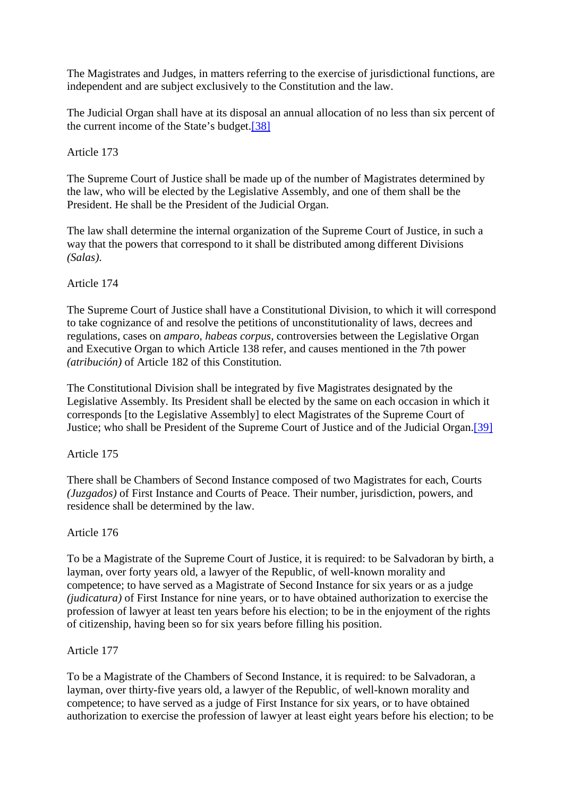The Magistrates and Judges, in matters referring to the exercise of jurisdictional functions, are independent and are subject exclusively to the Constitution and the law.

The Judicial Organ shall have at its disposal an annual allocation of no less than six percent of the current income of the State's budget.[38]

# Article 173

The Supreme Court of Justice shall be made up of the number of Magistrates determined by the law, who will be elected by the Legislative Assembly, and one of them shall be the President. He shall be the President of the Judicial Organ.

The law shall determine the internal organization of the Supreme Court of Justice, in such a way that the powers that correspond to it shall be distributed among different Divisions *(Salas)*.

# Article 174

The Supreme Court of Justice shall have a Constitutional Division, to which it will correspond to take cognizance of and resolve the petitions of unconstitutionality of laws, decrees and regulations, cases on *amparo*, *habeas corpus*, controversies between the Legislative Organ and Executive Organ to which Article 138 refer, and causes mentioned in the 7th power *(atribución)* of Article 182 of this Constitution.

The Constitutional Division shall be integrated by five Magistrates designated by the Legislative Assembly. Its President shall be elected by the same on each occasion in which it corresponds [to the Legislative Assembly] to elect Magistrates of the Supreme Court of Justice; who shall be President of the Supreme Court of Justice and of the Judicial Organ.[39]

Article 175

There shall be Chambers of Second Instance composed of two Magistrates for each, Courts *(Juzgados)* of First Instance and Courts of Peace. Their number, jurisdiction, powers, and residence shall be determined by the law.

# Article 176

To be a Magistrate of the Supreme Court of Justice, it is required: to be Salvadoran by birth, a layman, over forty years old, a lawyer of the Republic, of well-known morality and competence; to have served as a Magistrate of Second Instance for six years or as a judge *(judicatura)* of First Instance for nine years, or to have obtained authorization to exercise the profession of lawyer at least ten years before his election; to be in the enjoyment of the rights of citizenship, having been so for six years before filling his position.

# Article 177

To be a Magistrate of the Chambers of Second Instance, it is required: to be Salvadoran, a layman, over thirty-five years old, a lawyer of the Republic, of well-known morality and competence; to have served as a judge of First Instance for six years, or to have obtained authorization to exercise the profession of lawyer at least eight years before his election; to be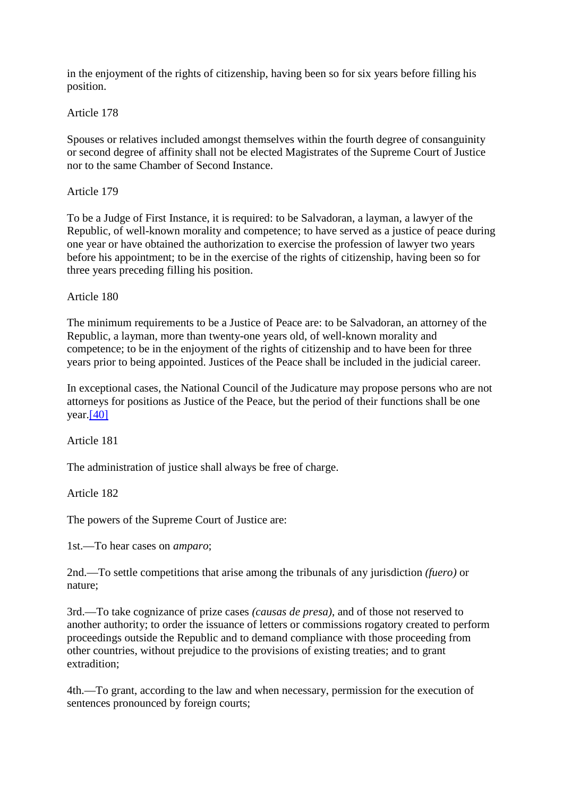in the enjoyment of the rights of citizenship, having been so for six years before filling his position.

# Article 178

Spouses or relatives included amongst themselves within the fourth degree of consanguinity or second degree of affinity shall not be elected Magistrates of the Supreme Court of Justice nor to the same Chamber of Second Instance.

### Article 179

To be a Judge of First Instance, it is required: to be Salvadoran, a layman, a lawyer of the Republic, of well-known morality and competence; to have served as a justice of peace during one year or have obtained the authorization to exercise the profession of lawyer two years before his appointment; to be in the exercise of the rights of citizenship, having been so for three years preceding filling his position.

# Article 180

The minimum requirements to be a Justice of Peace are: to be Salvadoran, an attorney of the Republic, a layman, more than twenty-one years old, of well-known morality and competence; to be in the enjoyment of the rights of citizenship and to have been for three years prior to being appointed. Justices of the Peace shall be included in the judicial career.

In exceptional cases, the National Council of the Judicature may propose persons who are not attorneys for positions as Justice of the Peace, but the period of their functions shall be one year.[40]

Article 181

The administration of justice shall always be free of charge.

Article 182

The powers of the Supreme Court of Justice are:

1st.—To hear cases on *amparo*;

2nd.—To settle competitions that arise among the tribunals of any jurisdiction *(fuero)* or nature;

3rd.—To take cognizance of prize cases *(causas de presa)*, and of those not reserved to another authority; to order the issuance of letters or commissions rogatory created to perform proceedings outside the Republic and to demand compliance with those proceeding from other countries, without prejudice to the provisions of existing treaties; and to grant extradition;

4th.—To grant, according to the law and when necessary, permission for the execution of sentences pronounced by foreign courts;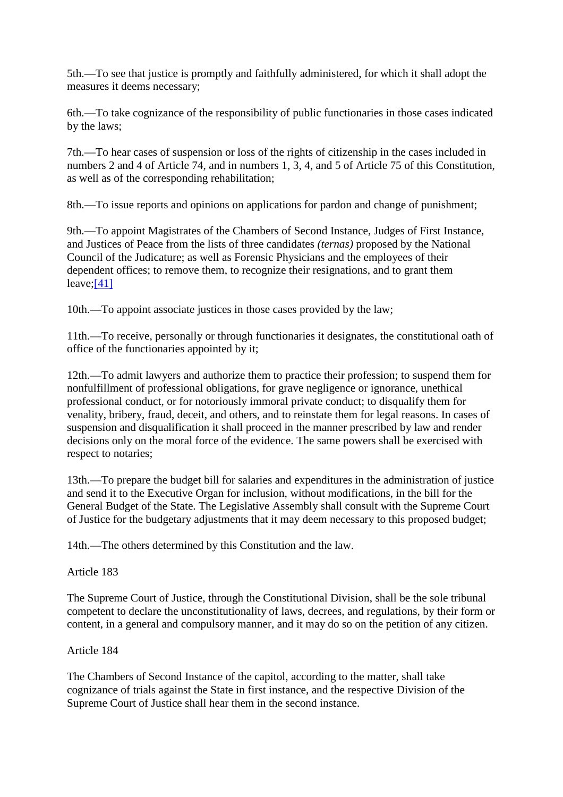5th.—To see that justice is promptly and faithfully administered, for which it shall adopt the measures it deems necessary;

6th.—To take cognizance of the responsibility of public functionaries in those cases indicated by the laws;

7th.—To hear cases of suspension or loss of the rights of citizenship in the cases included in numbers 2 and 4 of Article 74, and in numbers 1, 3, 4, and 5 of Article 75 of this Constitution, as well as of the corresponding rehabilitation;

8th.—To issue reports and opinions on applications for pardon and change of punishment;

9th.—To appoint Magistrates of the Chambers of Second Instance, Judges of First Instance, and Justices of Peace from the lists of three candidates *(ternas)* proposed by the National Council of the Judicature; as well as Forensic Physicians and the employees of their dependent offices; to remove them, to recognize their resignations, and to grant them leave;[41]

10th.—To appoint associate justices in those cases provided by the law;

11th.—To receive, personally or through functionaries it designates, the constitutional oath of office of the functionaries appointed by it;

12th.—To admit lawyers and authorize them to practice their profession; to suspend them for nonfulfillment of professional obligations, for grave negligence or ignorance, unethical professional conduct, or for notoriously immoral private conduct; to disqualify them for venality, bribery, fraud, deceit, and others, and to reinstate them for legal reasons. In cases of suspension and disqualification it shall proceed in the manner prescribed by law and render decisions only on the moral force of the evidence. The same powers shall be exercised with respect to notaries;

13th.—To prepare the budget bill for salaries and expenditures in the administration of justice and send it to the Executive Organ for inclusion, without modifications, in the bill for the General Budget of the State. The Legislative Assembly shall consult with the Supreme Court of Justice for the budgetary adjustments that it may deem necessary to this proposed budget;

14th.—The others determined by this Constitution and the law.

Article 183

The Supreme Court of Justice, through the Constitutional Division, shall be the sole tribunal competent to declare the unconstitutionality of laws, decrees, and regulations, by their form or content, in a general and compulsory manner, and it may do so on the petition of any citizen.

Article 184

The Chambers of Second Instance of the capitol, according to the matter, shall take cognizance of trials against the State in first instance, and the respective Division of the Supreme Court of Justice shall hear them in the second instance.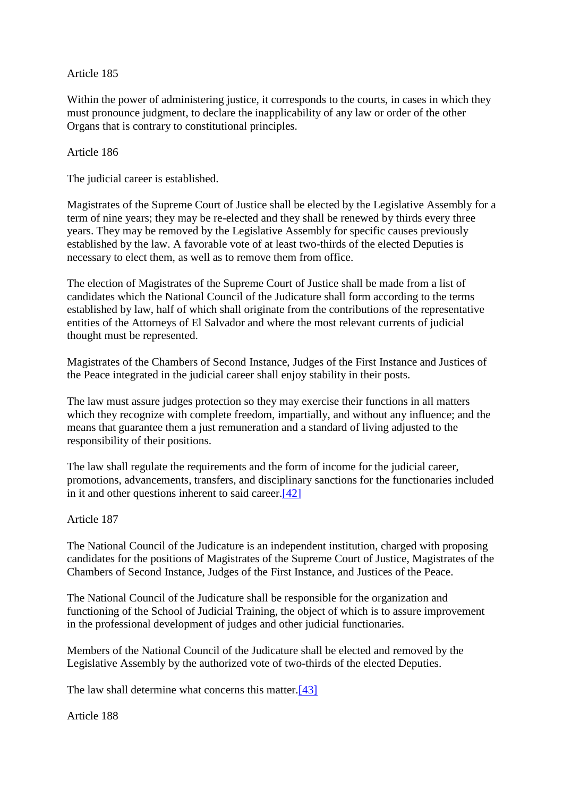Within the power of administering justice, it corresponds to the courts, in cases in which they must pronounce judgment, to declare the inapplicability of any law or order of the other Organs that is contrary to constitutional principles.

# Article 186

The judicial career is established.

Magistrates of the Supreme Court of Justice shall be elected by the Legislative Assembly for a term of nine years; they may be re-elected and they shall be renewed by thirds every three years. They may be removed by the Legislative Assembly for specific causes previously established by the law. A favorable vote of at least two-thirds of the elected Deputies is necessary to elect them, as well as to remove them from office.

The election of Magistrates of the Supreme Court of Justice shall be made from a list of candidates which the National Council of the Judicature shall form according to the terms established by law, half of which shall originate from the contributions of the representative entities of the Attorneys of El Salvador and where the most relevant currents of judicial thought must be represented.

Magistrates of the Chambers of Second Instance, Judges of the First Instance and Justices of the Peace integrated in the judicial career shall enjoy stability in their posts.

The law must assure judges protection so they may exercise their functions in all matters which they recognize with complete freedom, impartially, and without any influence; and the means that guarantee them a just remuneration and a standard of living adjusted to the responsibility of their positions.

The law shall regulate the requirements and the form of income for the judicial career, promotions, advancements, transfers, and disciplinary sanctions for the functionaries included in it and other questions inherent to said career.[42]

#### Article 187

The National Council of the Judicature is an independent institution, charged with proposing candidates for the positions of Magistrates of the Supreme Court of Justice, Magistrates of the Chambers of Second Instance, Judges of the First Instance, and Justices of the Peace.

The National Council of the Judicature shall be responsible for the organization and functioning of the School of Judicial Training, the object of which is to assure improvement in the professional development of judges and other judicial functionaries.

Members of the National Council of the Judicature shall be elected and removed by the Legislative Assembly by the authorized vote of two-thirds of the elected Deputies.

The law shall determine what concerns this matter.[43]

Article 188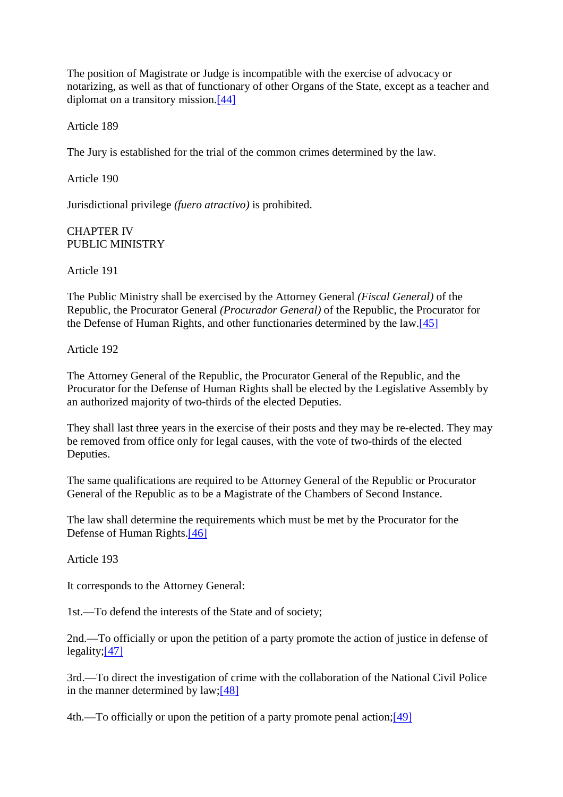The position of Magistrate or Judge is incompatible with the exercise of advocacy or notarizing, as well as that of functionary of other Organs of the State, except as a teacher and diplomat on a transitory mission.[44]

Article 189

The Jury is established for the trial of the common crimes determined by the law.

Article 190

Jurisdictional privilege *(fuero atractivo)* is prohibited.

CHAPTER IV PUBLIC MINISTRY

Article 191

The Public Ministry shall be exercised by the Attorney General *(Fiscal General)* of the Republic, the Procurator General *(Procurador General)* of the Republic, the Procurator for the Defense of Human Rights, and other functionaries determined by the law.[45]

Article 192

The Attorney General of the Republic, the Procurator General of the Republic, and the Procurator for the Defense of Human Rights shall be elected by the Legislative Assembly by an authorized majority of two-thirds of the elected Deputies.

They shall last three years in the exercise of their posts and they may be re-elected. They may be removed from office only for legal causes, with the vote of two-thirds of the elected Deputies.

The same qualifications are required to be Attorney General of the Republic or Procurator General of the Republic as to be a Magistrate of the Chambers of Second Instance.

The law shall determine the requirements which must be met by the Procurator for the Defense of Human Rights.[46]

Article 193

It corresponds to the Attorney General:

1st.—To defend the interests of the State and of society;

2nd.—To officially or upon the petition of a party promote the action of justice in defense of legality;[47]

3rd.—To direct the investigation of crime with the collaboration of the National Civil Police in the manner determined by law;[48]

4th.—To officially or upon the petition of a party promote penal action; [49]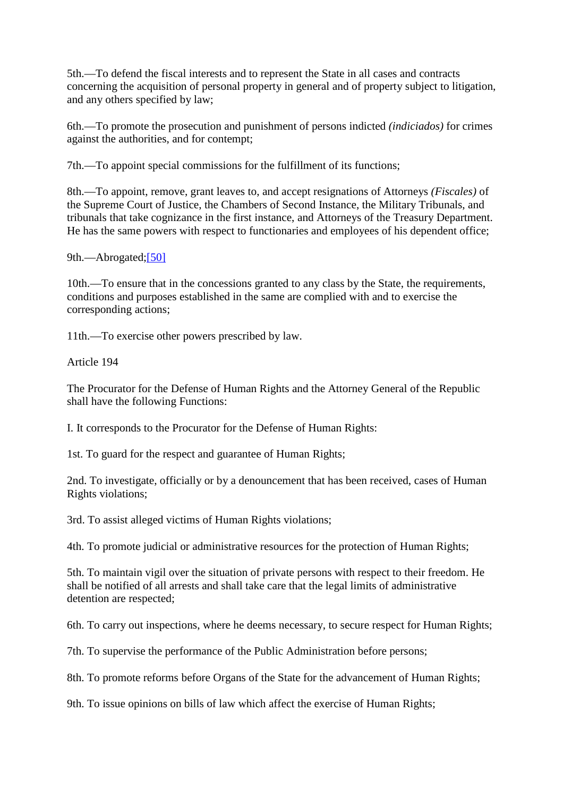5th.—To defend the fiscal interests and to represent the State in all cases and contracts concerning the acquisition of personal property in general and of property subject to litigation, and any others specified by law;

6th.—To promote the prosecution and punishment of persons indicted *(indiciados)* for crimes against the authorities, and for contempt;

7th.—To appoint special commissions for the fulfillment of its functions;

8th.—To appoint, remove, grant leaves to, and accept resignations of Attorneys *(Fiscales)* of the Supreme Court of Justice, the Chambers of Second Instance, the Military Tribunals, and tribunals that take cognizance in the first instance, and Attorneys of the Treasury Department. He has the same powers with respect to functionaries and employees of his dependent office;

9th.—Abrogated;[50]

10th.—To ensure that in the concessions granted to any class by the State, the requirements, conditions and purposes established in the same are complied with and to exercise the corresponding actions;

11th.—To exercise other powers prescribed by law.

Article 194

The Procurator for the Defense of Human Rights and the Attorney General of the Republic shall have the following Functions:

I. It corresponds to the Procurator for the Defense of Human Rights:

1st. To guard for the respect and guarantee of Human Rights;

2nd. To investigate, officially or by a denouncement that has been received, cases of Human Rights violations;

3rd. To assist alleged victims of Human Rights violations;

4th. To promote judicial or administrative resources for the protection of Human Rights;

5th. To maintain vigil over the situation of private persons with respect to their freedom. He shall be notified of all arrests and shall take care that the legal limits of administrative detention are respected;

6th. To carry out inspections, where he deems necessary, to secure respect for Human Rights;

7th. To supervise the performance of the Public Administration before persons;

8th. To promote reforms before Organs of the State for the advancement of Human Rights;

9th. To issue opinions on bills of law which affect the exercise of Human Rights;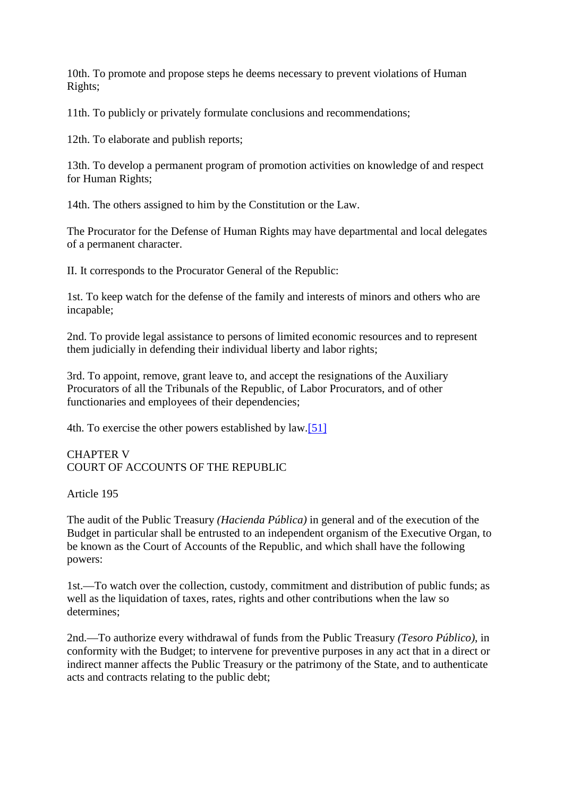10th. To promote and propose steps he deems necessary to prevent violations of Human Rights;

11th. To publicly or privately formulate conclusions and recommendations;

12th. To elaborate and publish reports;

13th. To develop a permanent program of promotion activities on knowledge of and respect for Human Rights;

14th. The others assigned to him by the Constitution or the Law.

The Procurator for the Defense of Human Rights may have departmental and local delegates of a permanent character.

II. It corresponds to the Procurator General of the Republic:

1st. To keep watch for the defense of the family and interests of minors and others who are incapable;

2nd. To provide legal assistance to persons of limited economic resources and to represent them judicially in defending their individual liberty and labor rights;

3rd. To appoint, remove, grant leave to, and accept the resignations of the Auxiliary Procurators of all the Tribunals of the Republic, of Labor Procurators, and of other functionaries and employees of their dependencies;

4th. To exercise the other powers established by law.[51]

# CHAPTER V COURT OF ACCOUNTS OF THE REPUBLIC

Article 195

The audit of the Public Treasury *(Hacienda Pública)* in general and of the execution of the Budget in particular shall be entrusted to an independent organism of the Executive Organ, to be known as the Court of Accounts of the Republic, and which shall have the following powers:

1st.—To watch over the collection, custody, commitment and distribution of public funds; as well as the liquidation of taxes, rates, rights and other contributions when the law so determines;

2nd.—To authorize every withdrawal of funds from the Public Treasury *(Tesoro Público)*, in conformity with the Budget; to intervene for preventive purposes in any act that in a direct or indirect manner affects the Public Treasury or the patrimony of the State, and to authenticate acts and contracts relating to the public debt;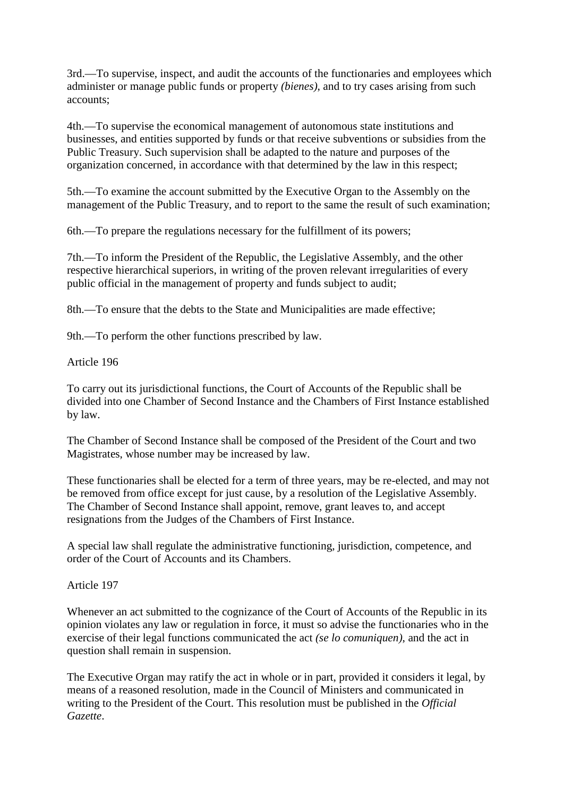3rd.—To supervise, inspect, and audit the accounts of the functionaries and employees which administer or manage public funds or property *(bienes)*, and to try cases arising from such accounts;

4th.—To supervise the economical management of autonomous state institutions and businesses, and entities supported by funds or that receive subventions or subsidies from the Public Treasury. Such supervision shall be adapted to the nature and purposes of the organization concerned, in accordance with that determined by the law in this respect;

5th.—To examine the account submitted by the Executive Organ to the Assembly on the management of the Public Treasury, and to report to the same the result of such examination;

6th.—To prepare the regulations necessary for the fulfillment of its powers;

7th.—To inform the President of the Republic, the Legislative Assembly, and the other respective hierarchical superiors, in writing of the proven relevant irregularities of every public official in the management of property and funds subject to audit;

8th.—To ensure that the debts to the State and Municipalities are made effective;

9th.—To perform the other functions prescribed by law.

Article 196

To carry out its jurisdictional functions, the Court of Accounts of the Republic shall be divided into one Chamber of Second Instance and the Chambers of First Instance established by law.

The Chamber of Second Instance shall be composed of the President of the Court and two Magistrates, whose number may be increased by law.

These functionaries shall be elected for a term of three years, may be re-elected, and may not be removed from office except for just cause, by a resolution of the Legislative Assembly. The Chamber of Second Instance shall appoint, remove, grant leaves to, and accept resignations from the Judges of the Chambers of First Instance.

A special law shall regulate the administrative functioning, jurisdiction, competence, and order of the Court of Accounts and its Chambers.

Article 197

Whenever an act submitted to the cognizance of the Court of Accounts of the Republic in its opinion violates any law or regulation in force, it must so advise the functionaries who in the exercise of their legal functions communicated the act *(se lo comuniquen)*, and the act in question shall remain in suspension.

The Executive Organ may ratify the act in whole or in part, provided it considers it legal, by means of a reasoned resolution, made in the Council of Ministers and communicated in writing to the President of the Court. This resolution must be published in the *Official Gazette*.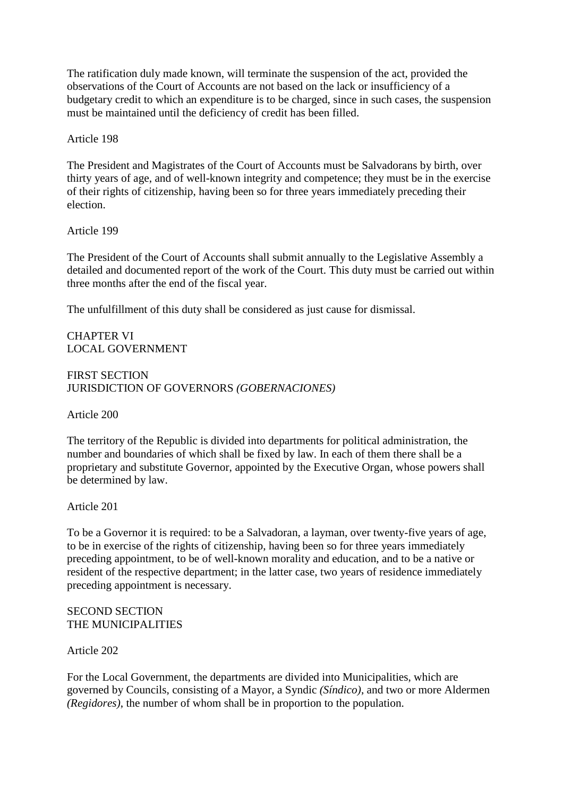The ratification duly made known, will terminate the suspension of the act, provided the observations of the Court of Accounts are not based on the lack or insufficiency of a budgetary credit to which an expenditure is to be charged, since in such cases, the suspension must be maintained until the deficiency of credit has been filled.

# Article 198

The President and Magistrates of the Court of Accounts must be Salvadorans by birth, over thirty years of age, and of well-known integrity and competence; they must be in the exercise of their rights of citizenship, having been so for three years immediately preceding their election.

# Article 199

The President of the Court of Accounts shall submit annually to the Legislative Assembly a detailed and documented report of the work of the Court. This duty must be carried out within three months after the end of the fiscal year.

The unfulfillment of this duty shall be considered as just cause for dismissal.

# CHAPTER VI LOCAL GOVERNMENT

FIRST SECTION JURISDICTION OF GOVERNORS *(GOBERNACIONES)*

Article 200

The territory of the Republic is divided into departments for political administration, the number and boundaries of which shall be fixed by law. In each of them there shall be a proprietary and substitute Governor, appointed by the Executive Organ, whose powers shall be determined by law.

# Article 201

To be a Governor it is required: to be a Salvadoran, a layman, over twenty-five years of age, to be in exercise of the rights of citizenship, having been so for three years immediately preceding appointment, to be of well-known morality and education, and to be a native or resident of the respective department; in the latter case, two years of residence immediately preceding appointment is necessary.

#### SECOND SECTION THE MUNICIPALITIES

# Article 202

For the Local Government, the departments are divided into Municipalities, which are governed by Councils, consisting of a Mayor, a Syndic *(Síndico)*, and two or more Aldermen *(Regidores)*, the number of whom shall be in proportion to the population.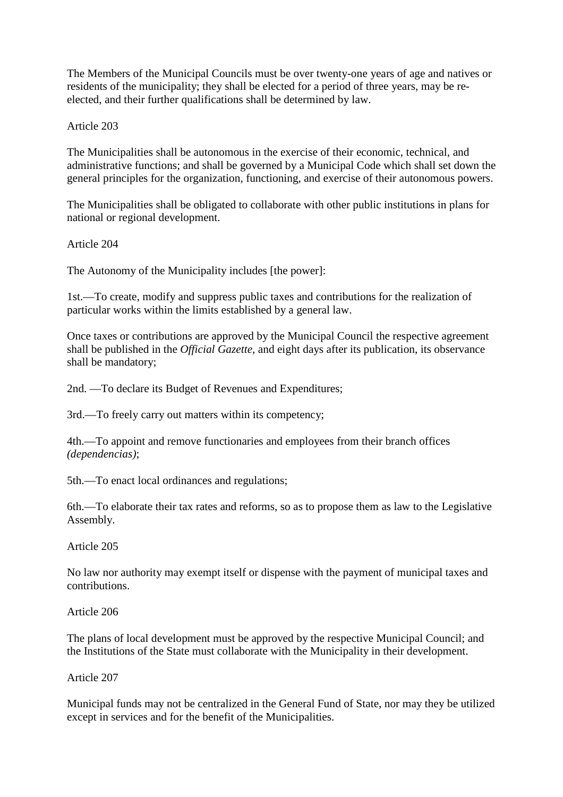The Members of the Municipal Councils must be over twenty-one years of age and natives or residents of the municipality; they shall be elected for a period of three years, may be reelected, and their further qualifications shall be determined by law.

Article 203

The Municipalities shall be autonomous in the exercise of their economic, technical, and administrative functions; and shall be governed by a Municipal Code which shall set down the general principles for the organization, functioning, and exercise of their autonomous powers.

The Municipalities shall be obligated to collaborate with other public institutions in plans for national or regional development.

Article 204

The Autonomy of the Municipality includes [the power]:

1st.—To create, modify and suppress public taxes and contributions for the realization of particular works within the limits established by a general law.

Once taxes or contributions are approved by the Municipal Council the respective agreement shall be published in the *Official Gazette*, and eight days after its publication, its observance shall be mandatory;

2nd. —To declare its Budget of Revenues and Expenditures;

3rd.—To freely carry out matters within its competency;

4th.—To appoint and remove functionaries and employees from their branch offices *(dependencias)*;

5th.—To enact local ordinances and regulations;

6th.—To elaborate their tax rates and reforms, so as to propose them as law to the Legislative Assembly.

Article 205

No law nor authority may exempt itself or dispense with the payment of municipal taxes and contributions.

Article 206

The plans of local development must be approved by the respective Municipal Council; and the Institutions of the State must collaborate with the Municipality in their development.

Article 207

Municipal funds may not be centralized in the General Fund of State, nor may they be utilized except in services and for the benefit of the Municipalities.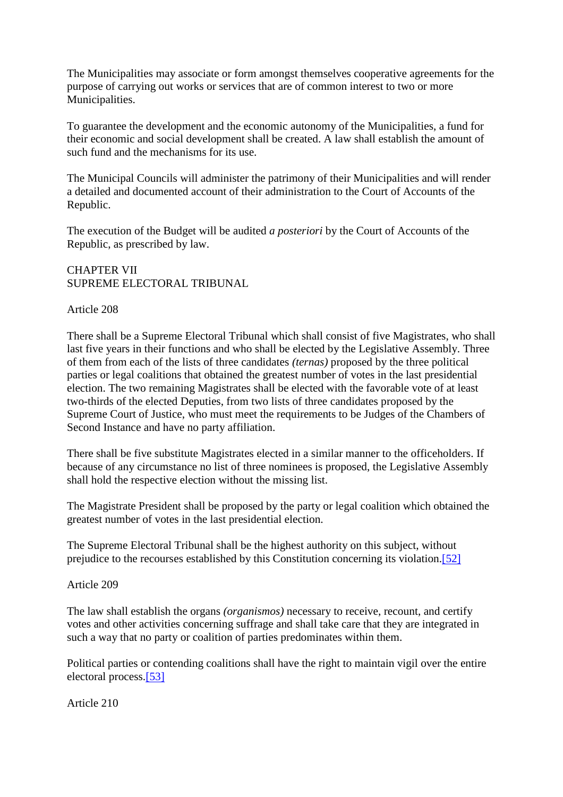The Municipalities may associate or form amongst themselves cooperative agreements for the purpose of carrying out works or services that are of common interest to two or more Municipalities.

To guarantee the development and the economic autonomy of the Municipalities, a fund for their economic and social development shall be created. A law shall establish the amount of such fund and the mechanisms for its use.

The Municipal Councils will administer the patrimony of their Municipalities and will render a detailed and documented account of their administration to the Court of Accounts of the Republic.

The execution of the Budget will be audited *a posteriori* by the Court of Accounts of the Republic, as prescribed by law.

# CHAPTER VII SUPREME ELECTORAL TRIBUNAL

# Article 208

There shall be a Supreme Electoral Tribunal which shall consist of five Magistrates, who shall last five years in their functions and who shall be elected by the Legislative Assembly. Three of them from each of the lists of three candidates *(ternas)* proposed by the three political parties or legal coalitions that obtained the greatest number of votes in the last presidential election. The two remaining Magistrates shall be elected with the favorable vote of at least two-thirds of the elected Deputies, from two lists of three candidates proposed by the Supreme Court of Justice, who must meet the requirements to be Judges of the Chambers of Second Instance and have no party affiliation.

There shall be five substitute Magistrates elected in a similar manner to the officeholders. If because of any circumstance no list of three nominees is proposed, the Legislative Assembly shall hold the respective election without the missing list.

The Magistrate President shall be proposed by the party or legal coalition which obtained the greatest number of votes in the last presidential election.

The Supreme Electoral Tribunal shall be the highest authority on this subject, without prejudice to the recourses established by this Constitution concerning its violation.[52]

#### Article 209

The law shall establish the organs *(organismos)* necessary to receive, recount, and certify votes and other activities concerning suffrage and shall take care that they are integrated in such a way that no party or coalition of parties predominates within them.

Political parties or contending coalitions shall have the right to maintain vigil over the entire electoral process.[53]

Article 210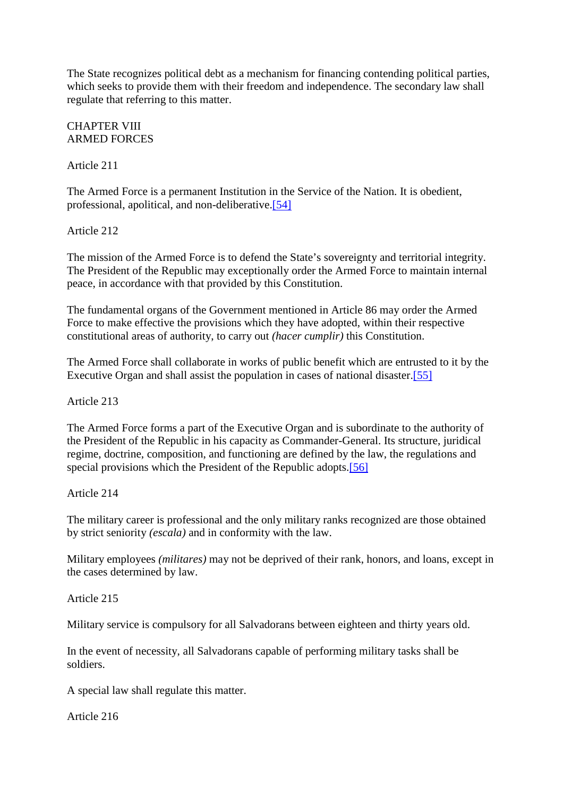The State recognizes political debt as a mechanism for financing contending political parties, which seeks to provide them with their freedom and independence. The secondary law shall regulate that referring to this matter.

CHAPTER VIII ARMED FORCES

Article 211

The Armed Force is a permanent Institution in the Service of the Nation. It is obedient, professional, apolitical, and non-deliberative.[54]

Article 212

The mission of the Armed Force is to defend the State's sovereignty and territorial integrity. The President of the Republic may exceptionally order the Armed Force to maintain internal peace, in accordance with that provided by this Constitution.

The fundamental organs of the Government mentioned in Article 86 may order the Armed Force to make effective the provisions which they have adopted, within their respective constitutional areas of authority, to carry out *(hacer cumplir)* this Constitution.

The Armed Force shall collaborate in works of public benefit which are entrusted to it by the Executive Organ and shall assist the population in cases of national disaster.[55]

Article 213

The Armed Force forms a part of the Executive Organ and is subordinate to the authority of the President of the Republic in his capacity as Commander-General. Its structure, juridical regime, doctrine, composition, and functioning are defined by the law, the regulations and special provisions which the President of the Republic adopts.[56]

Article 214

The military career is professional and the only military ranks recognized are those obtained by strict seniority *(escala)* and in conformity with the law.

Military employees *(militares)* may not be deprived of their rank, honors, and loans, except in the cases determined by law.

Article 215

Military service is compulsory for all Salvadorans between eighteen and thirty years old.

In the event of necessity, all Salvadorans capable of performing military tasks shall be soldiers.

A special law shall regulate this matter.

Article 216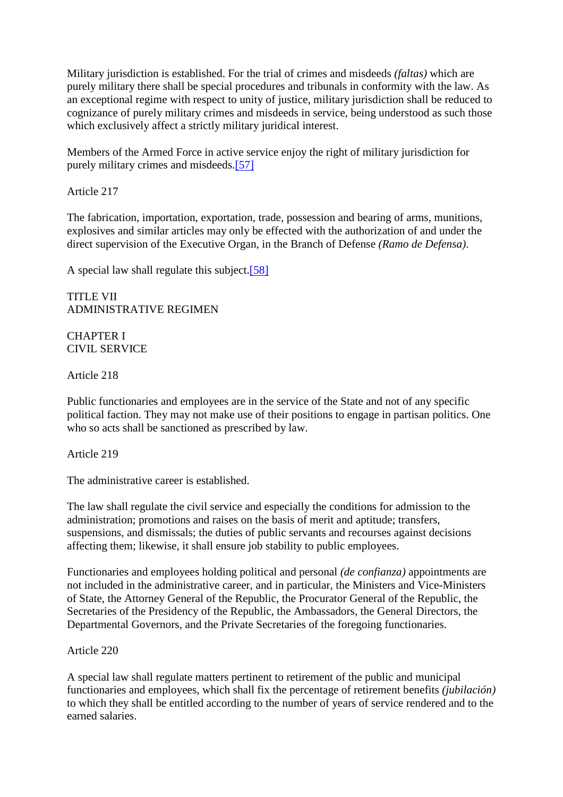Military jurisdiction is established. For the trial of crimes and misdeeds *(faltas)* which are purely military there shall be special procedures and tribunals in conformity with the law. As an exceptional regime with respect to unity of justice, military jurisdiction shall be reduced to cognizance of purely military crimes and misdeeds in service, being understood as such those which exclusively affect a strictly military juridical interest.

Members of the Armed Force in active service enjoy the right of military jurisdiction for purely military crimes and misdeeds.[57]

Article 217

The fabrication, importation, exportation, trade, possession and bearing of arms, munitions, explosives and similar articles may only be effected with the authorization of and under the direct supervision of the Executive Organ, in the Branch of Defense *(Ramo de Defensa)*.

A special law shall regulate this subject.[58]

TITLE VII ADMINISTRATIVE REGIMEN

CHAPTER I CIVIL SERVICE

Article 218

Public functionaries and employees are in the service of the State and not of any specific political faction. They may not make use of their positions to engage in partisan politics. One who so acts shall be sanctioned as prescribed by law.

Article 219

The administrative career is established.

The law shall regulate the civil service and especially the conditions for admission to the administration; promotions and raises on the basis of merit and aptitude; transfers, suspensions, and dismissals; the duties of public servants and recourses against decisions affecting them; likewise, it shall ensure job stability to public employees.

Functionaries and employees holding political and personal *(de confianza)* appointments are not included in the administrative career, and in particular, the Ministers and Vice-Ministers of State, the Attorney General of the Republic, the Procurator General of the Republic, the Secretaries of the Presidency of the Republic, the Ambassadors, the General Directors, the Departmental Governors, and the Private Secretaries of the foregoing functionaries.

#### Article 220

A special law shall regulate matters pertinent to retirement of the public and municipal functionaries and employees, which shall fix the percentage of retirement benefits *(jubilación)* to which they shall be entitled according to the number of years of service rendered and to the earned salaries.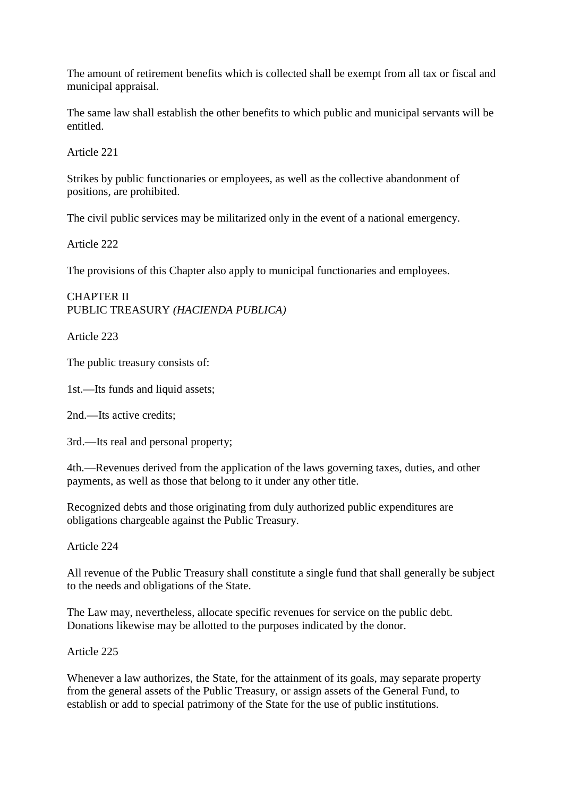The amount of retirement benefits which is collected shall be exempt from all tax or fiscal and municipal appraisal.

The same law shall establish the other benefits to which public and municipal servants will be entitled.

Article 221

Strikes by public functionaries or employees, as well as the collective abandonment of positions, are prohibited.

The civil public services may be militarized only in the event of a national emergency.

Article 222

The provisions of this Chapter also apply to municipal functionaries and employees.

CHAPTER II PUBLIC TREASURY *(HACIENDA PUBLICA)*

Article 223

The public treasury consists of:

1st.—Its funds and liquid assets:

2nd.—Its active credits;

3rd.—Its real and personal property;

4th.—Revenues derived from the application of the laws governing taxes, duties, and other payments, as well as those that belong to it under any other title.

Recognized debts and those originating from duly authorized public expenditures are obligations chargeable against the Public Treasury.

Article 224

All revenue of the Public Treasury shall constitute a single fund that shall generally be subject to the needs and obligations of the State.

The Law may, nevertheless, allocate specific revenues for service on the public debt. Donations likewise may be allotted to the purposes indicated by the donor.

Article 225

Whenever a law authorizes, the State, for the attainment of its goals, may separate property from the general assets of the Public Treasury, or assign assets of the General Fund, to establish or add to special patrimony of the State for the use of public institutions.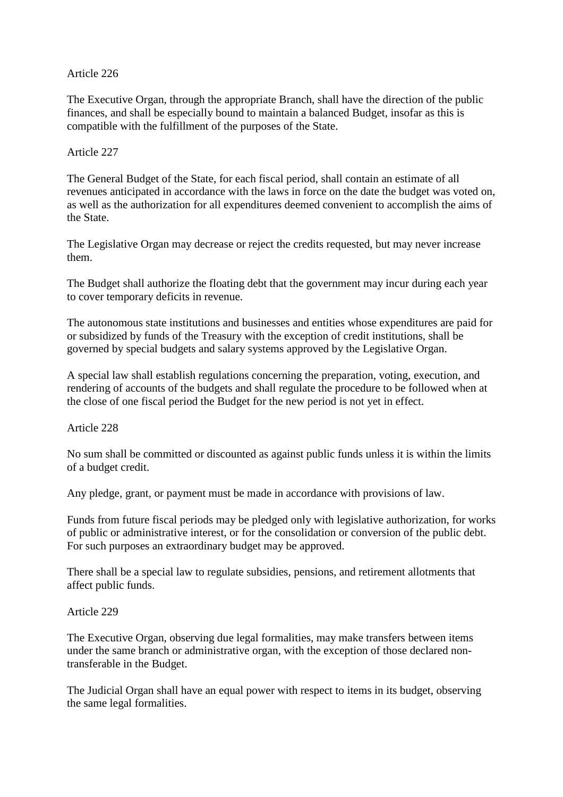The Executive Organ, through the appropriate Branch, shall have the direction of the public finances, and shall be especially bound to maintain a balanced Budget, insofar as this is compatible with the fulfillment of the purposes of the State.

# Article 227

The General Budget of the State, for each fiscal period, shall contain an estimate of all revenues anticipated in accordance with the laws in force on the date the budget was voted on, as well as the authorization for all expenditures deemed convenient to accomplish the aims of the State.

The Legislative Organ may decrease or reject the credits requested, but may never increase them.

The Budget shall authorize the floating debt that the government may incur during each year to cover temporary deficits in revenue.

The autonomous state institutions and businesses and entities whose expenditures are paid for or subsidized by funds of the Treasury with the exception of credit institutions, shall be governed by special budgets and salary systems approved by the Legislative Organ.

A special law shall establish regulations concerning the preparation, voting, execution, and rendering of accounts of the budgets and shall regulate the procedure to be followed when at the close of one fiscal period the Budget for the new period is not yet in effect.

# Article 228

No sum shall be committed or discounted as against public funds unless it is within the limits of a budget credit.

Any pledge, grant, or payment must be made in accordance with provisions of law.

Funds from future fiscal periods may be pledged only with legislative authorization, for works of public or administrative interest, or for the consolidation or conversion of the public debt. For such purposes an extraordinary budget may be approved.

There shall be a special law to regulate subsidies, pensions, and retirement allotments that affect public funds.

#### Article 229

The Executive Organ, observing due legal formalities, may make transfers between items under the same branch or administrative organ, with the exception of those declared nontransferable in the Budget.

The Judicial Organ shall have an equal power with respect to items in its budget, observing the same legal formalities.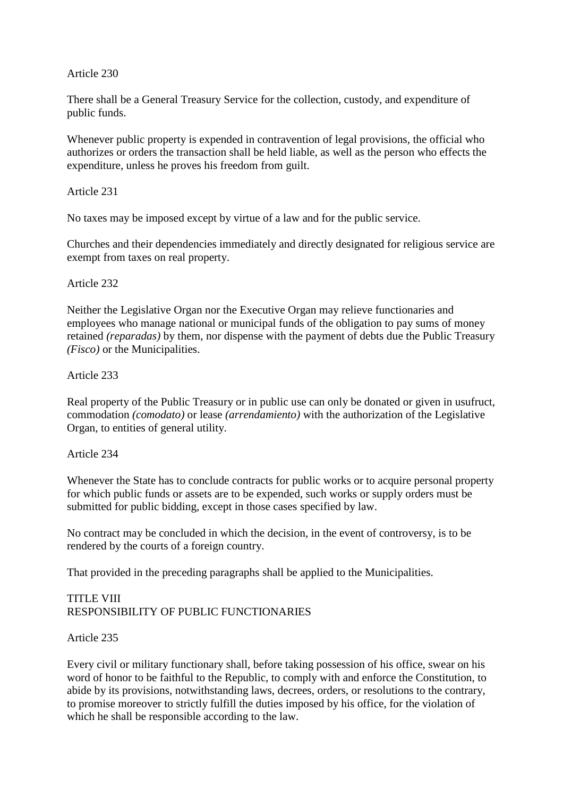There shall be a General Treasury Service for the collection, custody, and expenditure of public funds.

Whenever public property is expended in contravention of legal provisions, the official who authorizes or orders the transaction shall be held liable, as well as the person who effects the expenditure, unless he proves his freedom from guilt.

Article 231

No taxes may be imposed except by virtue of a law and for the public service.

Churches and their dependencies immediately and directly designated for religious service are exempt from taxes on real property.

# Article 232

Neither the Legislative Organ nor the Executive Organ may relieve functionaries and employees who manage national or municipal funds of the obligation to pay sums of money retained *(reparadas)* by them, nor dispense with the payment of debts due the Public Treasury *(Fisco)* or the Municipalities.

# Article 233

Real property of the Public Treasury or in public use can only be donated or given in usufruct, commodation *(comodato)* or lease *(arrendamiento)* with the authorization of the Legislative Organ, to entities of general utility.

#### Article 234

Whenever the State has to conclude contracts for public works or to acquire personal property for which public funds or assets are to be expended, such works or supply orders must be submitted for public bidding, except in those cases specified by law.

No contract may be concluded in which the decision, in the event of controversy, is to be rendered by the courts of a foreign country.

That provided in the preceding paragraphs shall be applied to the Municipalities.

# TITLE VIII RESPONSIBILITY OF PUBLIC FUNCTIONARIES

#### Article 235

Every civil or military functionary shall, before taking possession of his office, swear on his word of honor to be faithful to the Republic, to comply with and enforce the Constitution, to abide by its provisions, notwithstanding laws, decrees, orders, or resolutions to the contrary, to promise moreover to strictly fulfill the duties imposed by his office, for the violation of which he shall be responsible according to the law.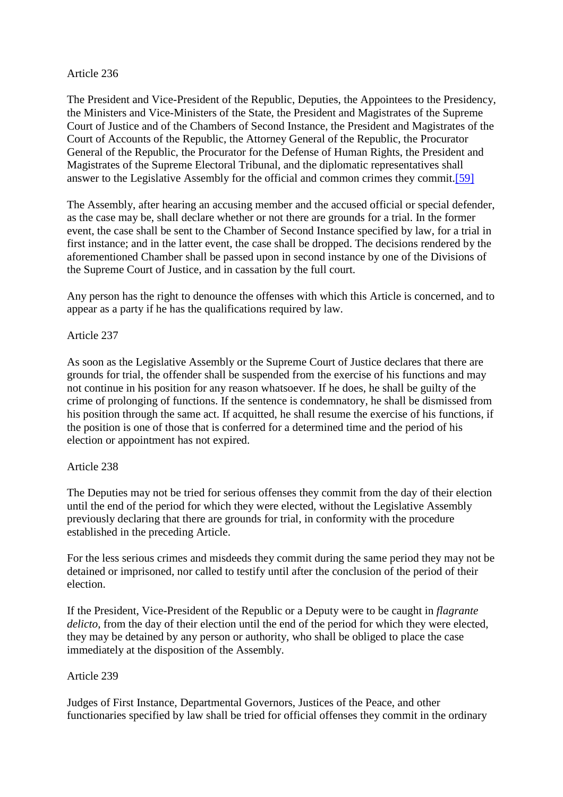The President and Vice-President of the Republic, Deputies, the Appointees to the Presidency, the Ministers and Vice-Ministers of the State, the President and Magistrates of the Supreme Court of Justice and of the Chambers of Second Instance, the President and Magistrates of the Court of Accounts of the Republic, the Attorney General of the Republic, the Procurator General of the Republic, the Procurator for the Defense of Human Rights, the President and Magistrates of the Supreme Electoral Tribunal, and the diplomatic representatives shall answer to the Legislative Assembly for the official and common crimes they commit.[59]

The Assembly, after hearing an accusing member and the accused official or special defender, as the case may be, shall declare whether or not there are grounds for a trial. In the former event, the case shall be sent to the Chamber of Second Instance specified by law, for a trial in first instance; and in the latter event, the case shall be dropped. The decisions rendered by the aforementioned Chamber shall be passed upon in second instance by one of the Divisions of the Supreme Court of Justice, and in cassation by the full court.

Any person has the right to denounce the offenses with which this Article is concerned, and to appear as a party if he has the qualifications required by law.

# Article 237

As soon as the Legislative Assembly or the Supreme Court of Justice declares that there are grounds for trial, the offender shall be suspended from the exercise of his functions and may not continue in his position for any reason whatsoever. If he does, he shall be guilty of the crime of prolonging of functions. If the sentence is condemnatory, he shall be dismissed from his position through the same act. If acquitted, he shall resume the exercise of his functions, if the position is one of those that is conferred for a determined time and the period of his election or appointment has not expired.

#### Article 238

The Deputies may not be tried for serious offenses they commit from the day of their election until the end of the period for which they were elected, without the Legislative Assembly previously declaring that there are grounds for trial, in conformity with the procedure established in the preceding Article.

For the less serious crimes and misdeeds they commit during the same period they may not be detained or imprisoned, nor called to testify until after the conclusion of the period of their election.

If the President, Vice-President of the Republic or a Deputy were to be caught in *flagrante delicto*, from the day of their election until the end of the period for which they were elected, they may be detained by any person or authority, who shall be obliged to place the case immediately at the disposition of the Assembly.

# Article 239

Judges of First Instance, Departmental Governors, Justices of the Peace, and other functionaries specified by law shall be tried for official offenses they commit in the ordinary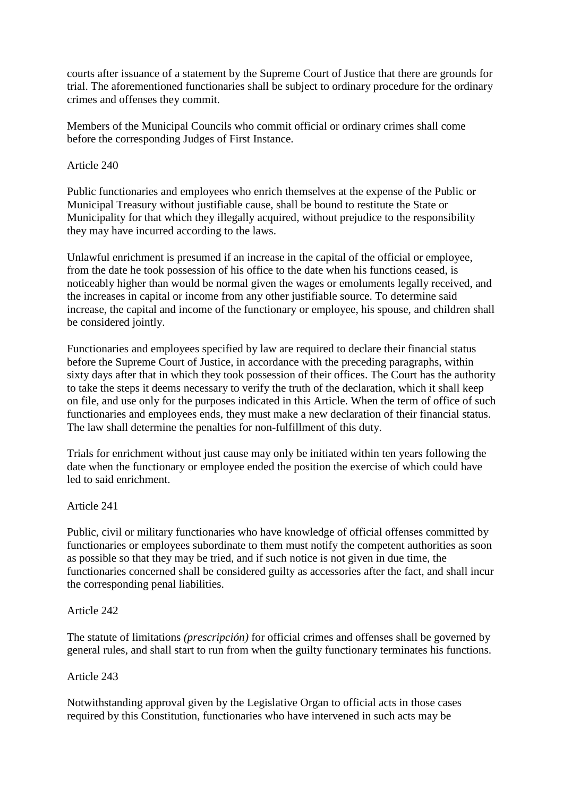courts after issuance of a statement by the Supreme Court of Justice that there are grounds for trial. The aforementioned functionaries shall be subject to ordinary procedure for the ordinary crimes and offenses they commit.

Members of the Municipal Councils who commit official or ordinary crimes shall come before the corresponding Judges of First Instance.

# Article 240

Public functionaries and employees who enrich themselves at the expense of the Public or Municipal Treasury without justifiable cause, shall be bound to restitute the State or Municipality for that which they illegally acquired, without prejudice to the responsibility they may have incurred according to the laws.

Unlawful enrichment is presumed if an increase in the capital of the official or employee, from the date he took possession of his office to the date when his functions ceased, is noticeably higher than would be normal given the wages or emoluments legally received, and the increases in capital or income from any other justifiable source. To determine said increase, the capital and income of the functionary or employee, his spouse, and children shall be considered jointly.

Functionaries and employees specified by law are required to declare their financial status before the Supreme Court of Justice, in accordance with the preceding paragraphs, within sixty days after that in which they took possession of their offices. The Court has the authority to take the steps it deems necessary to verify the truth of the declaration, which it shall keep on file, and use only for the purposes indicated in this Article. When the term of office of such functionaries and employees ends, they must make a new declaration of their financial status. The law shall determine the penalties for non-fulfillment of this duty.

Trials for enrichment without just cause may only be initiated within ten years following the date when the functionary or employee ended the position the exercise of which could have led to said enrichment.

#### Article 241

Public, civil or military functionaries who have knowledge of official offenses committed by functionaries or employees subordinate to them must notify the competent authorities as soon as possible so that they may be tried, and if such notice is not given in due time, the functionaries concerned shall be considered guilty as accessories after the fact, and shall incur the corresponding penal liabilities.

#### Article 242

The statute of limitations *(prescripción)* for official crimes and offenses shall be governed by general rules, and shall start to run from when the guilty functionary terminates his functions.

#### Article 243

Notwithstanding approval given by the Legislative Organ to official acts in those cases required by this Constitution, functionaries who have intervened in such acts may be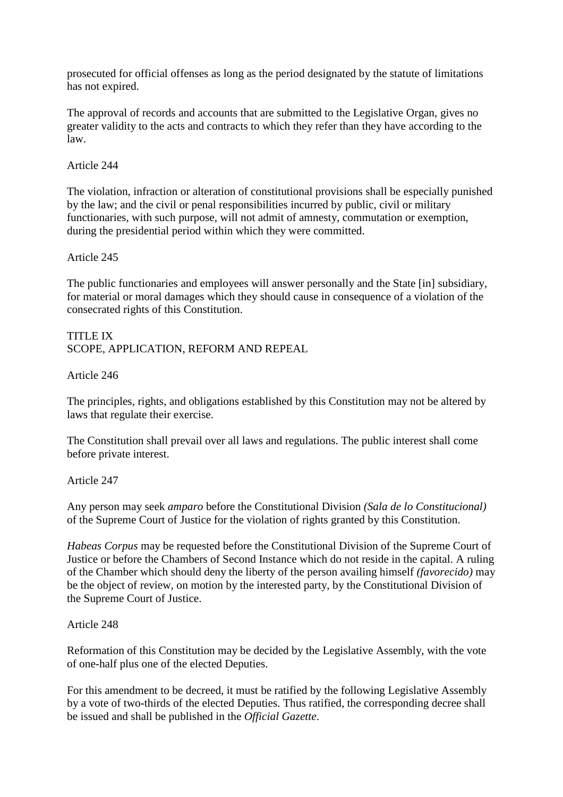prosecuted for official offenses as long as the period designated by the statute of limitations has not expired.

The approval of records and accounts that are submitted to the Legislative Organ, gives no greater validity to the acts and contracts to which they refer than they have according to the law.

# Article 244

The violation, infraction or alteration of constitutional provisions shall be especially punished by the law; and the civil or penal responsibilities incurred by public, civil or military functionaries, with such purpose, will not admit of amnesty, commutation or exemption, during the presidential period within which they were committed.

#### Article 245

The public functionaries and employees will answer personally and the State [in] subsidiary, for material or moral damages which they should cause in consequence of a violation of the consecrated rights of this Constitution.

# TITLE IX SCOPE, APPLICATION, REFORM AND REPEAL

# Article 246

The principles, rights, and obligations established by this Constitution may not be altered by laws that regulate their exercise.

The Constitution shall prevail over all laws and regulations. The public interest shall come before private interest.

#### Article 247

Any person may seek *amparo* before the Constitutional Division *(Sala de lo Constitucional)* of the Supreme Court of Justice for the violation of rights granted by this Constitution.

*Habeas Corpus* may be requested before the Constitutional Division of the Supreme Court of Justice or before the Chambers of Second Instance which do not reside in the capital. A ruling of the Chamber which should deny the liberty of the person availing himself *(favorecido)* may be the object of review, on motion by the interested party, by the Constitutional Division of the Supreme Court of Justice.

#### Article 248

Reformation of this Constitution may be decided by the Legislative Assembly, with the vote of one-half plus one of the elected Deputies.

For this amendment to be decreed, it must be ratified by the following Legislative Assembly by a vote of two-thirds of the elected Deputies. Thus ratified, the corresponding decree shall be issued and shall be published in the *Official Gazette*.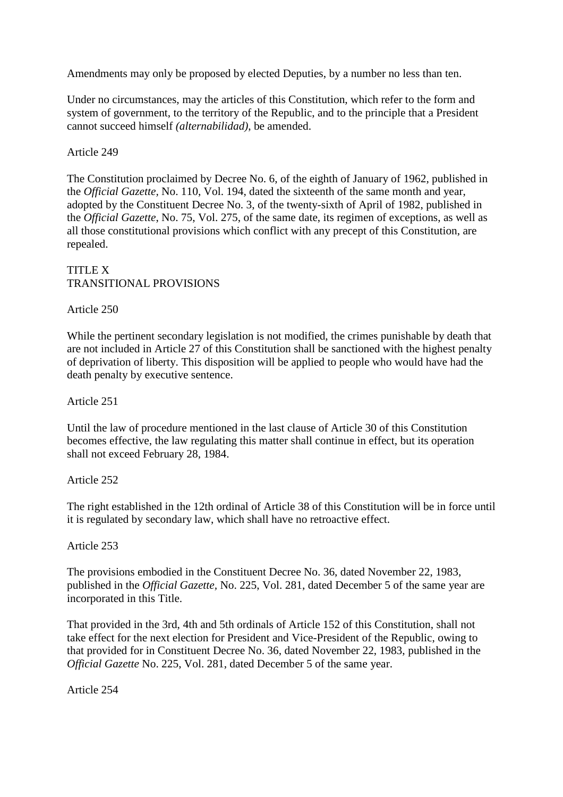Amendments may only be proposed by elected Deputies, by a number no less than ten.

Under no circumstances, may the articles of this Constitution, which refer to the form and system of government, to the territory of the Republic, and to the principle that a President cannot succeed himself *(alternabilidad)*, be amended.

Article 249

The Constitution proclaimed by Decree No. 6, of the eighth of January of 1962, published in the *Official Gazette,* No. 110, Vol. 194, dated the sixteenth of the same month and year, adopted by the Constituent Decree No. 3, of the twenty-sixth of April of 1982, published in the *Official Gazette*, No. 75, Vol. 275, of the same date, its regimen of exceptions, as well as all those constitutional provisions which conflict with any precept of this Constitution, are repealed.

# TITLE X TRANSITIONAL PROVISIONS

# Article 250

While the pertinent secondary legislation is not modified, the crimes punishable by death that are not included in Article 27 of this Constitution shall be sanctioned with the highest penalty of deprivation of liberty. This disposition will be applied to people who would have had the death penalty by executive sentence.

Article 251

Until the law of procedure mentioned in the last clause of Article 30 of this Constitution becomes effective, the law regulating this matter shall continue in effect, but its operation shall not exceed February 28, 1984.

Article 252

The right established in the 12th ordinal of Article 38 of this Constitution will be in force until it is regulated by secondary law, which shall have no retroactive effect.

Article 253

The provisions embodied in the Constituent Decree No. 36, dated November 22, 1983, published in the *Official Gazette,* No. 225, Vol. 281, dated December 5 of the same year are incorporated in this Title.

That provided in the 3rd, 4th and 5th ordinals of Article 152 of this Constitution, shall not take effect for the next election for President and Vice-President of the Republic, owing to that provided for in Constituent Decree No. 36, dated November 22, 1983, published in the *Official Gazette* No. 225, Vol. 281, dated December 5 of the same year.

Article 254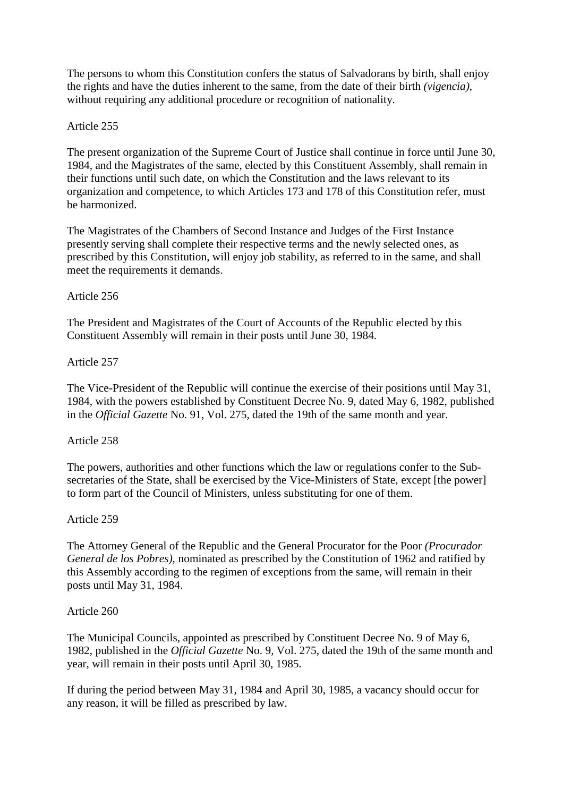The persons to whom this Constitution confers the status of Salvadorans by birth, shall enjoy the rights and have the duties inherent to the same, from the date of their birth *(vigencia)*, without requiring any additional procedure or recognition of nationality.

# Article 255

The present organization of the Supreme Court of Justice shall continue in force until June 30, 1984, and the Magistrates of the same, elected by this Constituent Assembly, shall remain in their functions until such date, on which the Constitution and the laws relevant to its organization and competence, to which Articles 173 and 178 of this Constitution refer, must be harmonized.

The Magistrates of the Chambers of Second Instance and Judges of the First Instance presently serving shall complete their respective terms and the newly selected ones, as prescribed by this Constitution, will enjoy job stability, as referred to in the same, and shall meet the requirements it demands.

# Article 256

The President and Magistrates of the Court of Accounts of the Republic elected by this Constituent Assembly will remain in their posts until June 30, 1984.

# Article 257

The Vice-President of the Republic will continue the exercise of their positions until May 31, 1984, with the powers established by Constituent Decree No. 9, dated May 6, 1982, published in the *Official Gazette* No. 91, Vol. 275, dated the 19th of the same month and year.

#### Article 258

The powers, authorities and other functions which the law or regulations confer to the Subsecretaries of the State, shall be exercised by the Vice-Ministers of State, except [the power] to form part of the Council of Ministers, unless substituting for one of them.

#### Article 259

The Attorney General of the Republic and the General Procurator for the Poor *(Procurador General de los Pobres)*, nominated as prescribed by the Constitution of 1962 and ratified by this Assembly according to the regimen of exceptions from the same, will remain in their posts until May 31, 1984.

#### Article 260

The Municipal Councils, appointed as prescribed by Constituent Decree No. 9 of May 6, 1982, published in the *Official Gazette* No. 9, Vol. 275, dated the 19th of the same month and year, will remain in their posts until April 30, 1985.

If during the period between May 31, 1984 and April 30, 1985, a vacancy should occur for any reason, it will be filled as prescribed by law.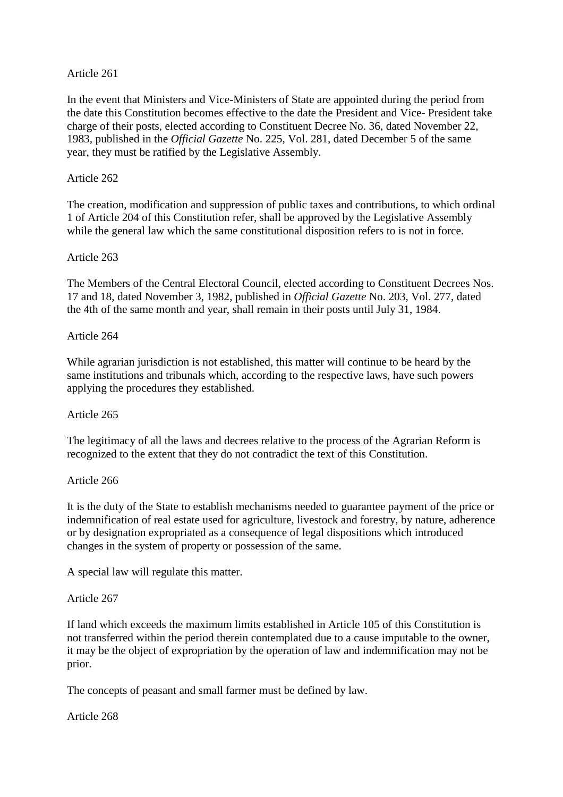In the event that Ministers and Vice-Ministers of State are appointed during the period from the date this Constitution becomes effective to the date the President and Vice- President take charge of their posts, elected according to Constituent Decree No. 36, dated November 22, 1983, published in the *Official Gazette* No. 225, Vol. 281, dated December 5 of the same year, they must be ratified by the Legislative Assembly.

# Article 262

The creation, modification and suppression of public taxes and contributions, to which ordinal 1 of Article 204 of this Constitution refer, shall be approved by the Legislative Assembly while the general law which the same constitutional disposition refers to is not in force.

# Article 263

The Members of the Central Electoral Council, elected according to Constituent Decrees Nos. 17 and 18, dated November 3, 1982, published in *Official Gazette* No. 203, Vol. 277, dated the 4th of the same month and year, shall remain in their posts until July 31, 1984.

# Article 264

While agrarian jurisdiction is not established, this matter will continue to be heard by the same institutions and tribunals which, according to the respective laws, have such powers applying the procedures they established.

#### Article 265

The legitimacy of all the laws and decrees relative to the process of the Agrarian Reform is recognized to the extent that they do not contradict the text of this Constitution.

#### Article 266

It is the duty of the State to establish mechanisms needed to guarantee payment of the price or indemnification of real estate used for agriculture, livestock and forestry, by nature, adherence or by designation expropriated as a consequence of legal dispositions which introduced changes in the system of property or possession of the same.

A special law will regulate this matter.

# Article 267

If land which exceeds the maximum limits established in Article 105 of this Constitution is not transferred within the period therein contemplated due to a cause imputable to the owner, it may be the object of expropriation by the operation of law and indemnification may not be prior.

The concepts of peasant and small farmer must be defined by law.

Article 268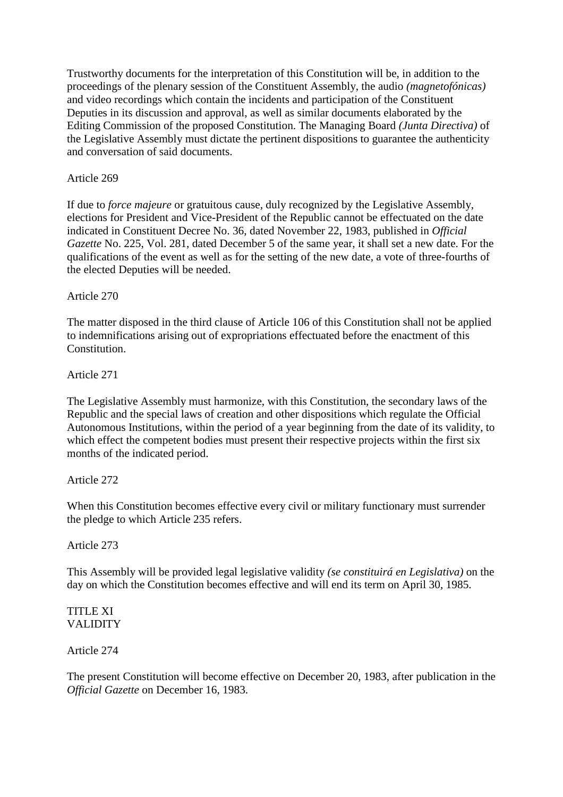Trustworthy documents for the interpretation of this Constitution will be, in addition to the proceedings of the plenary session of the Constituent Assembly, the audio *(magnetofónicas)* and video recordings which contain the incidents and participation of the Constituent Deputies in its discussion and approval, as well as similar documents elaborated by the Editing Commission of the proposed Constitution. The Managing Board *(Junta Directiva)* of the Legislative Assembly must dictate the pertinent dispositions to guarantee the authenticity and conversation of said documents.

# Article 269

If due to *force majeure* or gratuitous cause, duly recognized by the Legislative Assembly, elections for President and Vice-President of the Republic cannot be effectuated on the date indicated in Constituent Decree No. 36, dated November 22, 1983, published in *Official Gazette* No. 225, Vol. 281, dated December 5 of the same year, it shall set a new date. For the qualifications of the event as well as for the setting of the new date, a vote of three-fourths of the elected Deputies will be needed.

#### Article 270

The matter disposed in the third clause of Article 106 of this Constitution shall not be applied to indemnifications arising out of expropriations effectuated before the enactment of this **Constitution** 

# Article 271

The Legislative Assembly must harmonize, with this Constitution, the secondary laws of the Republic and the special laws of creation and other dispositions which regulate the Official Autonomous Institutions, within the period of a year beginning from the date of its validity, to which effect the competent bodies must present their respective projects within the first six months of the indicated period.

# Article 272

When this Constitution becomes effective every civil or military functionary must surrender the pledge to which Article 235 refers.

#### Article 273

This Assembly will be provided legal legislative validity *(se constituirá en Legislativa)* on the day on which the Constitution becomes effective and will end its term on April 30, 1985.

#### TITLE XI VALIDITY

#### Article 274

The present Constitution will become effective on December 20, 1983, after publication in the *Official Gazette* on December 16, 1983.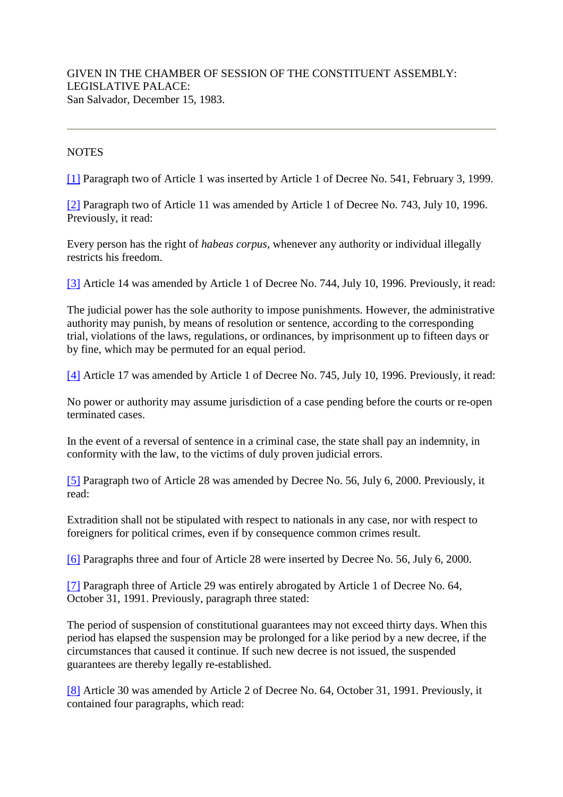# GIVEN IN THE CHAMBER OF SESSION OF THE CONSTITUENT ASSEMBLY: LEGISLATIVE PALACE: San Salvador, December 15, 1983.

### **NOTES**

[1] Paragraph two of Article 1 was inserted by Article 1 of Decree No. 541, February 3, 1999.

[2] Paragraph two of Article 11 was amended by Article 1 of Decree No. 743, July 10, 1996. Previously, it read:

Every person has the right of *habeas corpus*, whenever any authority or individual illegally restricts his freedom.

[3] Article 14 was amended by Article 1 of Decree No. 744, July 10, 1996. Previously, it read:

The judicial power has the sole authority to impose punishments. However, the administrative authority may punish, by means of resolution or sentence, according to the corresponding trial, violations of the laws, regulations, or ordinances, by imprisonment up to fifteen days or by fine, which may be permuted for an equal period.

[4] Article 17 was amended by Article 1 of Decree No. 745, July 10, 1996. Previously, it read:

No power or authority may assume jurisdiction of a case pending before the courts or re-open terminated cases.

In the event of a reversal of sentence in a criminal case, the state shall pay an indemnity, in conformity with the law, to the victims of duly proven judicial errors.

[5] Paragraph two of Article 28 was amended by Decree No. 56, July 6, 2000. Previously, it read:

Extradition shall not be stipulated with respect to nationals in any case, nor with respect to foreigners for political crimes, even if by consequence common crimes result.

[6] Paragraphs three and four of Article 28 were inserted by Decree No. 56, July 6, 2000.

[7] Paragraph three of Article 29 was entirely abrogated by Article 1 of Decree No. 64, October 31, 1991. Previously, paragraph three stated:

The period of suspension of constitutional guarantees may not exceed thirty days. When this period has elapsed the suspension may be prolonged for a like period by a new decree, if the circumstances that caused it continue. If such new decree is not issued, the suspended guarantees are thereby legally re-established.

[8] Article 30 was amended by Article 2 of Decree No. 64, October 31, 1991. Previously, it contained four paragraphs, which read: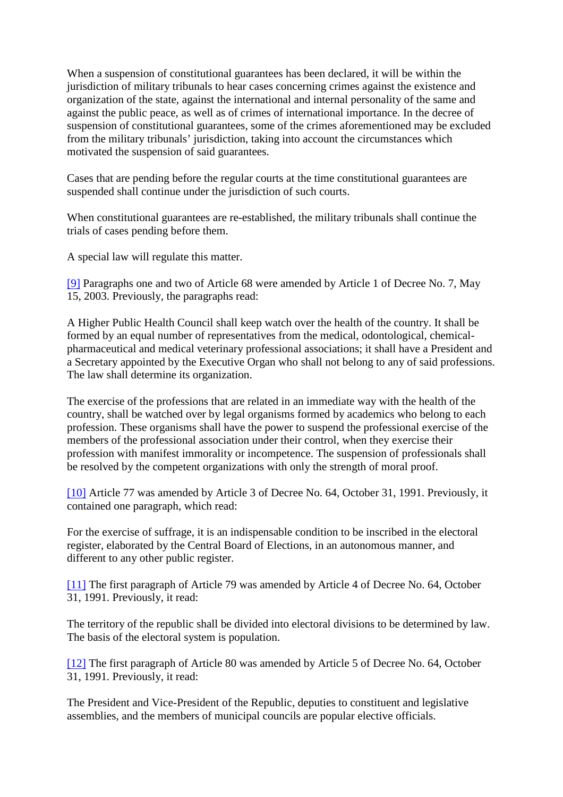When a suspension of constitutional guarantees has been declared, it will be within the jurisdiction of military tribunals to hear cases concerning crimes against the existence and organization of the state, against the international and internal personality of the same and against the public peace, as well as of crimes of international importance. In the decree of suspension of constitutional guarantees, some of the crimes aforementioned may be excluded from the military tribunals' jurisdiction, taking into account the circumstances which motivated the suspension of said guarantees.

Cases that are pending before the regular courts at the time constitutional guarantees are suspended shall continue under the jurisdiction of such courts.

When constitutional guarantees are re-established, the military tribunals shall continue the trials of cases pending before them.

A special law will regulate this matter.

[9] Paragraphs one and two of Article 68 were amended by Article 1 of Decree No. 7, May 15, 2003. Previously, the paragraphs read:

A Higher Public Health Council shall keep watch over the health of the country. It shall be formed by an equal number of representatives from the medical, odontological, chemicalpharmaceutical and medical veterinary professional associations; it shall have a President and a Secretary appointed by the Executive Organ who shall not belong to any of said professions. The law shall determine its organization.

The exercise of the professions that are related in an immediate way with the health of the country, shall be watched over by legal organisms formed by academics who belong to each profession. These organisms shall have the power to suspend the professional exercise of the members of the professional association under their control, when they exercise their profession with manifest immorality or incompetence. The suspension of professionals shall be resolved by the competent organizations with only the strength of moral proof.

[10] Article 77 was amended by Article 3 of Decree No. 64, October 31, 1991. Previously, it contained one paragraph, which read:

For the exercise of suffrage, it is an indispensable condition to be inscribed in the electoral register, elaborated by the Central Board of Elections, in an autonomous manner, and different to any other public register.

[11] The first paragraph of Article 79 was amended by Article 4 of Decree No. 64, October 31, 1991. Previously, it read:

The territory of the republic shall be divided into electoral divisions to be determined by law. The basis of the electoral system is population.

[12] The first paragraph of Article 80 was amended by Article 5 of Decree No. 64, October 31, 1991. Previously, it read:

The President and Vice-President of the Republic, deputies to constituent and legislative assemblies, and the members of municipal councils are popular elective officials.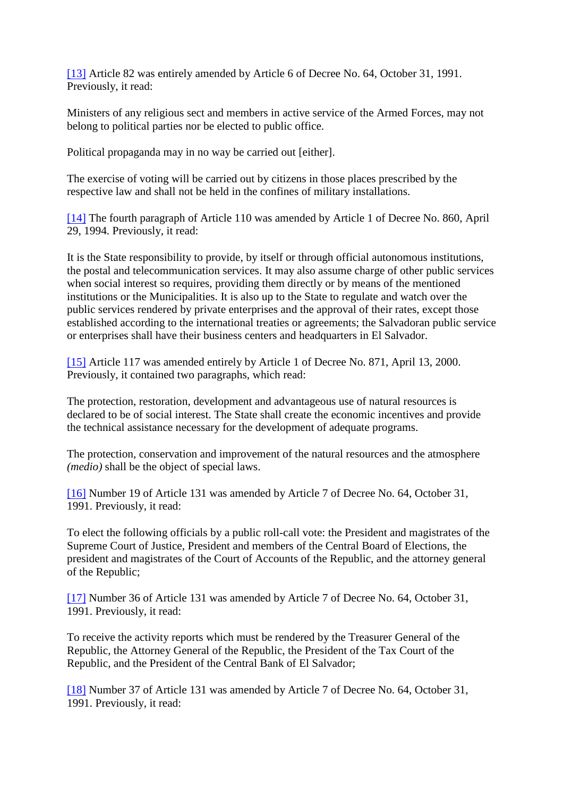[13] Article 82 was entirely amended by Article 6 of Decree No. 64, October 31, 1991. Previously, it read:

Ministers of any religious sect and members in active service of the Armed Forces, may not belong to political parties nor be elected to public office.

Political propaganda may in no way be carried out [either].

The exercise of voting will be carried out by citizens in those places prescribed by the respective law and shall not be held in the confines of military installations.

[14] The fourth paragraph of Article 110 was amended by Article 1 of Decree No. 860, April 29, 1994. Previously, it read:

It is the State responsibility to provide, by itself or through official autonomous institutions, the postal and telecommunication services. It may also assume charge of other public services when social interest so requires, providing them directly or by means of the mentioned institutions or the Municipalities. It is also up to the State to regulate and watch over the public services rendered by private enterprises and the approval of their rates, except those established according to the international treaties or agreements; the Salvadoran public service or enterprises shall have their business centers and headquarters in El Salvador.

[15] Article 117 was amended entirely by Article 1 of Decree No. 871, April 13, 2000. Previously, it contained two paragraphs, which read:

The protection, restoration, development and advantageous use of natural resources is declared to be of social interest. The State shall create the economic incentives and provide the technical assistance necessary for the development of adequate programs.

The protection, conservation and improvement of the natural resources and the atmosphere *(medio)* shall be the object of special laws.

[16] Number 19 of Article 131 was amended by Article 7 of Decree No. 64, October 31, 1991. Previously, it read:

To elect the following officials by a public roll-call vote: the President and magistrates of the Supreme Court of Justice, President and members of the Central Board of Elections, the president and magistrates of the Court of Accounts of the Republic, and the attorney general of the Republic;

[17] Number 36 of Article 131 was amended by Article 7 of Decree No. 64, October 31, 1991. Previously, it read:

To receive the activity reports which must be rendered by the Treasurer General of the Republic, the Attorney General of the Republic, the President of the Tax Court of the Republic, and the President of the Central Bank of El Salvador;

[18] Number 37 of Article 131 was amended by Article 7 of Decree No. 64, October 31, 1991. Previously, it read: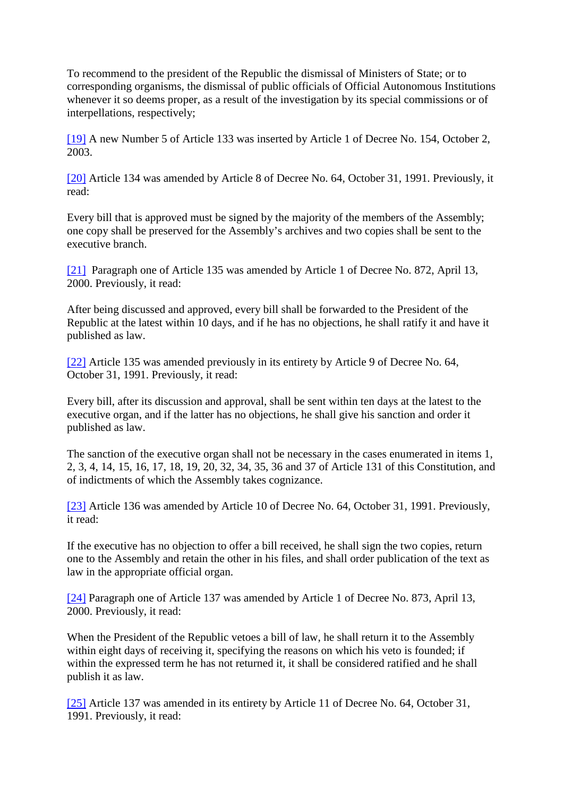To recommend to the president of the Republic the dismissal of Ministers of State; or to corresponding organisms, the dismissal of public officials of Official Autonomous Institutions whenever it so deems proper, as a result of the investigation by its special commissions or of interpellations, respectively;

[19] A new Number 5 of Article 133 was inserted by Article 1 of Decree No. 154, October 2, 2003.

[20] Article 134 was amended by Article 8 of Decree No. 64, October 31, 1991. Previously, it read:

Every bill that is approved must be signed by the majority of the members of the Assembly; one copy shall be preserved for the Assembly's archives and two copies shall be sent to the executive branch.

[21] Paragraph one of Article 135 was amended by Article 1 of Decree No. 872, April 13, 2000. Previously, it read:

After being discussed and approved, every bill shall be forwarded to the President of the Republic at the latest within 10 days, and if he has no objections, he shall ratify it and have it published as law.

[22] Article 135 was amended previously in its entirety by Article 9 of Decree No. 64, October 31, 1991. Previously, it read:

Every bill, after its discussion and approval, shall be sent within ten days at the latest to the executive organ, and if the latter has no objections, he shall give his sanction and order it published as law.

The sanction of the executive organ shall not be necessary in the cases enumerated in items 1, 2, 3, 4, 14, 15, 16, 17, 18, 19, 20, 32, 34, 35, 36 and 37 of Article 131 of this Constitution, and of indictments of which the Assembly takes cognizance.

[23] Article 136 was amended by Article 10 of Decree No. 64, October 31, 1991. Previously, it read:

If the executive has no objection to offer a bill received, he shall sign the two copies, return one to the Assembly and retain the other in his files, and shall order publication of the text as law in the appropriate official organ.

[24] Paragraph one of Article 137 was amended by Article 1 of Decree No. 873, April 13, 2000. Previously, it read:

When the President of the Republic vetoes a bill of law, he shall return it to the Assembly within eight days of receiving it, specifying the reasons on which his veto is founded; if within the expressed term he has not returned it, it shall be considered ratified and he shall publish it as law.

[25] Article 137 was amended in its entirety by Article 11 of Decree No. 64, October 31, 1991. Previously, it read: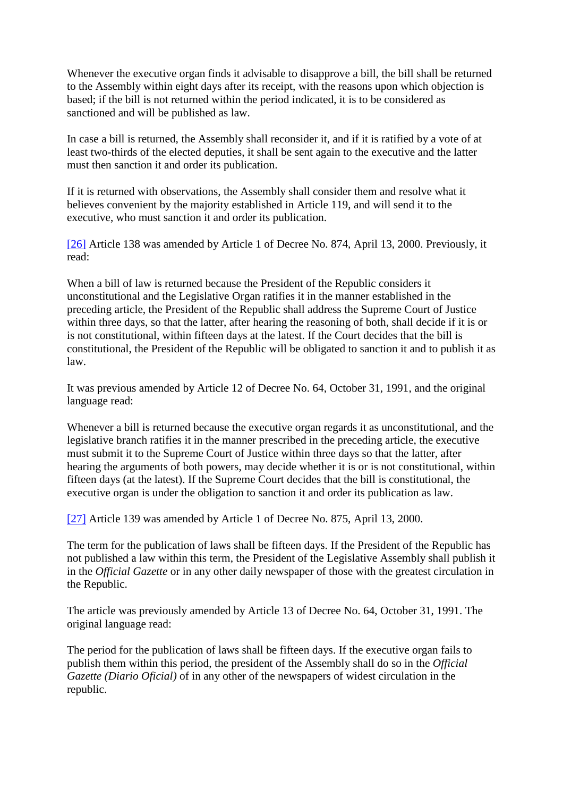Whenever the executive organ finds it advisable to disapprove a bill, the bill shall be returned to the Assembly within eight days after its receipt, with the reasons upon which objection is based; if the bill is not returned within the period indicated, it is to be considered as sanctioned and will be published as law.

In case a bill is returned, the Assembly shall reconsider it, and if it is ratified by a vote of at least two-thirds of the elected deputies, it shall be sent again to the executive and the latter must then sanction it and order its publication.

If it is returned with observations, the Assembly shall consider them and resolve what it believes convenient by the majority established in Article 119, and will send it to the executive, who must sanction it and order its publication.

[26] Article 138 was amended by Article 1 of Decree No. 874, April 13, 2000. Previously, it read:

When a bill of law is returned because the President of the Republic considers it unconstitutional and the Legislative Organ ratifies it in the manner established in the preceding article, the President of the Republic shall address the Supreme Court of Justice within three days, so that the latter, after hearing the reasoning of both, shall decide if it is or is not constitutional, within fifteen days at the latest. If the Court decides that the bill is constitutional, the President of the Republic will be obligated to sanction it and to publish it as law.

It was previous amended by Article 12 of Decree No. 64, October 31, 1991, and the original language read:

Whenever a bill is returned because the executive organ regards it as unconstitutional, and the legislative branch ratifies it in the manner prescribed in the preceding article, the executive must submit it to the Supreme Court of Justice within three days so that the latter, after hearing the arguments of both powers, may decide whether it is or is not constitutional, within fifteen days (at the latest). If the Supreme Court decides that the bill is constitutional, the executive organ is under the obligation to sanction it and order its publication as law.

[27] Article 139 was amended by Article 1 of Decree No. 875, April 13, 2000.

The term for the publication of laws shall be fifteen days. If the President of the Republic has not published a law within this term, the President of the Legislative Assembly shall publish it in the *Official Gazette* or in any other daily newspaper of those with the greatest circulation in the Republic.

The article was previously amended by Article 13 of Decree No. 64, October 31, 1991. The original language read:

The period for the publication of laws shall be fifteen days. If the executive organ fails to publish them within this period, the president of the Assembly shall do so in the *Official Gazette (Diario Oficial)* of in any other of the newspapers of widest circulation in the republic.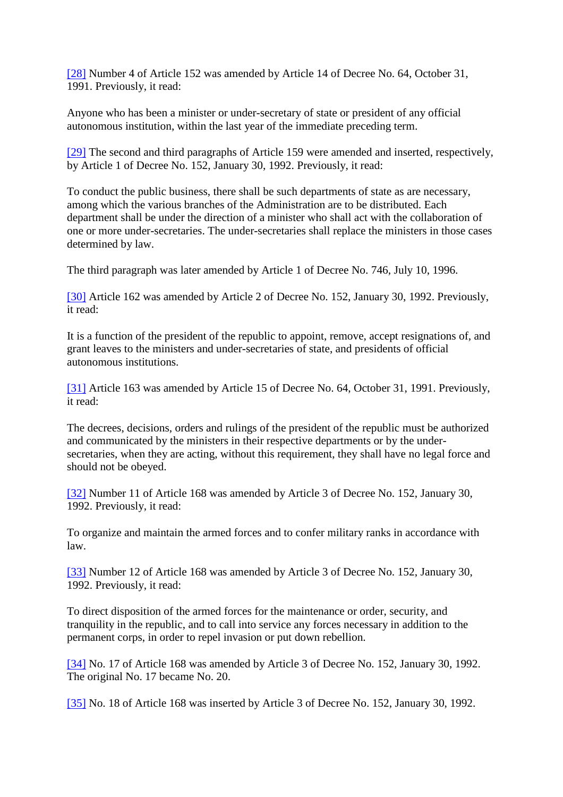[28] Number 4 of Article 152 was amended by Article 14 of Decree No. 64, October 31, 1991. Previously, it read:

Anyone who has been a minister or under-secretary of state or president of any official autonomous institution, within the last year of the immediate preceding term.

[29] The second and third paragraphs of Article 159 were amended and inserted, respectively, by Article 1 of Decree No. 152, January 30, 1992. Previously, it read:

To conduct the public business, there shall be such departments of state as are necessary, among which the various branches of the Administration are to be distributed. Each department shall be under the direction of a minister who shall act with the collaboration of one or more under-secretaries. The under-secretaries shall replace the ministers in those cases determined by law.

The third paragraph was later amended by Article 1 of Decree No. 746, July 10, 1996.

[30] Article 162 was amended by Article 2 of Decree No. 152, January 30, 1992. Previously, it read:

It is a function of the president of the republic to appoint, remove, accept resignations of, and grant leaves to the ministers and under-secretaries of state, and presidents of official autonomous institutions.

[31] Article 163 was amended by Article 15 of Decree No. 64, October 31, 1991. Previously, it read:

The decrees, decisions, orders and rulings of the president of the republic must be authorized and communicated by the ministers in their respective departments or by the undersecretaries, when they are acting, without this requirement, they shall have no legal force and should not be obeyed.

[32] Number 11 of Article 168 was amended by Article 3 of Decree No. 152, January 30, 1992. Previously, it read:

To organize and maintain the armed forces and to confer military ranks in accordance with law.

[33] Number 12 of Article 168 was amended by Article 3 of Decree No. 152, January 30, 1992. Previously, it read:

To direct disposition of the armed forces for the maintenance or order, security, and tranquility in the republic, and to call into service any forces necessary in addition to the permanent corps, in order to repel invasion or put down rebellion.

[34] No. 17 of Article 168 was amended by Article 3 of Decree No. 152, January 30, 1992. The original No. 17 became No. 20.

[35] No. 18 of Article 168 was inserted by Article 3 of Decree No. 152, January 30, 1992.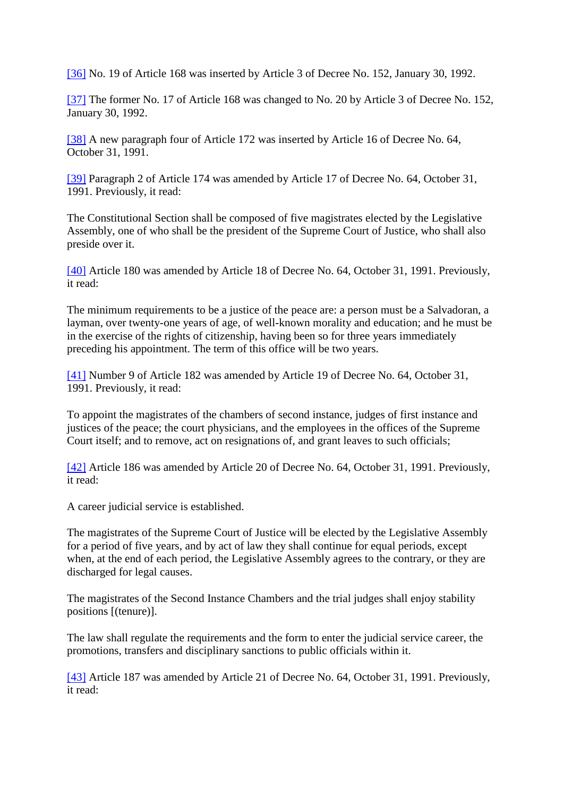[36] No. 19 of Article 168 was inserted by Article 3 of Decree No. 152, January 30, 1992.

[37] The former No. 17 of Article 168 was changed to No. 20 by Article 3 of Decree No. 152, January 30, 1992.

[38] A new paragraph four of Article 172 was inserted by Article 16 of Decree No. 64, October 31, 1991.

[39] Paragraph 2 of Article 174 was amended by Article 17 of Decree No. 64, October 31, 1991. Previously, it read:

The Constitutional Section shall be composed of five magistrates elected by the Legislative Assembly, one of who shall be the president of the Supreme Court of Justice, who shall also preside over it.

[40] Article 180 was amended by Article 18 of Decree No. 64, October 31, 1991. Previously, it read:

The minimum requirements to be a justice of the peace are: a person must be a Salvadoran, a layman, over twenty-one years of age, of well-known morality and education; and he must be in the exercise of the rights of citizenship, having been so for three years immediately preceding his appointment. The term of this office will be two years.

[41] Number 9 of Article 182 was amended by Article 19 of Decree No. 64, October 31, 1991. Previously, it read:

To appoint the magistrates of the chambers of second instance, judges of first instance and justices of the peace; the court physicians, and the employees in the offices of the Supreme Court itself; and to remove, act on resignations of, and grant leaves to such officials;

[42] Article 186 was amended by Article 20 of Decree No. 64, October 31, 1991. Previously, it read:

A career judicial service is established.

The magistrates of the Supreme Court of Justice will be elected by the Legislative Assembly for a period of five years, and by act of law they shall continue for equal periods, except when, at the end of each period, the Legislative Assembly agrees to the contrary, or they are discharged for legal causes.

The magistrates of the Second Instance Chambers and the trial judges shall enjoy stability positions [(tenure)].

The law shall regulate the requirements and the form to enter the judicial service career, the promotions, transfers and disciplinary sanctions to public officials within it.

[43] Article 187 was amended by Article 21 of Decree No. 64, October 31, 1991. Previously, it read: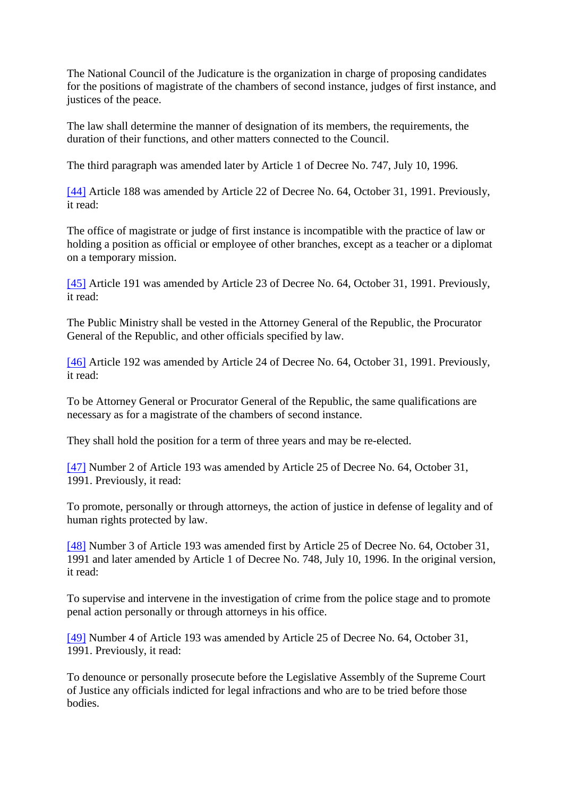The National Council of the Judicature is the organization in charge of proposing candidates for the positions of magistrate of the chambers of second instance, judges of first instance, and justices of the peace.

The law shall determine the manner of designation of its members, the requirements, the duration of their functions, and other matters connected to the Council.

The third paragraph was amended later by Article 1 of Decree No. 747, July 10, 1996.

[44] Article 188 was amended by Article 22 of Decree No. 64, October 31, 1991. Previously, it read:

The office of magistrate or judge of first instance is incompatible with the practice of law or holding a position as official or employee of other branches, except as a teacher or a diplomat on a temporary mission.

[45] Article 191 was amended by Article 23 of Decree No. 64, October 31, 1991. Previously, it read:

The Public Ministry shall be vested in the Attorney General of the Republic, the Procurator General of the Republic, and other officials specified by law.

[46] Article 192 was amended by Article 24 of Decree No. 64, October 31, 1991. Previously, it read:

To be Attorney General or Procurator General of the Republic, the same qualifications are necessary as for a magistrate of the chambers of second instance.

They shall hold the position for a term of three years and may be re-elected.

[47] Number 2 of Article 193 was amended by Article 25 of Decree No. 64, October 31, 1991. Previously, it read:

To promote, personally or through attorneys, the action of justice in defense of legality and of human rights protected by law.

[48] Number 3 of Article 193 was amended first by Article 25 of Decree No. 64, October 31, 1991 and later amended by Article 1 of Decree No. 748, July 10, 1996. In the original version, it read:

To supervise and intervene in the investigation of crime from the police stage and to promote penal action personally or through attorneys in his office.

[49] Number 4 of Article 193 was amended by Article 25 of Decree No. 64, October 31, 1991. Previously, it read:

To denounce or personally prosecute before the Legislative Assembly of the Supreme Court of Justice any officials indicted for legal infractions and who are to be tried before those bodies.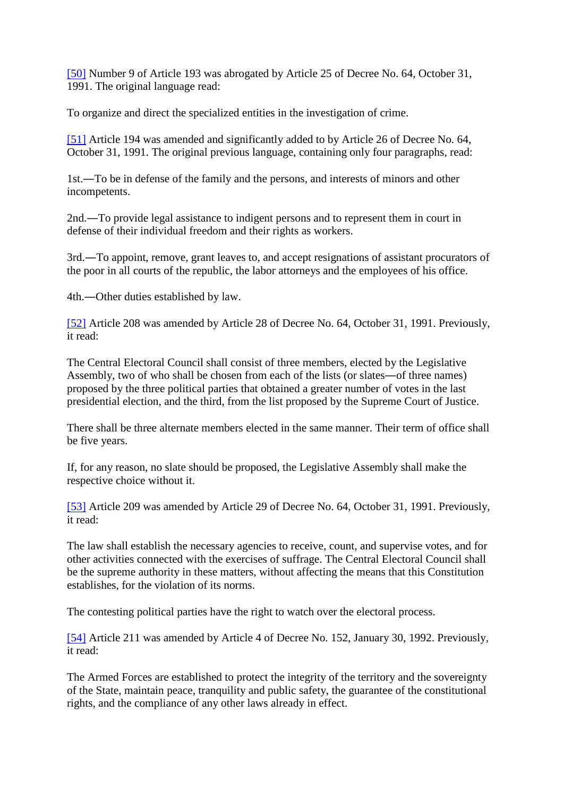[50] Number 9 of Article 193 was abrogated by Article 25 of Decree No. 64, October 31, 1991. The original language read:

To organize and direct the specialized entities in the investigation of crime.

[51] Article 194 was amended and significantly added to by Article 26 of Decree No. 64, October 31, 1991. The original previous language, containing only four paragraphs, read:

1st.―To be in defense of the family and the persons, and interests of minors and other incompetents.

2nd.―To provide legal assistance to indigent persons and to represent them in court in defense of their individual freedom and their rights as workers.

3rd.―To appoint, remove, grant leaves to, and accept resignations of assistant procurators of the poor in all courts of the republic, the labor attorneys and the employees of his office.

4th.―Other duties established by law.

[52] Article 208 was amended by Article 28 of Decree No. 64, October 31, 1991. Previously, it read:

The Central Electoral Council shall consist of three members, elected by the Legislative Assembly, two of who shall be chosen from each of the lists (or slates―of three names) proposed by the three political parties that obtained a greater number of votes in the last presidential election, and the third, from the list proposed by the Supreme Court of Justice.

There shall be three alternate members elected in the same manner. Their term of office shall be five years.

If, for any reason, no slate should be proposed, the Legislative Assembly shall make the respective choice without it.

[53] Article 209 was amended by Article 29 of Decree No. 64, October 31, 1991. Previously, it read:

The law shall establish the necessary agencies to receive, count, and supervise votes, and for other activities connected with the exercises of suffrage. The Central Electoral Council shall be the supreme authority in these matters, without affecting the means that this Constitution establishes, for the violation of its norms.

The contesting political parties have the right to watch over the electoral process.

[54] Article 211 was amended by Article 4 of Decree No. 152, January 30, 1992. Previously, it read:

The Armed Forces are established to protect the integrity of the territory and the sovereignty of the State, maintain peace, tranquility and public safety, the guarantee of the constitutional rights, and the compliance of any other laws already in effect.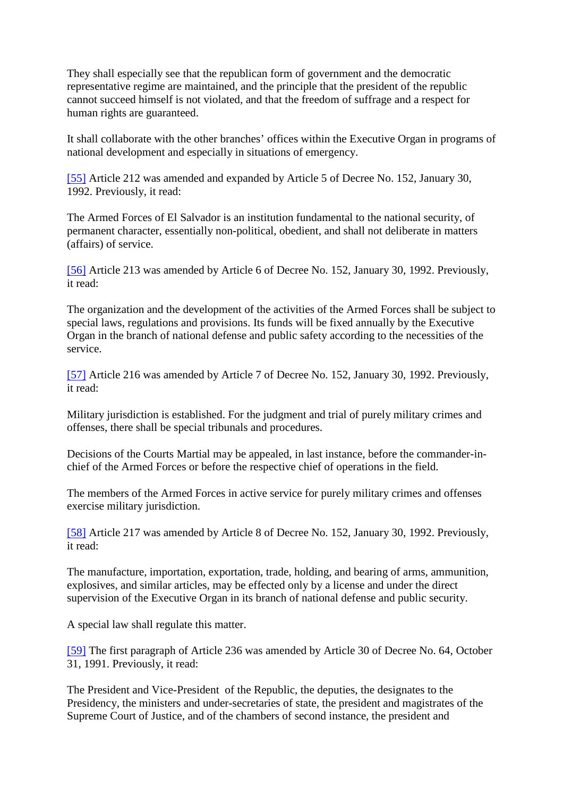They shall especially see that the republican form of government and the democratic representative regime are maintained, and the principle that the president of the republic cannot succeed himself is not violated, and that the freedom of suffrage and a respect for human rights are guaranteed.

It shall collaborate with the other branches' offices within the Executive Organ in programs of national development and especially in situations of emergency.

[55] Article 212 was amended and expanded by Article 5 of Decree No. 152, January 30, 1992. Previously, it read:

The Armed Forces of El Salvador is an institution fundamental to the national security, of permanent character, essentially non-political, obedient, and shall not deliberate in matters (affairs) of service.

[56] Article 213 was amended by Article 6 of Decree No. 152, January 30, 1992. Previously, it read:

The organization and the development of the activities of the Armed Forces shall be subject to special laws, regulations and provisions. Its funds will be fixed annually by the Executive Organ in the branch of national defense and public safety according to the necessities of the service.

[57] Article 216 was amended by Article 7 of Decree No. 152, January 30, 1992. Previously, it read:

Military jurisdiction is established. For the judgment and trial of purely military crimes and offenses, there shall be special tribunals and procedures.

Decisions of the Courts Martial may be appealed, in last instance, before the commander-inchief of the Armed Forces or before the respective chief of operations in the field.

The members of the Armed Forces in active service for purely military crimes and offenses exercise military jurisdiction.

[58] Article 217 was amended by Article 8 of Decree No. 152, January 30, 1992. Previously, it read:

The manufacture, importation, exportation, trade, holding, and bearing of arms, ammunition, explosives, and similar articles, may be effected only by a license and under the direct supervision of the Executive Organ in its branch of national defense and public security.

A special law shall regulate this matter.

[59] The first paragraph of Article 236 was amended by Article 30 of Decree No. 64, October 31, 1991. Previously, it read:

The President and Vice-President of the Republic, the deputies, the designates to the Presidency, the ministers and under-secretaries of state, the president and magistrates of the Supreme Court of Justice, and of the chambers of second instance, the president and